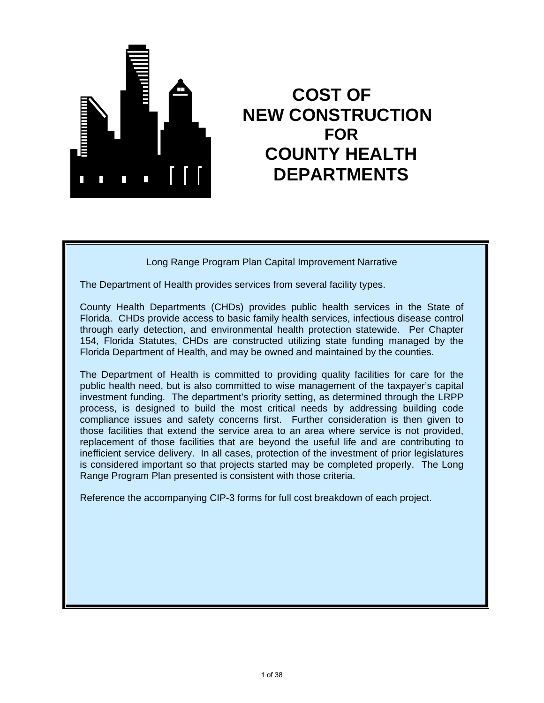

# **COST OF NEW CONSTRUCTION FOR COUNTY HEALTH DEPARTMENTS**

Long Range Program Plan Capital Improvement Narrative

The Department of Health provides services from several facility types.

County Health Departments (CHDs) provides public health services in the State of Florida. CHDs provide access to basic family health services, infectious disease control through early detection, and environmental health protection statewide. Per Chapter 154, Florida Statutes, CHDs are constructed utilizing state funding managed by the Florida Department of Health, and may be owned and maintained by the counties.

The Department of Health is committed to providing quality facilities for care for the public health need, but is also committed to wise management of the taxpayer's capital investment funding. The department's priority setting, as determined through the LRPP process, is designed to build the most critical needs by addressing building code compliance issues and safety concerns first. Further consideration is then given to those facilities that extend the service area to an area where service is not provided, replacement of those facilities that are beyond the useful life and are contributing to inefficient service delivery. In all cases, protection of the investment of prior legislatures is considered important so that projects started may be completed properly. The Long Range Program Plan presented is consistent with those criteria.

Reference the accompanying CIP-3 forms for full cost breakdown of each project.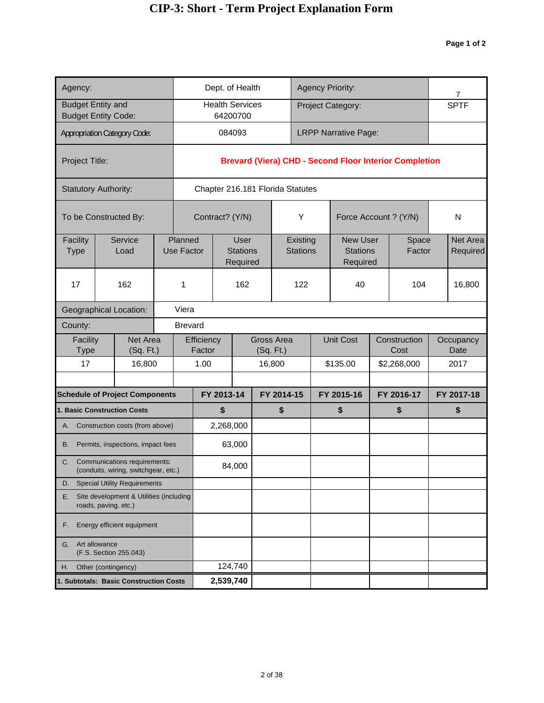| Agency:                  |                                                                         |  |                              | Dept. of Health                            |  |                                  | <b>Agency Priority:</b> |                                                |            |                                                               | $\overline{7}$       |
|--------------------------|-------------------------------------------------------------------------|--|------------------------------|--------------------------------------------|--|----------------------------------|-------------------------|------------------------------------------------|------------|---------------------------------------------------------------|----------------------|
| <b>Budget Entity and</b> | <b>Budget Entity Code:</b>                                              |  |                              | <b>Health Services</b><br>64200700         |  |                                  |                         | Project Category:                              |            |                                                               | <b>SPTF</b>          |
|                          | <b>Appropriation Category Code:</b>                                     |  |                              | 084093                                     |  |                                  |                         | <b>LRPP Narrative Page:</b>                    |            |                                                               |                      |
| Project Title:           |                                                                         |  |                              |                                            |  |                                  |                         |                                                |            | <b>Brevard (Viera) CHD - Second Floor Interior Completion</b> |                      |
|                          | <b>Statutory Authority:</b>                                             |  |                              |                                            |  | Chapter 216.181 Florida Statutes |                         |                                                |            |                                                               |                      |
|                          | To be Constructed By:                                                   |  |                              | Contract? (Y/N)                            |  | Υ                                |                         | Force Account ? (Y/N)                          |            |                                                               | N                    |
| Facility<br><b>Type</b>  | Service<br>Load                                                         |  | Planned<br><b>Use Factor</b> | <b>User</b><br><b>Stations</b><br>Required |  | Existing<br><b>Stations</b>      |                         | <b>New User</b><br><b>Stations</b><br>Required |            | Space<br>Factor                                               | Net Area<br>Required |
| 17                       | 162                                                                     |  | 1                            | 162                                        |  | 122                              |                         | 40                                             |            | 104                                                           | 16,800               |
|                          | <b>Geographical Location:</b>                                           |  | Viera                        |                                            |  |                                  |                         |                                                |            |                                                               |                      |
| County:                  |                                                                         |  | <b>Brevard</b>               |                                            |  |                                  |                         |                                                |            |                                                               |                      |
| Facility<br>Type         | <b>Net Area</b><br>(Sq. Ft.)                                            |  | Efficiency<br>Factor         |                                            |  | <b>Gross Area</b><br>(Sq. Ft.)   |                         | <b>Unit Cost</b>                               |            | Construction<br>Cost                                          | Occupancy<br>Date    |
| 17                       | 16,800                                                                  |  | 1.00                         |                                            |  | 16,800                           |                         | \$135.00                                       |            | \$2,268,000                                                   | 2017                 |
|                          | <b>Schedule of Project Components</b>                                   |  |                              | FY 2013-14                                 |  | FY 2014-15                       |                         | FY 2015-16                                     | FY 2016-17 |                                                               | FY 2017-18           |
|                          | 1. Basic Construction Costs                                             |  |                              | \$                                         |  | \$                               |                         | \$                                             |            | \$                                                            | \$                   |
|                          | A. Construction costs (from above)                                      |  |                              | 2,268,000                                  |  |                                  |                         |                                                |            |                                                               |                      |
| В.                       | Permits, inspections, impact fees                                       |  |                              | 63,000                                     |  |                                  |                         |                                                |            |                                                               |                      |
|                          | C. Communications requirements:<br>(conduits, wiring, switchgear, etc.) |  |                              | 84,000                                     |  |                                  |                         |                                                |            |                                                               |                      |
| D.                       | <b>Special Utility Requirements</b>                                     |  |                              |                                            |  |                                  |                         |                                                |            |                                                               |                      |
| Е.                       | Site development & Utilities (including<br>roads, paving, etc.)         |  |                              |                                            |  |                                  |                         |                                                |            |                                                               |                      |
| F.                       | Energy efficient equipment                                              |  |                              |                                            |  |                                  |                         |                                                |            |                                                               |                      |
| G.                       | Art allowance<br>(F.S. Section 255.043)                                 |  |                              |                                            |  |                                  |                         |                                                |            |                                                               |                      |
| Η.                       | Other (contingency)                                                     |  | 124,740                      |                                            |  |                                  |                         |                                                |            |                                                               |                      |
|                          | 1. Subtotals: Basic Construction Costs                                  |  | 2,539,740                    |                                            |  |                                  |                         |                                                |            |                                                               |                      |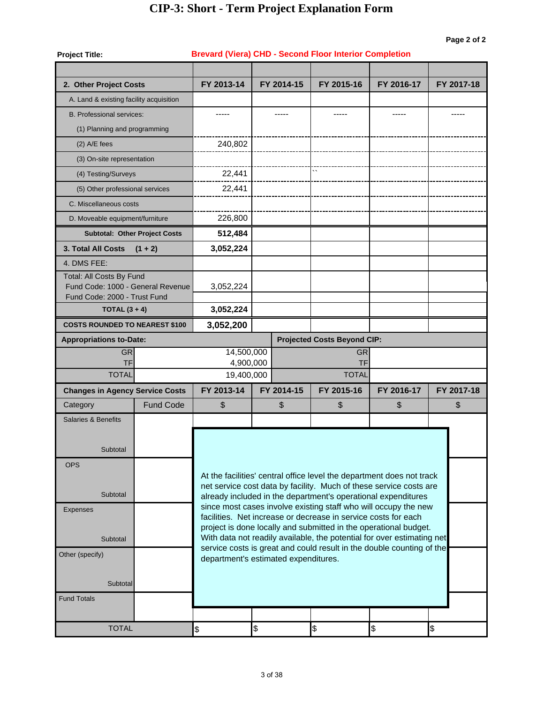#### **Project Title: 2. Other Project Costs** A. Land & existing facility acquisition B. Professional services: (1) Planning and programming (2) A/E fees (3) On-site representation (4) Testing/Surveys (5) Other professional services C. Miscellaneous costs D. Moveable equipment/furniture **3. Total All Costs (1 + 2)** 4. DMS FEE: Total: All Costs By Fund Fund Code: 1000 - General Revenue Fund Code: 2000 - Trust Fund **COSTS ROUNDED TO NEAREST \$100 Appropriations to-Date: Projected Costs Beyond CIP:** Projected Costs Beyond CIP: GR GR 14,500,000 TF TF 4,900,000 **Changes in Agency Service Costs** \$ **FY 2015-16 FY 2016-17 Brevard (Viera) CHD - Second Floor Interior Completion** ----- ----- **FY 2013-14 FY 2014-15 FY 2017-18** ----- ----- -----  $\ddot{\phantom{0}}$ 240,802 22,441 22,441 226,800 **3,052,224 512,484** 3,052,224 **3,052,200 3,052,224** TOTAL 19,400,000 TOTAL TOTAL \$ \$ **FY 2013-14 FY 2014-15 FY 2015-16** \$\\\ **FY 2016-17 FY 2017-18** Salaries & Benefits At the facilities' central office level the department does not track net service cost data by facility. Much of these service costs are already included in the department's operational expenditures since most cases involve existing staff who will occupy the new facilities. Net increase or decrease in service costs for each project is done locally and submitted in the operational budget. With data not readily available, the potential for over estimating net service costs is great and could result in the double counting of the department's estimated expenditures. **Subtotal**  OPS **Subtotal** Expenses **Subtotal**  Other (specify) **Subtotal**  Fund Totals  $\texttt{TOTAL} \hspace{1.5cm} \texttt{\$} \hspace{1.5cm} \texttt{\$} \hspace{1.5cm} \texttt{\$} \hspace{1.5cm} \texttt{\$} \hspace{1.5cm} \texttt{\$} \hspace{1.5cm} \texttt{\$} \hspace{1.5cm} \texttt{\$} \hspace{1.5cm} \texttt{\$} \hspace{1.5cm} \texttt{\$} \hspace{1.5cm} \texttt{\$} \hspace{1.5cm} \texttt{\$} \hspace{1.5cm} \texttt{\$} \hspace{1.5cm} \texttt{\$} \hspace{1.5cm} \texttt{\$} \hspace{$ Fund Code **Subtotal: Other Project Costs TOTAL (3 + 4) Category**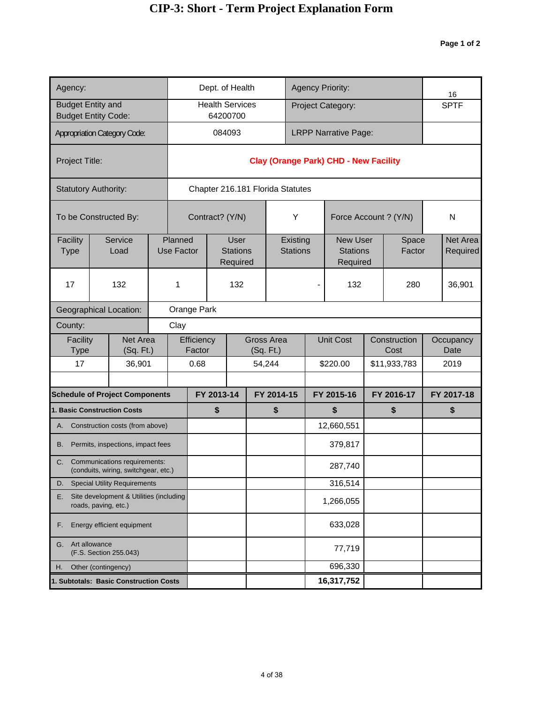| Agency:                                       |                                                                                                        |                         |                       |                                            |                  | Dept. of Health                    |            |                                  |                             |     | <b>Agency Priority:</b>                        |                 |                      | 16     |                      |  |
|-----------------------------------------------|--------------------------------------------------------------------------------------------------------|-------------------------|-----------------------|--------------------------------------------|------------------|------------------------------------|------------|----------------------------------|-----------------------------|-----|------------------------------------------------|-----------------|----------------------|--------|----------------------|--|
|                                               | <b>Budget Entity and</b><br><b>Budget Entity Code:</b>                                                 |                         |                       |                                            |                  | <b>Health Services</b><br>64200700 |            |                                  |                             |     | Project Category:                              |                 |                      |        | <b>SPTF</b>          |  |
|                                               | <b>Appropriation Category Code:</b>                                                                    |                         |                       |                                            |                  | 084093                             |            |                                  |                             |     | <b>LRPP Narrative Page:</b>                    |                 |                      |        |                      |  |
| Project Title:                                |                                                                                                        |                         |                       |                                            |                  |                                    |            |                                  |                             |     | <b>Clay (Orange Park) CHD - New Facility</b>   |                 |                      |        |                      |  |
|                                               | <b>Statutory Authority:</b>                                                                            |                         |                       |                                            |                  |                                    |            | Chapter 216.181 Florida Statutes |                             |     |                                                |                 |                      |        |                      |  |
|                                               | To be Constructed By:                                                                                  |                         |                       |                                            |                  | Contract? (Y/N)                    |            |                                  | Y                           |     | Force Account ? (Y/N)                          |                 |                      |        | N                    |  |
| Facility<br><b>Type</b>                       | Service<br>Load                                                                                        |                         | Planned<br>Use Factor | <b>User</b><br><b>Stations</b><br>Required |                  |                                    |            |                                  | Existing<br><b>Stations</b> |     | <b>New User</b><br><b>Stations</b><br>Required | Space<br>Factor |                      |        | Net Area<br>Required |  |
| 17                                            | 132                                                                                                    | 132<br>1<br>Orange Park |                       |                                            |                  |                                    |            |                                  |                             | 132 |                                                | 280             |                      | 36,901 |                      |  |
|                                               | <b>Geographical Location:</b>                                                                          |                         |                       |                                            |                  |                                    |            |                                  |                             |     |                                                |                 |                      |        |                      |  |
| County:                                       |                                                                                                        |                         | Clay                  |                                            |                  |                                    |            |                                  |                             |     |                                                |                 |                      |        |                      |  |
| Facility<br><b>Type</b>                       | Net Area<br>(Sq. Ft.)                                                                                  |                         |                       | Efficiency<br>Factor                       |                  |                                    |            | <b>Gross Area</b><br>(Sq. Ft.)   |                             |     | <b>Unit Cost</b>                               |                 | Construction<br>Cost |        | Occupancy<br>Date    |  |
| 17                                            | 36,901                                                                                                 |                         |                       | 0.68                                       |                  |                                    |            | 54,244                           |                             |     | \$220.00                                       |                 | \$11,933,783         |        | 2019                 |  |
|                                               |                                                                                                        |                         |                       |                                            |                  |                                    |            |                                  |                             |     |                                                | FY 2016-17      |                      |        |                      |  |
|                                               | <b>Schedule of Project Components</b><br>1. Basic Construction Costs                                   |                         |                       |                                            | FY 2013-14<br>\$ |                                    | FY 2014-15 |                                  |                             |     | FY 2015-16<br>\$                               |                 | \$                   |        | FY 2017-18<br>\$     |  |
| А.                                            | Construction costs (from above)                                                                        |                         |                       |                                            |                  |                                    |            | \$                               |                             |     | 12,660,551                                     |                 |                      |        |                      |  |
| В.                                            | Permits, inspections, impact fees                                                                      |                         |                       |                                            |                  |                                    |            |                                  |                             |     | 379,817                                        |                 |                      |        |                      |  |
| C.                                            | Communications requirements:<br>(conduits, wiring, switchgear, etc.)                                   |                         |                       |                                            |                  |                                    |            |                                  |                             |     | 287,740                                        |                 |                      |        |                      |  |
| D.                                            |                                                                                                        |                         |                       |                                            |                  |                                    |            |                                  |                             |     | 316,514                                        |                 |                      |        |                      |  |
| Е.                                            | <b>Special Utility Requirements</b><br>Site development & Utilities (including<br>roads, paving, etc.) |                         |                       |                                            |                  |                                    |            |                                  |                             |     | 1,266,055                                      |                 |                      |        |                      |  |
| Energy efficient equipment<br>F.              |                                                                                                        |                         |                       |                                            |                  |                                    |            |                                  |                             |     | 633,028                                        |                 |                      |        |                      |  |
| Art allowance<br>G.<br>(F.S. Section 255.043) |                                                                                                        |                         |                       |                                            |                  |                                    |            |                                  |                             |     | 77,719                                         |                 |                      |        |                      |  |
| Н.                                            | Other (contingency)                                                                                    |                         |                       |                                            |                  |                                    |            |                                  |                             |     | 696,330                                        |                 |                      |        |                      |  |
|                                               | 1. Subtotals: Basic Construction Costs                                                                 |                         |                       |                                            |                  |                                    |            |                                  |                             |     | 16,317,752                                     |                 |                      |        |                      |  |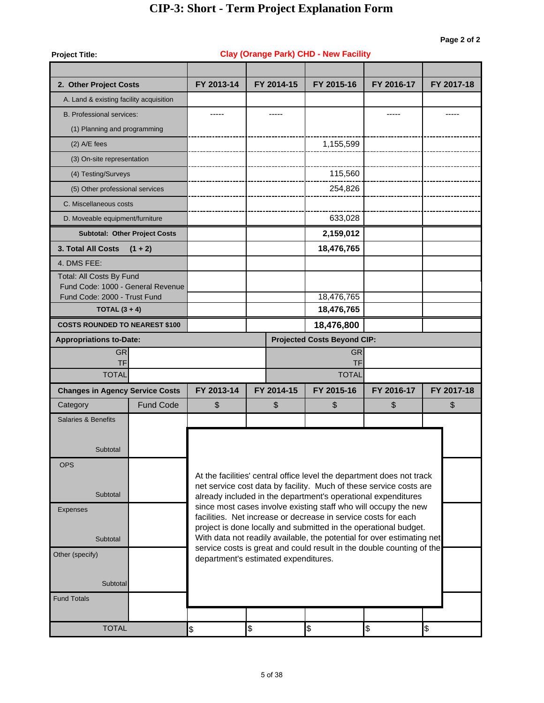| <b>Project Title:</b>                                             |                                      |                                                                                                                                            |      |            | <b>Clay (Orange Park) CHD - New Facility</b>                   |                                                                                                                                  |            |  |  |  |  |
|-------------------------------------------------------------------|--------------------------------------|--------------------------------------------------------------------------------------------------------------------------------------------|------|------------|----------------------------------------------------------------|----------------------------------------------------------------------------------------------------------------------------------|------------|--|--|--|--|
|                                                                   |                                      |                                                                                                                                            |      |            |                                                                |                                                                                                                                  |            |  |  |  |  |
| 2. Other Project Costs                                            |                                      | FY 2013-14                                                                                                                                 |      | FY 2014-15 | FY 2015-16                                                     | FY 2016-17                                                                                                                       | FY 2017-18 |  |  |  |  |
| A. Land & existing facility acquisition                           |                                      |                                                                                                                                            |      |            |                                                                |                                                                                                                                  |            |  |  |  |  |
| <b>B. Professional services:</b>                                  |                                      |                                                                                                                                            |      |            |                                                                |                                                                                                                                  |            |  |  |  |  |
| (1) Planning and programming                                      |                                      |                                                                                                                                            |      |            |                                                                |                                                                                                                                  |            |  |  |  |  |
| $(2)$ A/E fees                                                    |                                      |                                                                                                                                            |      |            | 1,155,599                                                      |                                                                                                                                  |            |  |  |  |  |
| (3) On-site representation                                        |                                      |                                                                                                                                            |      |            |                                                                |                                                                                                                                  |            |  |  |  |  |
| (4) Testing/Surveys                                               |                                      |                                                                                                                                            |      |            | 115,560                                                        |                                                                                                                                  |            |  |  |  |  |
| (5) Other professional services                                   |                                      |                                                                                                                                            |      |            | 254,826                                                        |                                                                                                                                  |            |  |  |  |  |
| C. Miscellaneous costs                                            |                                      |                                                                                                                                            |      |            |                                                                |                                                                                                                                  |            |  |  |  |  |
| D. Moveable equipment/furniture                                   |                                      |                                                                                                                                            |      |            | 633,028                                                        |                                                                                                                                  |            |  |  |  |  |
|                                                                   | <b>Subtotal: Other Project Costs</b> |                                                                                                                                            |      |            | 2,159,012                                                      |                                                                                                                                  |            |  |  |  |  |
| 3. Total All Costs                                                | $(1 + 2)$                            |                                                                                                                                            |      |            | 18,476,765                                                     |                                                                                                                                  |            |  |  |  |  |
| 4. DMS FEE:                                                       |                                      |                                                                                                                                            |      |            |                                                                |                                                                                                                                  |            |  |  |  |  |
| Total: All Costs By Fund                                          |                                      |                                                                                                                                            |      |            |                                                                |                                                                                                                                  |            |  |  |  |  |
| Fund Code: 1000 - General Revenue<br>Fund Code: 2000 - Trust Fund |                                      |                                                                                                                                            |      |            | 18,476,765                                                     |                                                                                                                                  |            |  |  |  |  |
| TOTAL $(3 + 4)$                                                   |                                      |                                                                                                                                            |      |            | 18,476,765                                                     |                                                                                                                                  |            |  |  |  |  |
| <b>COSTS ROUNDED TO NEAREST \$100</b>                             |                                      |                                                                                                                                            |      |            | 18,476,800                                                     |                                                                                                                                  |            |  |  |  |  |
| <b>Appropriations to-Date:</b>                                    |                                      |                                                                                                                                            |      |            | <b>Projected Costs Beyond CIP:</b>                             |                                                                                                                                  |            |  |  |  |  |
| <b>GR</b>                                                         |                                      |                                                                                                                                            |      |            | <b>GR</b>                                                      |                                                                                                                                  |            |  |  |  |  |
| TF<br><b>TOTAL</b>                                                |                                      | TF<br><b>TOTAL</b>                                                                                                                         |      |            |                                                                |                                                                                                                                  |            |  |  |  |  |
| <b>Changes in Agency Service Costs</b>                            |                                      | FY 2013-14                                                                                                                                 |      | FY 2014-15 | FY 2015-16                                                     | FY 2016-17                                                                                                                       | FY 2017-18 |  |  |  |  |
| Category                                                          | <b>Fund Code</b>                     | \$                                                                                                                                         |      | \$         | \$                                                             | \$                                                                                                                               | \$         |  |  |  |  |
| <b>Salaries &amp; Benefits</b>                                    |                                      |                                                                                                                                            |      |            |                                                                |                                                                                                                                  |            |  |  |  |  |
|                                                                   |                                      |                                                                                                                                            |      |            |                                                                |                                                                                                                                  |            |  |  |  |  |
| Subtotal                                                          |                                      |                                                                                                                                            |      |            |                                                                |                                                                                                                                  |            |  |  |  |  |
| <b>OPS</b>                                                        |                                      |                                                                                                                                            |      |            |                                                                |                                                                                                                                  |            |  |  |  |  |
|                                                                   |                                      |                                                                                                                                            |      |            |                                                                | At the facilities' central office level the department does not track                                                            |            |  |  |  |  |
| Subtotal                                                          |                                      |                                                                                                                                            |      |            |                                                                | net service cost data by facility. Much of these service costs are                                                               |            |  |  |  |  |
| Expenses                                                          |                                      |                                                                                                                                            |      |            |                                                                | already included in the department's operational expenditures<br>since most cases involve existing staff who will occupy the new |            |  |  |  |  |
|                                                                   |                                      |                                                                                                                                            |      |            | facilities. Net increase or decrease in service costs for each |                                                                                                                                  |            |  |  |  |  |
| Subtotal                                                          |                                      | project is done locally and submitted in the operational budget.<br>With data not readily available, the potential for over estimating net |      |            |                                                                |                                                                                                                                  |            |  |  |  |  |
|                                                                   |                                      |                                                                                                                                            |      |            |                                                                | service costs is great and could result in the double counting of the                                                            |            |  |  |  |  |
| Other (specify)                                                   |                                      | department's estimated expenditures.                                                                                                       |      |            |                                                                |                                                                                                                                  |            |  |  |  |  |
| Subtotal                                                          |                                      |                                                                                                                                            |      |            |                                                                |                                                                                                                                  |            |  |  |  |  |
| <b>Fund Totals</b>                                                |                                      |                                                                                                                                            |      |            |                                                                |                                                                                                                                  |            |  |  |  |  |
|                                                                   |                                      |                                                                                                                                            |      |            |                                                                |                                                                                                                                  |            |  |  |  |  |
| <b>TOTAL</b>                                                      |                                      | \$                                                                                                                                         | $\$$ |            | $\frac{1}{2}$                                                  | \$                                                                                                                               | \$         |  |  |  |  |
|                                                                   |                                      |                                                                                                                                            |      |            |                                                                |                                                                                                                                  |            |  |  |  |  |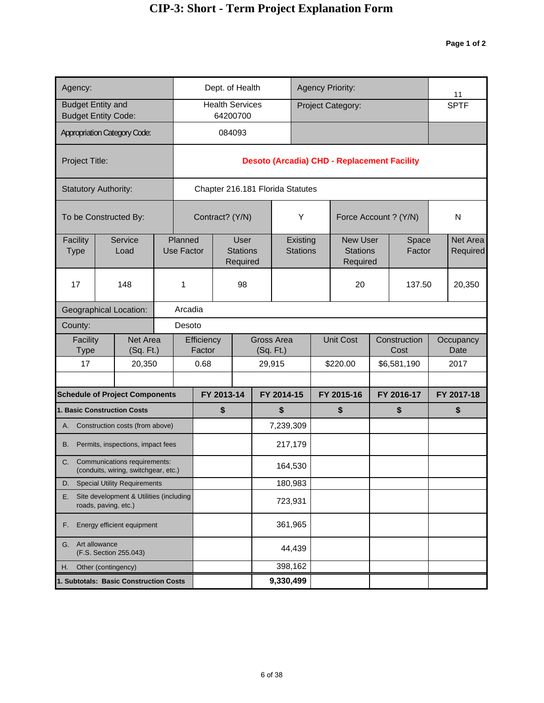| Agency:                                       |                                                                      |         | Dept. of Health<br><b>Health Services</b><br>64200700<br>084093<br>Chapter 216.181 Florida Statutes<br>Contract? (Y/N) |                             |            |             |            |            |                             |            | <b>Agency Priority:</b>                            |            |                      | 11                   |
|-----------------------------------------------|----------------------------------------------------------------------|---------|------------------------------------------------------------------------------------------------------------------------|-----------------------------|------------|-------------|------------|------------|-----------------------------|------------|----------------------------------------------------|------------|----------------------|----------------------|
| <b>Budget Entity and</b>                      | <b>Budget Entity Code:</b>                                           |         |                                                                                                                        |                             |            |             |            |            |                             |            | Project Category:                                  |            |                      | <b>SPTF</b>          |
|                                               | <b>Appropriation Category Code:</b>                                  |         |                                                                                                                        |                             |            |             |            |            |                             |            |                                                    |            |                      |                      |
| Project Title:                                |                                                                      |         |                                                                                                                        |                             |            |             |            |            |                             |            | <b>Desoto (Arcadia) CHD - Replacement Facility</b> |            |                      |                      |
|                                               | <b>Statutory Authority:</b>                                          |         |                                                                                                                        |                             |            |             |            |            |                             |            |                                                    |            |                      |                      |
|                                               | To be Constructed By:                                                |         |                                                                                                                        |                             |            |             |            |            | Υ                           |            | Force Account ? (Y/N)                              |            |                      | N                    |
| Facility<br><b>Type</b>                       | Service<br>Load                                                      |         | Planned<br><b>Use Factor</b>                                                                                           | <b>Stations</b><br>Required |            | <b>User</b> |            |            | Existing<br><b>Stations</b> |            | <b>New User</b><br><b>Stations</b><br>Required     |            | Space<br>Factor      | Net Area<br>Required |
| 17                                            | 148<br><b>Geographical Location:</b>                                 |         |                                                                                                                        |                             |            | 98          |            |            |                             |            | 20                                                 |            | 137.50               | 20,350               |
|                                               |                                                                      | Arcadia |                                                                                                                        |                             |            |             |            |            |                             |            |                                                    |            |                      |                      |
| County:                                       |                                                                      |         | Desoto                                                                                                                 |                             |            |             |            |            |                             |            |                                                    |            |                      |                      |
| Facility<br>Type                              | Net Area<br>(Sq. Ft.)                                                |         |                                                                                                                        | Efficiency<br>Factor        |            |             | (Sq. Ft.)  | Gross Area |                             |            | <b>Unit Cost</b>                                   |            | Construction<br>Cost | Occupancy<br>Date    |
| 17                                            | 20,350                                                               |         |                                                                                                                        | 0.68                        |            |             |            | 29,915     |                             |            | \$220.00                                           |            | \$6,581,190          | 2017                 |
|                                               | <b>Schedule of Project Components</b>                                |         |                                                                                                                        |                             | FY 2013-14 |             | FY 2014-15 |            |                             | FY 2015-16 |                                                    | FY 2016-17 |                      | FY 2017-18           |
|                                               | <b>1. Basic Construction Costs</b>                                   |         |                                                                                                                        |                             | \$         |             |            | \$         |                             |            | \$                                                 |            | \$                   | \$                   |
|                                               | A. Construction costs (from above)                                   |         |                                                                                                                        |                             |            |             |            | 7,239,309  |                             |            |                                                    |            |                      |                      |
| В.                                            | Permits, inspections, impact fees                                    |         |                                                                                                                        |                             |            |             |            | 217,179    |                             |            |                                                    |            |                      |                      |
| C.                                            | Communications requirements:<br>(conduits, wiring, switchgear, etc.) |         |                                                                                                                        |                             |            |             |            | 164,530    |                             |            |                                                    |            |                      |                      |
| D.                                            | <b>Special Utility Requirements</b>                                  |         |                                                                                                                        |                             |            |             |            | 180,983    |                             |            |                                                    |            |                      |                      |
| Е.                                            | Site development & Utilities (including<br>roads, paving, etc.)      |         |                                                                                                                        |                             |            |             |            | 723,931    |                             |            |                                                    |            |                      |                      |
| Energy efficient equipment<br>F.              |                                                                      |         |                                                                                                                        |                             |            |             |            | 361,965    |                             |            |                                                    |            |                      |                      |
| Art allowance<br>G.<br>(F.S. Section 255.043) |                                                                      |         |                                                                                                                        |                             |            |             |            |            | 44,439                      |            |                                                    |            |                      |                      |
| Н.                                            | Other (contingency)                                                  |         |                                                                                                                        |                             |            |             |            | 398,162    |                             |            |                                                    |            |                      |                      |
|                                               | 1. Subtotals: Basic Construction Costs                               |         |                                                                                                                        |                             |            |             | 9,330,499  |            |                             |            |                                                    |            |                      |                      |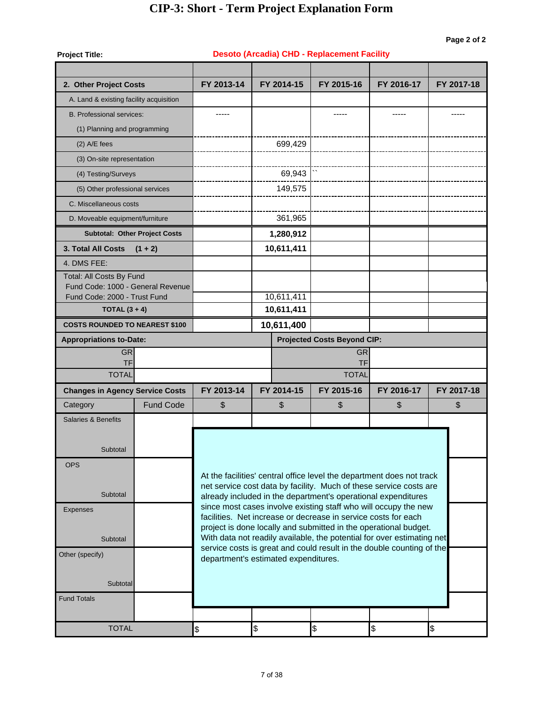| <b>Project Title:</b>                                             |                                      |                                                                                                                                    |                                      | <b>Desoto (Arcadia) CHD - Replacement Facility</b>                                                                                  |            |            |  |  |  |  |  |
|-------------------------------------------------------------------|--------------------------------------|------------------------------------------------------------------------------------------------------------------------------------|--------------------------------------|-------------------------------------------------------------------------------------------------------------------------------------|------------|------------|--|--|--|--|--|
| 2. Other Project Costs                                            |                                      | FY 2013-14                                                                                                                         | FY 2014-15                           | FY 2015-16                                                                                                                          | FY 2016-17 | FY 2017-18 |  |  |  |  |  |
| A. Land & existing facility acquisition                           |                                      |                                                                                                                                    |                                      |                                                                                                                                     |            |            |  |  |  |  |  |
| <b>B. Professional services:</b>                                  |                                      | -----                                                                                                                              |                                      | -----                                                                                                                               | -----      |            |  |  |  |  |  |
| (1) Planning and programming                                      |                                      |                                                                                                                                    |                                      |                                                                                                                                     |            |            |  |  |  |  |  |
| $(2)$ A/E fees                                                    |                                      |                                                                                                                                    | 699,429                              |                                                                                                                                     |            |            |  |  |  |  |  |
| (3) On-site representation                                        |                                      |                                                                                                                                    |                                      |                                                                                                                                     |            |            |  |  |  |  |  |
| (4) Testing/Surveys                                               |                                      |                                                                                                                                    | 69,943                               |                                                                                                                                     |            |            |  |  |  |  |  |
| (5) Other professional services                                   |                                      |                                                                                                                                    | 149,575                              |                                                                                                                                     |            |            |  |  |  |  |  |
| C. Miscellaneous costs                                            |                                      |                                                                                                                                    |                                      |                                                                                                                                     |            |            |  |  |  |  |  |
| D. Moveable equipment/furniture                                   |                                      |                                                                                                                                    | 361,965                              |                                                                                                                                     |            |            |  |  |  |  |  |
|                                                                   | <b>Subtotal: Other Project Costs</b> |                                                                                                                                    | 1,280,912                            |                                                                                                                                     |            |            |  |  |  |  |  |
| 3. Total All Costs                                                | $(1 + 2)$                            |                                                                                                                                    | 10,611,411                           |                                                                                                                                     |            |            |  |  |  |  |  |
| 4. DMS FEE:                                                       |                                      |                                                                                                                                    |                                      |                                                                                                                                     |            |            |  |  |  |  |  |
| Total: All Costs By Fund                                          |                                      |                                                                                                                                    |                                      |                                                                                                                                     |            |            |  |  |  |  |  |
| Fund Code: 1000 - General Revenue<br>Fund Code: 2000 - Trust Fund |                                      |                                                                                                                                    | 10,611,411                           |                                                                                                                                     |            |            |  |  |  |  |  |
| TOTAL $(3 + 4)$                                                   |                                      |                                                                                                                                    | 10,611,411                           |                                                                                                                                     |            |            |  |  |  |  |  |
| <b>COSTS ROUNDED TO NEAREST \$100</b>                             |                                      |                                                                                                                                    | 10,611,400                           |                                                                                                                                     |            |            |  |  |  |  |  |
| <b>Appropriations to-Date:</b>                                    |                                      |                                                                                                                                    |                                      | <b>Projected Costs Beyond CIP:</b>                                                                                                  |            |            |  |  |  |  |  |
| <b>GR</b>                                                         |                                      | <b>GR</b><br>TF                                                                                                                    |                                      |                                                                                                                                     |            |            |  |  |  |  |  |
| TF<br><b>TOTAL</b>                                                |                                      | <b>TOTAL</b>                                                                                                                       |                                      |                                                                                                                                     |            |            |  |  |  |  |  |
| <b>Changes in Agency Service Costs</b>                            |                                      | FY 2013-14                                                                                                                         | FY 2014-15                           | FY 2015-16                                                                                                                          | FY 2016-17 | FY 2017-18 |  |  |  |  |  |
| Category                                                          | <b>Fund Code</b>                     | \$                                                                                                                                 | \$                                   | \$                                                                                                                                  | \$         | \$         |  |  |  |  |  |
| Salaries & Benefits                                               |                                      |                                                                                                                                    |                                      |                                                                                                                                     |            |            |  |  |  |  |  |
|                                                                   |                                      |                                                                                                                                    |                                      |                                                                                                                                     |            |            |  |  |  |  |  |
| Subtotal                                                          |                                      |                                                                                                                                    |                                      |                                                                                                                                     |            |            |  |  |  |  |  |
| <b>OPS</b>                                                        |                                      |                                                                                                                                    |                                      |                                                                                                                                     |            |            |  |  |  |  |  |
|                                                                   |                                      |                                                                                                                                    |                                      | At the facilities' central office level the department does not track                                                               |            |            |  |  |  |  |  |
| Subtotal                                                          |                                      |                                                                                                                                    |                                      | net service cost data by facility. Much of these service costs are<br>already included in the department's operational expenditures |            |            |  |  |  |  |  |
| <b>Expenses</b>                                                   |                                      |                                                                                                                                    |                                      | since most cases involve existing staff who will occupy the new                                                                     |            |            |  |  |  |  |  |
|                                                                   |                                      | facilities. Net increase or decrease in service costs for each<br>project is done locally and submitted in the operational budget. |                                      |                                                                                                                                     |            |            |  |  |  |  |  |
| Subtotal                                                          |                                      |                                                                                                                                    |                                      | With data not readily available, the potential for over estimating net                                                              |            |            |  |  |  |  |  |
| Other (specify)                                                   |                                      |                                                                                                                                    | department's estimated expenditures. | service costs is great and could result in the double counting of the                                                               |            |            |  |  |  |  |  |
|                                                                   |                                      |                                                                                                                                    |                                      |                                                                                                                                     |            |            |  |  |  |  |  |
| Subtotal                                                          |                                      |                                                                                                                                    |                                      |                                                                                                                                     |            |            |  |  |  |  |  |
| <b>Fund Totals</b>                                                |                                      |                                                                                                                                    |                                      |                                                                                                                                     |            |            |  |  |  |  |  |
|                                                                   |                                      |                                                                                                                                    |                                      |                                                                                                                                     |            |            |  |  |  |  |  |
| <b>TOTAL</b>                                                      |                                      | \$                                                                                                                                 | \$                                   | \$                                                                                                                                  | \$         | \$         |  |  |  |  |  |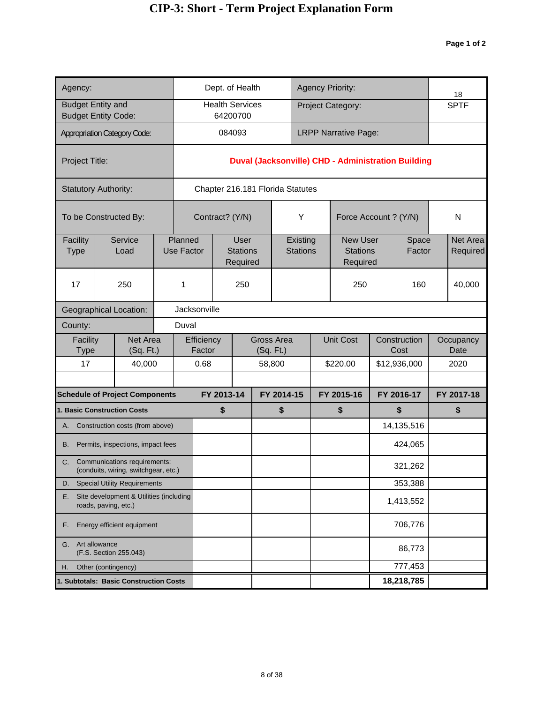| Agency:                                                                     |                                                                                                        |                                                                      |  |                       |                      |              | Dept. of Health                            |  |                                  |                             |  | <b>Agency Priority:</b>                        |                  |                                                    | 18 |                      |
|-----------------------------------------------------------------------------|--------------------------------------------------------------------------------------------------------|----------------------------------------------------------------------|--|-----------------------|----------------------|--------------|--------------------------------------------|--|----------------------------------|-----------------------------|--|------------------------------------------------|------------------|----------------------------------------------------|----|----------------------|
| <b>Budget Entity and</b><br><b>Budget Entity Code:</b>                      |                                                                                                        |                                                                      |  |                       |                      |              | <b>Health Services</b><br>64200700         |  |                                  |                             |  | Project Category:                              |                  |                                                    |    | <b>SPTF</b>          |
| <b>Appropriation Category Code:</b>                                         |                                                                                                        |                                                                      |  |                       |                      |              | 084093                                     |  |                                  |                             |  | <b>LRPP Narrative Page:</b>                    |                  |                                                    |    |                      |
| Project Title:                                                              |                                                                                                        |                                                                      |  |                       |                      |              |                                            |  |                                  |                             |  |                                                |                  | Duval (Jacksonville) CHD - Administration Building |    |                      |
| <b>Statutory Authority:</b>                                                 |                                                                                                        |                                                                      |  |                       |                      |              |                                            |  | Chapter 216.181 Florida Statutes |                             |  |                                                |                  |                                                    |    |                      |
| To be Constructed By:                                                       |                                                                                                        |                                                                      |  |                       |                      |              | Contract? (Y/N)                            |  |                                  | Υ                           |  | Force Account ? (Y/N)                          |                  |                                                    |    | ${\sf N}$            |
| Facility<br><b>Type</b>                                                     |                                                                                                        | Service<br>Load                                                      |  | Planned<br>Use Factor |                      |              | <b>User</b><br><b>Stations</b><br>Required |  |                                  | Existing<br><b>Stations</b> |  | <b>New User</b><br><b>Stations</b><br>Required |                  | Space<br>Factor                                    |    | Net Area<br>Required |
| 17                                                                          | 250                                                                                                    |                                                                      |  |                       |                      |              | 250                                        |  |                                  |                             |  | 250                                            |                  | 160                                                |    | 40,000               |
|                                                                             | Geographical Location:                                                                                 |                                                                      |  |                       |                      | Jacksonville |                                            |  |                                  |                             |  |                                                |                  |                                                    |    |                      |
| County:                                                                     | Duval                                                                                                  |                                                                      |  |                       |                      |              |                                            |  |                                  |                             |  |                                                |                  |                                                    |    |                      |
| Facility<br>Type                                                            |                                                                                                        | Net Area<br>(Sq. Ft.)                                                |  |                       | Efficiency<br>Factor |              |                                            |  | Gross Area<br>(Sq. Ft.)          |                             |  | <b>Unit Cost</b>                               |                  | Construction<br>Cost                               |    | Occupancy<br>Date    |
| 17                                                                          |                                                                                                        | 40,000                                                               |  |                       | 0.68                 |              |                                            |  | 58,800                           |                             |  | \$220.00                                       |                  | \$12,936,000                                       |    | 2020                 |
|                                                                             |                                                                                                        |                                                                      |  |                       |                      |              |                                            |  |                                  |                             |  |                                                |                  |                                                    |    |                      |
| <b>Schedule of Project Components</b><br><b>1. Basic Construction Costs</b> |                                                                                                        |                                                                      |  |                       |                      | \$           | FY 2013-14<br>FY 2014-15                   |  | \$                               | FY 2015-16<br>\$            |  |                                                | FY 2016-17<br>\$ |                                                    |    | FY 2017-18<br>\$     |
|                                                                             |                                                                                                        | A. Construction costs (from above)                                   |  |                       |                      |              |                                            |  |                                  |                             |  |                                                |                  | 14,135,516                                         |    |                      |
| В.                                                                          |                                                                                                        | Permits, inspections, impact fees                                    |  |                       |                      |              |                                            |  |                                  |                             |  |                                                |                  | 424,065                                            |    |                      |
| C.                                                                          |                                                                                                        | Communications requirements:<br>(conduits, wiring, switchgear, etc.) |  |                       |                      |              |                                            |  |                                  |                             |  |                                                |                  | 321,262                                            |    |                      |
| D.                                                                          |                                                                                                        |                                                                      |  |                       |                      |              |                                            |  |                                  |                             |  |                                                |                  | 353,388                                            |    |                      |
| Е.                                                                          | <b>Special Utility Requirements</b><br>Site development & Utilities (including<br>roads, paving, etc.) |                                                                      |  |                       |                      |              |                                            |  |                                  |                             |  |                                                |                  | 1,413,552                                          |    |                      |
| F.                                                                          | Energy efficient equipment                                                                             |                                                                      |  |                       |                      |              |                                            |  |                                  |                             |  |                                                |                  | 706,776                                            |    |                      |
| G.                                                                          | Art allowance<br>(F.S. Section 255.043)                                                                |                                                                      |  |                       |                      |              |                                            |  |                                  |                             |  |                                                |                  | 86,773                                             |    |                      |
| Н.                                                                          | Other (contingency)                                                                                    |                                                                      |  |                       |                      |              |                                            |  |                                  |                             |  |                                                |                  | 777,453                                            |    |                      |
|                                                                             | 1. Subtotals: Basic Construction Costs                                                                 |                                                                      |  |                       |                      |              |                                            |  |                                  |                             |  |                                                |                  | 18,218,785                                         |    |                      |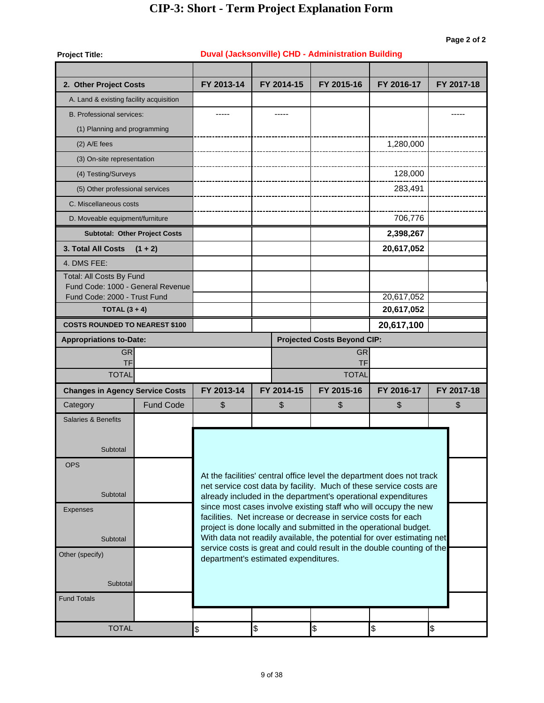| <b>Project Title:</b>                                             |                                      |                                                                                                                                                 |                                      | Duval (Jacksonville) CHD - Administration Building                                                                                          |            |            |  |  |  |  |  |
|-------------------------------------------------------------------|--------------------------------------|-------------------------------------------------------------------------------------------------------------------------------------------------|--------------------------------------|---------------------------------------------------------------------------------------------------------------------------------------------|------------|------------|--|--|--|--|--|
|                                                                   |                                      |                                                                                                                                                 |                                      |                                                                                                                                             |            |            |  |  |  |  |  |
| 2. Other Project Costs                                            |                                      | FY 2013-14                                                                                                                                      | FY 2014-15                           | FY 2015-16                                                                                                                                  | FY 2016-17 | FY 2017-18 |  |  |  |  |  |
| A. Land & existing facility acquisition                           |                                      |                                                                                                                                                 |                                      |                                                                                                                                             |            |            |  |  |  |  |  |
| <b>B. Professional services:</b>                                  |                                      |                                                                                                                                                 |                                      |                                                                                                                                             |            |            |  |  |  |  |  |
| (1) Planning and programming                                      |                                      |                                                                                                                                                 |                                      |                                                                                                                                             |            |            |  |  |  |  |  |
| $(2)$ A/E fees                                                    |                                      |                                                                                                                                                 |                                      |                                                                                                                                             | 1,280,000  |            |  |  |  |  |  |
| (3) On-site representation                                        |                                      |                                                                                                                                                 |                                      |                                                                                                                                             |            |            |  |  |  |  |  |
| (4) Testing/Surveys                                               |                                      |                                                                                                                                                 |                                      |                                                                                                                                             | 128,000    |            |  |  |  |  |  |
| (5) Other professional services                                   |                                      |                                                                                                                                                 |                                      |                                                                                                                                             | 283,491    |            |  |  |  |  |  |
| C. Miscellaneous costs                                            |                                      |                                                                                                                                                 |                                      |                                                                                                                                             |            |            |  |  |  |  |  |
| D. Moveable equipment/furniture                                   |                                      |                                                                                                                                                 |                                      |                                                                                                                                             | 706,776    |            |  |  |  |  |  |
|                                                                   | <b>Subtotal: Other Project Costs</b> |                                                                                                                                                 |                                      |                                                                                                                                             | 2,398,267  |            |  |  |  |  |  |
| <b>3. Total All Costs</b>                                         | $(1 + 2)$                            |                                                                                                                                                 |                                      |                                                                                                                                             | 20,617,052 |            |  |  |  |  |  |
| 4. DMS FEE:                                                       |                                      |                                                                                                                                                 |                                      |                                                                                                                                             |            |            |  |  |  |  |  |
| Total: All Costs By Fund                                          |                                      |                                                                                                                                                 |                                      |                                                                                                                                             |            |            |  |  |  |  |  |
| Fund Code: 1000 - General Revenue<br>Fund Code: 2000 - Trust Fund |                                      |                                                                                                                                                 |                                      |                                                                                                                                             | 20,617,052 |            |  |  |  |  |  |
| TOTAL $(3 + 4)$                                                   |                                      |                                                                                                                                                 |                                      |                                                                                                                                             | 20,617,052 |            |  |  |  |  |  |
| <b>COSTS ROUNDED TO NEAREST \$100</b>                             |                                      |                                                                                                                                                 |                                      |                                                                                                                                             | 20,617,100 |            |  |  |  |  |  |
| <b>Appropriations to-Date:</b>                                    |                                      |                                                                                                                                                 |                                      | <b>Projected Costs Beyond CIP:</b>                                                                                                          |            |            |  |  |  |  |  |
| <b>GR</b>                                                         |                                      |                                                                                                                                                 |                                      | <b>GR</b>                                                                                                                                   |            |            |  |  |  |  |  |
| TF                                                                |                                      | <b>TF</b>                                                                                                                                       |                                      |                                                                                                                                             |            |            |  |  |  |  |  |
| <b>TOTAL</b>                                                      |                                      | <b>TOTAL</b>                                                                                                                                    |                                      |                                                                                                                                             |            |            |  |  |  |  |  |
| <b>Changes in Agency Service Costs</b>                            |                                      | FY 2013-14                                                                                                                                      | FY 2014-15                           | FY 2015-16                                                                                                                                  | FY 2016-17 | FY 2017-18 |  |  |  |  |  |
| Category                                                          | <b>Fund Code</b>                     | \$                                                                                                                                              | \$                                   | \$                                                                                                                                          | \$         | \$         |  |  |  |  |  |
| Salaries & Benefits                                               |                                      |                                                                                                                                                 |                                      |                                                                                                                                             |            |            |  |  |  |  |  |
|                                                                   |                                      |                                                                                                                                                 |                                      |                                                                                                                                             |            |            |  |  |  |  |  |
| Subtotal                                                          |                                      |                                                                                                                                                 |                                      |                                                                                                                                             |            |            |  |  |  |  |  |
| <b>OPS</b>                                                        |                                      |                                                                                                                                                 |                                      |                                                                                                                                             |            |            |  |  |  |  |  |
|                                                                   |                                      |                                                                                                                                                 |                                      | At the facilities' central office level the department does not track<br>net service cost data by facility. Much of these service costs are |            |            |  |  |  |  |  |
| Subtotal                                                          |                                      |                                                                                                                                                 |                                      | already included in the department's operational expenditures                                                                               |            |            |  |  |  |  |  |
| <b>Expenses</b>                                                   |                                      |                                                                                                                                                 |                                      | since most cases involve existing staff who will occupy the new                                                                             |            |            |  |  |  |  |  |
|                                                                   |                                      | facilities. Net increase or decrease in service costs for each<br>project is done locally and submitted in the operational budget.              |                                      |                                                                                                                                             |            |            |  |  |  |  |  |
| Subtotal                                                          |                                      | With data not readily available, the potential for over estimating net<br>service costs is great and could result in the double counting of the |                                      |                                                                                                                                             |            |            |  |  |  |  |  |
| Other (specify)                                                   |                                      |                                                                                                                                                 | department's estimated expenditures. |                                                                                                                                             |            |            |  |  |  |  |  |
|                                                                   |                                      |                                                                                                                                                 |                                      |                                                                                                                                             |            |            |  |  |  |  |  |
| Subtotal                                                          |                                      |                                                                                                                                                 |                                      |                                                                                                                                             |            |            |  |  |  |  |  |
| <b>Fund Totals</b>                                                |                                      |                                                                                                                                                 |                                      |                                                                                                                                             |            |            |  |  |  |  |  |
|                                                                   |                                      |                                                                                                                                                 |                                      |                                                                                                                                             |            |            |  |  |  |  |  |
| <b>TOTAL</b>                                                      |                                      | \$                                                                                                                                              | \$                                   | $\frac{1}{2}$                                                                                                                               | \$         | \$         |  |  |  |  |  |

#### 9 of 38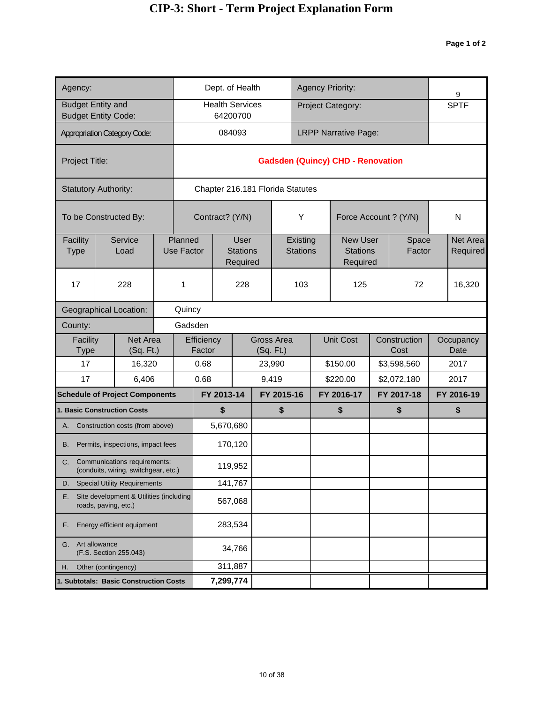| Agency:                  |                                                                      |  |                       |                      | Dept. of Health                    |                                            |            |                                  |                             |            | <b>Agency Priority:</b>                        |                      | 9                    |
|--------------------------|----------------------------------------------------------------------|--|-----------------------|----------------------|------------------------------------|--------------------------------------------|------------|----------------------------------|-----------------------------|------------|------------------------------------------------|----------------------|----------------------|
| <b>Budget Entity and</b> | <b>Budget Entity Code:</b>                                           |  |                       |                      | <b>Health Services</b><br>64200700 |                                            |            |                                  |                             |            | Project Category:                              |                      | <b>SPTF</b>          |
|                          | <b>Appropriation Category Code:</b>                                  |  |                       |                      | 084093                             |                                            |            |                                  |                             |            | <b>LRPP Narrative Page:</b>                    |                      |                      |
|                          |                                                                      |  |                       |                      |                                    |                                            |            |                                  |                             |            |                                                |                      |                      |
| Project Title:           |                                                                      |  |                       |                      |                                    |                                            |            |                                  |                             |            | <b>Gadsden (Quincy) CHD - Renovation</b>       |                      |                      |
|                          | <b>Statutory Authority:</b>                                          |  |                       |                      |                                    |                                            |            | Chapter 216.181 Florida Statutes |                             |            |                                                |                      |                      |
|                          | To be Constructed By:                                                |  |                       | Contract? (Y/N)      |                                    |                                            |            |                                  | Υ                           |            | Force Account ? (Y/N)                          |                      | N                    |
| Facility<br><b>Type</b>  | Service<br>Load                                                      |  | Planned<br>Use Factor |                      |                                    | <b>User</b><br><b>Stations</b><br>Required |            |                                  | Existing<br><b>Stations</b> |            | <b>New User</b><br><b>Stations</b><br>Required | Space<br>Factor      | Net Area<br>Required |
| 17                       | 228<br>1<br>Quincy                                                   |  |                       |                      |                                    | 228                                        |            |                                  | 103                         |            | 125                                            | 72                   | 16,320               |
|                          | <b>Geographical Location:</b>                                        |  |                       |                      |                                    |                                            |            |                                  |                             |            |                                                |                      |                      |
| County:                  | Gadsden                                                              |  |                       |                      |                                    |                                            |            |                                  |                             |            |                                                |                      |                      |
| Facility<br>Type         | Net Area<br>(Sq. Ft.)                                                |  |                       | Efficiency<br>Factor |                                    |                                            | (Sq. Ft.)  | <b>Gross Area</b>                |                             |            | <b>Unit Cost</b>                               | Construction<br>Cost | Occupancy<br>Date    |
| 17                       | 16,320                                                               |  |                       | 0.68                 |                                    |                                            |            | 23,990                           |                             |            | \$150.00                                       | \$3,598,560          | 2017                 |
| 17                       | 6,406                                                                |  |                       | 0.68                 |                                    |                                            | 9,419      |                                  |                             |            | \$220.00                                       | \$2,072,180          | 2017                 |
|                          | <b>Schedule of Project Components</b>                                |  |                       |                      | FY 2013-14                         |                                            | FY 2015-16 |                                  |                             | FY 2016-17 |                                                | FY 2017-18           | FY 2016-19           |
|                          | <b>1. Basic Construction Costs</b>                                   |  |                       |                      | \$                                 |                                            |            | \$                               |                             |            | \$                                             | \$                   | \$                   |
| А.                       | Construction costs (from above)                                      |  |                       |                      | 5,670,680                          |                                            |            |                                  |                             |            |                                                |                      |                      |
| В.                       | Permits, inspections, impact fees                                    |  |                       |                      | 170,120                            |                                            |            |                                  |                             |            |                                                |                      |                      |
| C.                       | Communications requirements:<br>(conduits, wiring, switchgear, etc.) |  |                       |                      | 119,952                            |                                            |            |                                  |                             |            |                                                |                      |                      |
| D.                       | <b>Special Utility Requirements</b>                                  |  |                       |                      | 141,767                            |                                            |            |                                  |                             |            |                                                |                      |                      |
| Е.                       | Site development & Utilities (including<br>roads, paving, etc.)      |  |                       |                      | 567,068                            |                                            |            |                                  |                             |            |                                                |                      |                      |
| F.                       | Energy efficient equipment                                           |  |                       |                      | 283,534                            |                                            |            |                                  |                             |            |                                                |                      |                      |
| G.                       | Art allowance<br>(F.S. Section 255.043)                              |  |                       | 34,766               |                                    |                                            |            |                                  |                             |            |                                                |                      |                      |
| Η.                       | Other (contingency)                                                  |  |                       | 311,887              |                                    |                                            |            |                                  |                             |            |                                                |                      |                      |
|                          | 1. Subtotals: Basic Construction Costs                               |  | 7,299,774             |                      |                                    |                                            |            |                                  |                             |            |                                                |                      |                      |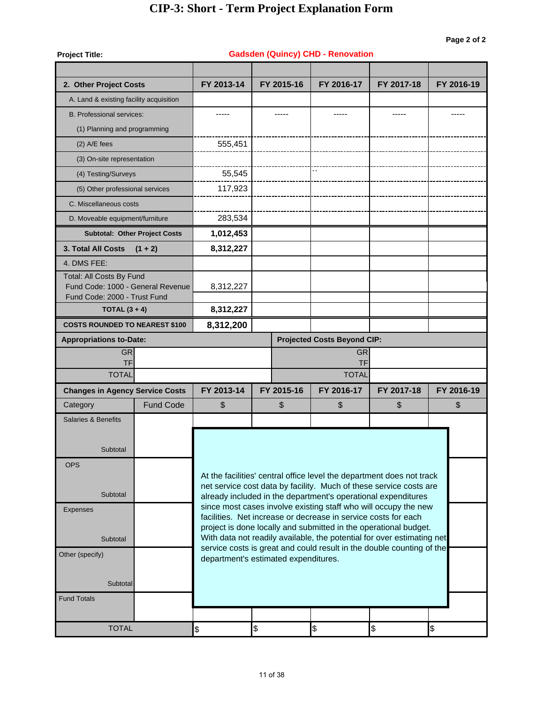| <b>Project Title:</b>                                             |                                      |                                                                                                                                                 |                                      | <b>Gadsden (Quincy) CHD - Renovation</b>                                                                                          |            |            |  |  |  |  |  |  |
|-------------------------------------------------------------------|--------------------------------------|-------------------------------------------------------------------------------------------------------------------------------------------------|--------------------------------------|-----------------------------------------------------------------------------------------------------------------------------------|------------|------------|--|--|--|--|--|--|
|                                                                   |                                      |                                                                                                                                                 |                                      |                                                                                                                                   |            |            |  |  |  |  |  |  |
| 2. Other Project Costs                                            |                                      | FY 2013-14                                                                                                                                      | FY 2015-16                           | FY 2016-17                                                                                                                        | FY 2017-18 | FY 2016-19 |  |  |  |  |  |  |
| A. Land & existing facility acquisition                           |                                      |                                                                                                                                                 |                                      |                                                                                                                                   |            |            |  |  |  |  |  |  |
| <b>B. Professional services:</b>                                  |                                      |                                                                                                                                                 |                                      |                                                                                                                                   | -----      |            |  |  |  |  |  |  |
| (1) Planning and programming                                      |                                      |                                                                                                                                                 |                                      |                                                                                                                                   |            |            |  |  |  |  |  |  |
| $(2)$ A/E fees                                                    |                                      | 555,451                                                                                                                                         |                                      |                                                                                                                                   |            |            |  |  |  |  |  |  |
| (3) On-site representation                                        |                                      |                                                                                                                                                 |                                      |                                                                                                                                   |            |            |  |  |  |  |  |  |
| (4) Testing/Surveys                                               |                                      | 55,545                                                                                                                                          |                                      |                                                                                                                                   |            |            |  |  |  |  |  |  |
| (5) Other professional services                                   |                                      | 117,923                                                                                                                                         |                                      |                                                                                                                                   |            |            |  |  |  |  |  |  |
| C. Miscellaneous costs                                            |                                      |                                                                                                                                                 |                                      |                                                                                                                                   |            |            |  |  |  |  |  |  |
| D. Moveable equipment/furniture                                   |                                      | 283,534                                                                                                                                         |                                      |                                                                                                                                   |            |            |  |  |  |  |  |  |
|                                                                   | <b>Subtotal: Other Project Costs</b> | 1,012,453                                                                                                                                       |                                      |                                                                                                                                   |            |            |  |  |  |  |  |  |
| <b>3. Total All Costs</b>                                         | $(1 + 2)$                            | 8,312,227                                                                                                                                       |                                      |                                                                                                                                   |            |            |  |  |  |  |  |  |
| 4. DMS FEE:                                                       |                                      |                                                                                                                                                 |                                      |                                                                                                                                   |            |            |  |  |  |  |  |  |
| Total: All Costs By Fund                                          |                                      |                                                                                                                                                 |                                      |                                                                                                                                   |            |            |  |  |  |  |  |  |
| Fund Code: 1000 - General Revenue<br>Fund Code: 2000 - Trust Fund |                                      | 8,312,227                                                                                                                                       |                                      |                                                                                                                                   |            |            |  |  |  |  |  |  |
| TOTAL $(3 + 4)$                                                   |                                      | 8,312,227                                                                                                                                       |                                      |                                                                                                                                   |            |            |  |  |  |  |  |  |
| <b>COSTS ROUNDED TO NEAREST \$100</b>                             |                                      | 8,312,200                                                                                                                                       |                                      |                                                                                                                                   |            |            |  |  |  |  |  |  |
| <b>Appropriations to-Date:</b>                                    |                                      |                                                                                                                                                 |                                      | <b>Projected Costs Beyond CIP:</b>                                                                                                |            |            |  |  |  |  |  |  |
| <b>GR</b>                                                         |                                      | <b>GR</b>                                                                                                                                       |                                      |                                                                                                                                   |            |            |  |  |  |  |  |  |
| <b>TF</b>                                                         |                                      | <b>TF</b>                                                                                                                                       |                                      |                                                                                                                                   |            |            |  |  |  |  |  |  |
| <b>TOTAL</b>                                                      |                                      |                                                                                                                                                 |                                      | <b>TOTAL</b>                                                                                                                      |            |            |  |  |  |  |  |  |
| <b>Changes in Agency Service Costs</b>                            |                                      | FY 2013-14                                                                                                                                      | FY 2015-16                           | FY 2016-17                                                                                                                        | FY 2017-18 | FY 2016-19 |  |  |  |  |  |  |
| Category                                                          | <b>Fund Code</b>                     | \$                                                                                                                                              | \$                                   | \$                                                                                                                                | \$         | \$         |  |  |  |  |  |  |
| <b>Salaries &amp; Benefits</b>                                    |                                      |                                                                                                                                                 |                                      |                                                                                                                                   |            |            |  |  |  |  |  |  |
|                                                                   |                                      |                                                                                                                                                 |                                      |                                                                                                                                   |            |            |  |  |  |  |  |  |
| Subtotal                                                          |                                      |                                                                                                                                                 |                                      |                                                                                                                                   |            |            |  |  |  |  |  |  |
| <b>OPS</b>                                                        |                                      |                                                                                                                                                 |                                      | At the facilities' central office level the department does not track                                                             |            |            |  |  |  |  |  |  |
|                                                                   |                                      |                                                                                                                                                 |                                      | net service cost data by facility. Much of these service costs are                                                                |            |            |  |  |  |  |  |  |
| Subtotal                                                          |                                      |                                                                                                                                                 |                                      | already included in the department's operational expenditures                                                                     |            |            |  |  |  |  |  |  |
| <b>Expenses</b>                                                   |                                      |                                                                                                                                                 |                                      | since most cases involve existing staff who will occupy the new<br>facilities. Net increase or decrease in service costs for each |            |            |  |  |  |  |  |  |
|                                                                   |                                      | project is done locally and submitted in the operational budget.                                                                                |                                      |                                                                                                                                   |            |            |  |  |  |  |  |  |
| Subtotal                                                          |                                      | With data not readily available, the potential for over estimating net<br>service costs is great and could result in the double counting of the |                                      |                                                                                                                                   |            |            |  |  |  |  |  |  |
| Other (specify)                                                   |                                      |                                                                                                                                                 | department's estimated expenditures. |                                                                                                                                   |            |            |  |  |  |  |  |  |
|                                                                   |                                      |                                                                                                                                                 |                                      |                                                                                                                                   |            |            |  |  |  |  |  |  |
| Subtotal                                                          |                                      |                                                                                                                                                 |                                      |                                                                                                                                   |            |            |  |  |  |  |  |  |
| <b>Fund Totals</b>                                                |                                      |                                                                                                                                                 |                                      |                                                                                                                                   |            |            |  |  |  |  |  |  |
|                                                                   |                                      |                                                                                                                                                 |                                      |                                                                                                                                   |            |            |  |  |  |  |  |  |
| <b>TOTAL</b>                                                      |                                      | \$                                                                                                                                              | \$                                   | \$                                                                                                                                | \$         | \$         |  |  |  |  |  |  |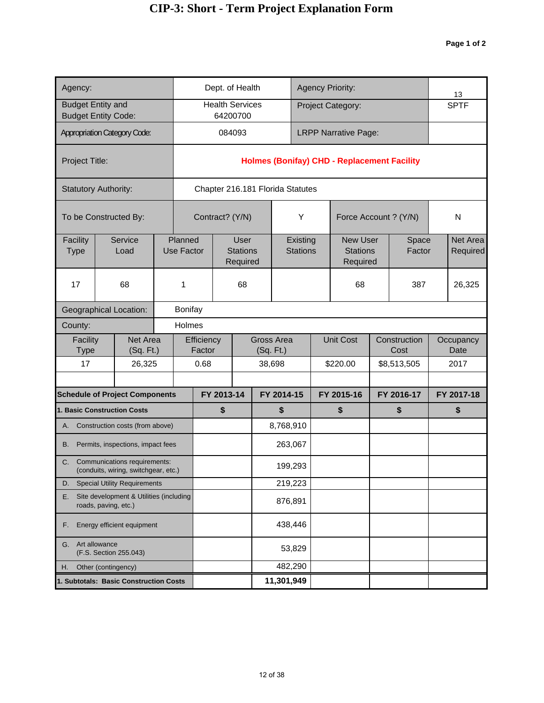| Agency:                                       |                                                                      |                | Dept. of Health<br><b>Health Services</b><br>64200700<br>084093<br>Chapter 216.181 Florida Statutes<br>Contract? (Y/N)<br>Planned<br><b>Use Factor</b> |                                            |            |  |            |                         |                             |            | <b>Agency Priority:</b>                            |            |                      | 13                   |
|-----------------------------------------------|----------------------------------------------------------------------|----------------|--------------------------------------------------------------------------------------------------------------------------------------------------------|--------------------------------------------|------------|--|------------|-------------------------|-----------------------------|------------|----------------------------------------------------|------------|----------------------|----------------------|
| <b>Budget Entity and</b>                      | <b>Budget Entity Code:</b>                                           |                |                                                                                                                                                        |                                            |            |  |            |                         |                             |            | Project Category:                                  |            |                      | <b>SPTF</b>          |
|                                               | <b>Appropriation Category Code:</b>                                  |                |                                                                                                                                                        |                                            |            |  |            |                         |                             |            | <b>LRPP Narrative Page:</b>                        |            |                      |                      |
| Project Title:                                |                                                                      |                |                                                                                                                                                        |                                            |            |  |            |                         |                             |            | <b>Holmes (Bonifay) CHD - Replacement Facility</b> |            |                      |                      |
|                                               | <b>Statutory Authority:</b>                                          |                |                                                                                                                                                        |                                            |            |  |            |                         |                             |            |                                                    |            |                      |                      |
|                                               | To be Constructed By:                                                |                |                                                                                                                                                        |                                            |            |  |            |                         | Υ                           |            | Force Account ? (Y/N)                              |            |                      | N                    |
| Facility<br><b>Type</b>                       | Service<br>Load                                                      |                |                                                                                                                                                        | <b>User</b><br><b>Stations</b><br>Required |            |  |            |                         | Existing<br><b>Stations</b> |            | <b>New User</b><br><b>Stations</b><br>Required     |            | Space<br>Factor      | Net Area<br>Required |
| 17                                            | 68                                                                   | 1              |                                                                                                                                                        |                                            | 68         |  |            |                         |                             | 68         |                                                    | 387        | 26,325               |                      |
|                                               | <b>Geographical Location:</b>                                        | <b>Bonifay</b> |                                                                                                                                                        |                                            |            |  |            |                         |                             |            |                                                    |            |                      |                      |
| County:                                       |                                                                      |                | Holmes                                                                                                                                                 |                                            |            |  |            |                         |                             |            |                                                    |            |                      |                      |
| Facility<br>Type                              | Net Area<br>(Sq. Ft.)                                                |                |                                                                                                                                                        | Efficiency<br>Factor                       |            |  |            | Gross Area<br>(Sq. Ft.) |                             |            | <b>Unit Cost</b>                                   |            | Construction<br>Cost | Occupancy<br>Date    |
| 17                                            | 26,325                                                               |                |                                                                                                                                                        | 0.68                                       |            |  |            | 38,698                  |                             |            | \$220.00                                           |            | \$8,513,505          | 2017                 |
|                                               | <b>Schedule of Project Components</b>                                |                |                                                                                                                                                        |                                            | FY 2013-14 |  | FY 2014-15 |                         |                             | FY 2015-16 |                                                    | FY 2016-17 |                      | FY 2017-18           |
|                                               | <b>1. Basic Construction Costs</b>                                   |                |                                                                                                                                                        |                                            | \$         |  |            | \$                      |                             |            | \$                                                 |            | \$                   | \$                   |
|                                               | A. Construction costs (from above)                                   |                |                                                                                                                                                        |                                            |            |  |            | 8,768,910               |                             |            |                                                    |            |                      |                      |
| В.                                            | Permits, inspections, impact fees                                    |                |                                                                                                                                                        |                                            |            |  |            | 263,067                 |                             |            |                                                    |            |                      |                      |
| C.                                            | Communications requirements:<br>(conduits, wiring, switchgear, etc.) |                |                                                                                                                                                        |                                            |            |  |            | 199,293                 |                             |            |                                                    |            |                      |                      |
| D.                                            | <b>Special Utility Requirements</b>                                  |                |                                                                                                                                                        |                                            |            |  |            | 219,223                 |                             |            |                                                    |            |                      |                      |
| Е.                                            | Site development & Utilities (including<br>roads, paving, etc.)      |                |                                                                                                                                                        |                                            |            |  |            | 876,891                 |                             |            |                                                    |            |                      |                      |
| F.                                            | Energy efficient equipment                                           |                |                                                                                                                                                        |                                            |            |  |            | 438,446                 |                             |            |                                                    |            |                      |                      |
| Art allowance<br>G.<br>(F.S. Section 255.043) |                                                                      |                |                                                                                                                                                        |                                            |            |  |            | 53,829                  |                             |            |                                                    |            |                      |                      |
| Η.                                            | Other (contingency)                                                  |                |                                                                                                                                                        |                                            |            |  |            | 482,290                 |                             |            |                                                    |            |                      |                      |
|                                               | 1. Subtotals: Basic Construction Costs                               |                |                                                                                                                                                        |                                            |            |  | 11,301,949 |                         |                             |            |                                                    |            |                      |                      |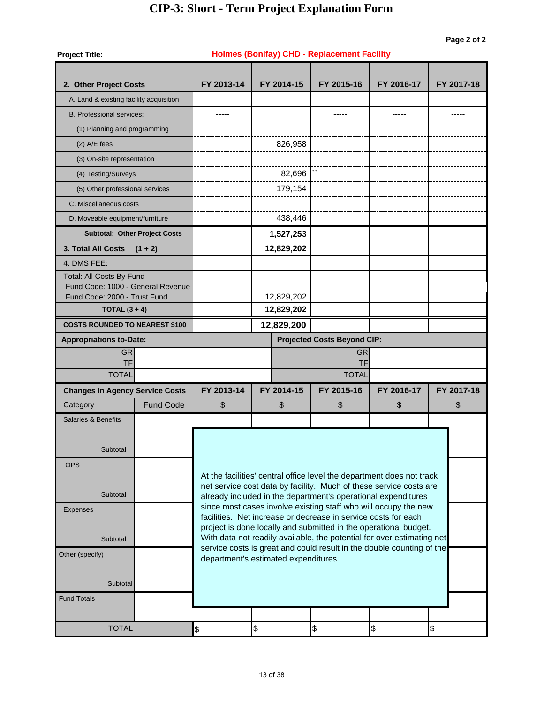| <b>Project Title:</b>                                         |                                      |                    |                                      | <b>Holmes (Bonifay) CHD - Replacement Facility</b>             |                                                                                                                                                 |            |  |  |  |  |  |
|---------------------------------------------------------------|--------------------------------------|--------------------|--------------------------------------|----------------------------------------------------------------|-------------------------------------------------------------------------------------------------------------------------------------------------|------------|--|--|--|--|--|
| 2. Other Project Costs                                        |                                      | FY 2013-14         | FY 2014-15                           | FY 2015-16                                                     | FY 2016-17                                                                                                                                      | FY 2017-18 |  |  |  |  |  |
| A. Land & existing facility acquisition                       |                                      |                    |                                      |                                                                |                                                                                                                                                 |            |  |  |  |  |  |
| <b>B. Professional services:</b>                              |                                      | -----              |                                      | -----                                                          | -----                                                                                                                                           | -----      |  |  |  |  |  |
| (1) Planning and programming                                  |                                      |                    |                                      |                                                                |                                                                                                                                                 |            |  |  |  |  |  |
| $(2)$ A/E fees                                                |                                      |                    | 826,958                              |                                                                |                                                                                                                                                 |            |  |  |  |  |  |
| (3) On-site representation                                    |                                      |                    |                                      |                                                                |                                                                                                                                                 |            |  |  |  |  |  |
|                                                               |                                      |                    |                                      |                                                                |                                                                                                                                                 |            |  |  |  |  |  |
| (4) Testing/Surveys                                           |                                      |                    | 82,696                               |                                                                |                                                                                                                                                 |            |  |  |  |  |  |
| (5) Other professional services                               |                                      |                    | 179,154                              |                                                                |                                                                                                                                                 |            |  |  |  |  |  |
| C. Miscellaneous costs                                        |                                      |                    |                                      |                                                                |                                                                                                                                                 |            |  |  |  |  |  |
| D. Moveable equipment/furniture                               |                                      |                    | 438,446                              |                                                                |                                                                                                                                                 |            |  |  |  |  |  |
|                                                               | <b>Subtotal: Other Project Costs</b> |                    | 1,527,253                            |                                                                |                                                                                                                                                 |            |  |  |  |  |  |
| 3. Total All Costs                                            | $(1 + 2)$                            |                    | 12,829,202                           |                                                                |                                                                                                                                                 |            |  |  |  |  |  |
| 4. DMS FEE:                                                   |                                      |                    |                                      |                                                                |                                                                                                                                                 |            |  |  |  |  |  |
| Total: All Costs By Fund<br>Fund Code: 1000 - General Revenue |                                      |                    |                                      |                                                                |                                                                                                                                                 |            |  |  |  |  |  |
| Fund Code: 2000 - Trust Fund                                  |                                      |                    | 12,829,202                           |                                                                |                                                                                                                                                 |            |  |  |  |  |  |
| TOTAL $(3 + 4)$                                               |                                      |                    | 12,829,202                           |                                                                |                                                                                                                                                 |            |  |  |  |  |  |
| <b>COSTS ROUNDED TO NEAREST \$100</b>                         |                                      |                    | 12,829,200                           |                                                                |                                                                                                                                                 |            |  |  |  |  |  |
| <b>Appropriations to-Date:</b>                                |                                      |                    |                                      | <b>Projected Costs Beyond CIP:</b>                             |                                                                                                                                                 |            |  |  |  |  |  |
| <b>GR</b>                                                     |                                      | <b>GR</b>          |                                      |                                                                |                                                                                                                                                 |            |  |  |  |  |  |
| TF<br><b>TOTAL</b>                                            |                                      | TF<br><b>TOTAL</b> |                                      |                                                                |                                                                                                                                                 |            |  |  |  |  |  |
| <b>Changes in Agency Service Costs</b>                        |                                      | FY 2013-14         | FY 2014-15                           | FY 2015-16                                                     | FY 2016-17                                                                                                                                      | FY 2017-18 |  |  |  |  |  |
| Category                                                      | <b>Fund Code</b>                     | \$                 | \$                                   | \$                                                             | \$                                                                                                                                              | \$         |  |  |  |  |  |
| <b>Salaries &amp; Benefits</b>                                |                                      |                    |                                      |                                                                |                                                                                                                                                 |            |  |  |  |  |  |
|                                                               |                                      |                    |                                      |                                                                |                                                                                                                                                 |            |  |  |  |  |  |
|                                                               |                                      |                    |                                      |                                                                |                                                                                                                                                 |            |  |  |  |  |  |
| Subtotal                                                      |                                      |                    |                                      |                                                                |                                                                                                                                                 |            |  |  |  |  |  |
| <b>OPS</b>                                                    |                                      |                    |                                      |                                                                | At the facilities' central office level the department does not track                                                                           |            |  |  |  |  |  |
|                                                               |                                      |                    |                                      |                                                                | net service cost data by facility. Much of these service costs are                                                                              |            |  |  |  |  |  |
| Subtotal                                                      |                                      |                    |                                      |                                                                | already included in the department's operational expenditures                                                                                   |            |  |  |  |  |  |
| <b>Expenses</b>                                               |                                      |                    |                                      | facilities. Net increase or decrease in service costs for each | since most cases involve existing staff who will occupy the new                                                                                 |            |  |  |  |  |  |
|                                                               |                                      |                    |                                      |                                                                | project is done locally and submitted in the operational budget.                                                                                |            |  |  |  |  |  |
| Subtotal                                                      |                                      |                    |                                      |                                                                | With data not readily available, the potential for over estimating net<br>service costs is great and could result in the double counting of the |            |  |  |  |  |  |
| Other (specify)                                               |                                      |                    | department's estimated expenditures. |                                                                |                                                                                                                                                 |            |  |  |  |  |  |
|                                                               |                                      |                    |                                      |                                                                |                                                                                                                                                 |            |  |  |  |  |  |
| Subtotal                                                      |                                      |                    |                                      |                                                                |                                                                                                                                                 |            |  |  |  |  |  |
| <b>Fund Totals</b>                                            |                                      |                    |                                      |                                                                |                                                                                                                                                 |            |  |  |  |  |  |
|                                                               |                                      |                    |                                      |                                                                |                                                                                                                                                 |            |  |  |  |  |  |
| <b>TOTAL</b>                                                  |                                      | \$                 | \$                                   | \$                                                             | \$                                                                                                                                              | \$         |  |  |  |  |  |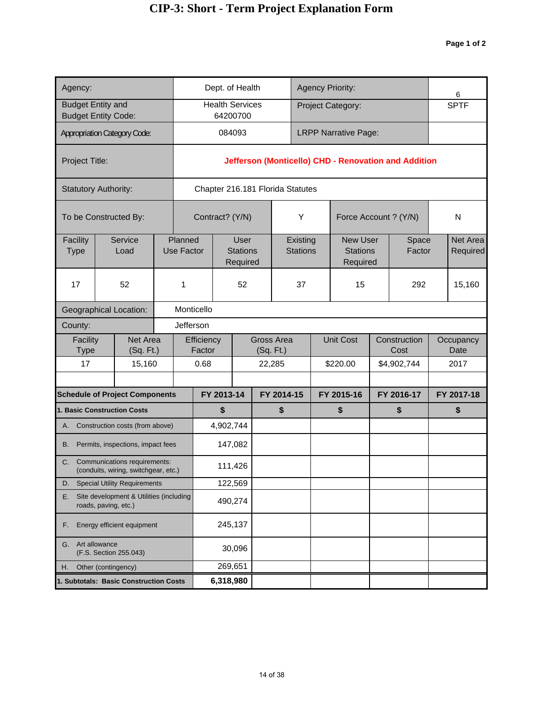| Agency:                  |                                                                         |                              |                      | Dept. of Health                            |  |                             |    | <b>Agency Priority:</b>                        |  |                                                      | 6                    |
|--------------------------|-------------------------------------------------------------------------|------------------------------|----------------------|--------------------------------------------|--|-----------------------------|----|------------------------------------------------|--|------------------------------------------------------|----------------------|
| <b>Budget Entity and</b> | <b>Budget Entity Code:</b>                                              |                              |                      | <b>Health Services</b><br>64200700         |  |                             |    | Project Category:                              |  |                                                      | <b>SPTF</b>          |
|                          | <b>Appropriation Category Code:</b>                                     |                              |                      | 084093                                     |  |                             |    | <b>LRPP Narrative Page:</b>                    |  |                                                      |                      |
| Project Title:           |                                                                         |                              |                      |                                            |  |                             |    |                                                |  | Jefferson (Monticello) CHD - Renovation and Addition |                      |
|                          | <b>Statutory Authority:</b>                                             |                              |                      | Chapter 216.181 Florida Statutes           |  |                             |    |                                                |  |                                                      |                      |
|                          | To be Constructed By:                                                   |                              |                      | Contract? (Y/N)                            |  | Υ                           |    | Force Account ? (Y/N)                          |  |                                                      | N                    |
| Facility<br><b>Type</b>  | Service<br>Load                                                         | Planned<br><b>Use Factor</b> |                      | <b>User</b><br><b>Stations</b><br>Required |  | Existing<br><b>Stations</b> |    | <b>New User</b><br><b>Stations</b><br>Required |  | Space<br>Factor                                      | Net Area<br>Required |
| 17                       | 52                                                                      | 1                            |                      | 52                                         |  | 37                          |    | 15                                             |  | 292                                                  | 15,160               |
|                          | <b>Geographical Location:</b>                                           |                              | Monticello           |                                            |  |                             |    |                                                |  |                                                      |                      |
| County:                  |                                                                         |                              | Jefferson            |                                            |  |                             |    |                                                |  |                                                      |                      |
| Facility<br>Type         | Net Area<br>(Sq. Ft.)                                                   |                              | Efficiency<br>Factor |                                            |  | Gross Area<br>(Sq. Ft.)     |    | <b>Unit Cost</b>                               |  | Construction<br>Cost                                 | Occupancy<br>Date    |
| 17                       | 15,160                                                                  |                              | 0.68                 |                                            |  | 22,285                      |    | \$220.00                                       |  | \$4,902,744                                          | 2017                 |
|                          | <b>Schedule of Project Components</b>                                   |                              |                      | FY 2013-14                                 |  | FY 2014-15                  |    | FY 2015-16                                     |  | FY 2016-17                                           | FY 2017-18           |
|                          | <b>1. Basic Construction Costs</b>                                      |                              |                      | \$                                         |  | \$                          | \$ |                                                |  | \$                                                   | \$                   |
|                          | A. Construction costs (from above)                                      |                              |                      | 4,902,744                                  |  |                             |    |                                                |  |                                                      |                      |
| В.                       | Permits, inspections, impact fees                                       |                              |                      | 147,082                                    |  |                             |    |                                                |  |                                                      |                      |
|                          | C. Communications requirements:<br>(conduits, wiring, switchgear, etc.) |                              |                      | 111,426                                    |  |                             |    |                                                |  |                                                      |                      |
| D.                       | <b>Special Utility Requirements</b>                                     |                              |                      | 122,569                                    |  |                             |    |                                                |  |                                                      |                      |
| Е.                       | Site development & Utilities (including<br>roads, paving, etc.)         |                              |                      | 490,274                                    |  |                             |    |                                                |  |                                                      |                      |
| F.                       | Energy efficient equipment                                              |                              |                      | 245,137                                    |  |                             |    |                                                |  |                                                      |                      |
| G.                       | Art allowance<br>(F.S. Section 255.043)                                 |                              |                      | 30,096                                     |  |                             |    |                                                |  |                                                      |                      |
| Η.                       | Other (contingency)                                                     |                              |                      | 269,651                                    |  |                             |    |                                                |  |                                                      |                      |
|                          | 1. Subtotals: Basic Construction Costs                                  |                              | 6,318,980            |                                            |  |                             |    |                                                |  |                                                      |                      |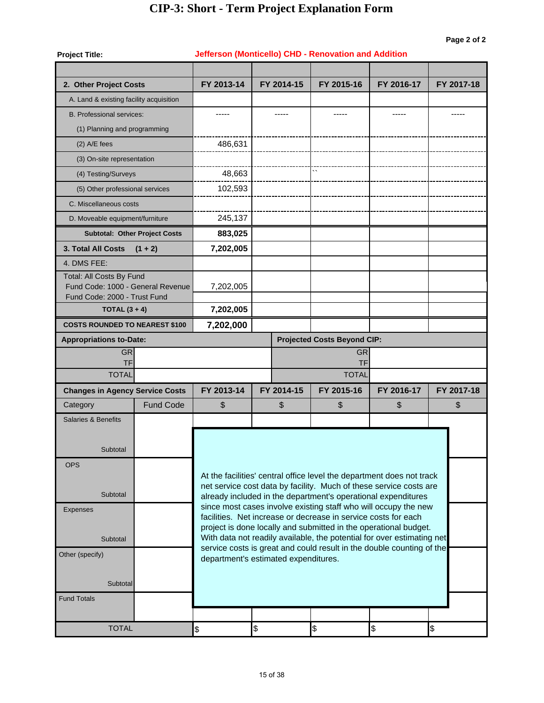| <b>Project Title:</b>                                             |                                      |               | Jefferson (Monticello) CHD - Renovation and Addition           |                                    |                                                                                                                                            |               |
|-------------------------------------------------------------------|--------------------------------------|---------------|----------------------------------------------------------------|------------------------------------|--------------------------------------------------------------------------------------------------------------------------------------------|---------------|
|                                                                   |                                      |               |                                                                |                                    |                                                                                                                                            |               |
| 2. Other Project Costs                                            |                                      | FY 2013-14    | FY 2014-15                                                     | FY 2015-16                         | FY 2016-17                                                                                                                                 | FY 2017-18    |
| A. Land & existing facility acquisition                           |                                      |               |                                                                |                                    |                                                                                                                                            |               |
| <b>B. Professional services:</b>                                  |                                      |               |                                                                |                                    |                                                                                                                                            |               |
| (1) Planning and programming                                      |                                      |               |                                                                |                                    |                                                                                                                                            |               |
| $(2)$ A/E fees                                                    |                                      | 486,631       |                                                                |                                    |                                                                                                                                            |               |
| (3) On-site representation                                        |                                      |               |                                                                |                                    |                                                                                                                                            |               |
| (4) Testing/Surveys                                               |                                      | 48,663        |                                                                |                                    |                                                                                                                                            |               |
| (5) Other professional services                                   |                                      | 102,593       |                                                                |                                    |                                                                                                                                            |               |
| C. Miscellaneous costs                                            |                                      |               |                                                                |                                    |                                                                                                                                            |               |
| D. Moveable equipment/furniture                                   |                                      | 245,137       |                                                                |                                    |                                                                                                                                            |               |
|                                                                   | <b>Subtotal: Other Project Costs</b> | 883,025       |                                                                |                                    |                                                                                                                                            |               |
| 3. Total All Costs                                                | $(1 + 2)$                            | 7,202,005     |                                                                |                                    |                                                                                                                                            |               |
| 4. DMS FEE:                                                       |                                      |               |                                                                |                                    |                                                                                                                                            |               |
| Total: All Costs By Fund                                          |                                      |               |                                                                |                                    |                                                                                                                                            |               |
| Fund Code: 1000 - General Revenue<br>Fund Code: 2000 - Trust Fund |                                      | 7,202,005     |                                                                |                                    |                                                                                                                                            |               |
| TOTAL $(3 + 4)$                                                   |                                      | 7,202,005     |                                                                |                                    |                                                                                                                                            |               |
| <b>COSTS ROUNDED TO NEAREST \$100</b>                             |                                      | 7,202,000     |                                                                |                                    |                                                                                                                                            |               |
| <b>Appropriations to-Date:</b>                                    |                                      |               |                                                                | <b>Projected Costs Beyond CIP:</b> |                                                                                                                                            |               |
| <b>GR</b>                                                         |                                      |               |                                                                | <b>GR</b>                          |                                                                                                                                            |               |
| <b>TF</b><br><b>TOTAL</b>                                         |                                      |               |                                                                | <b>TF</b><br><b>TOTAL</b>          |                                                                                                                                            |               |
| <b>Changes in Agency Service Costs</b>                            |                                      | FY 2013-14    | FY 2014-15                                                     | FY 2015-16                         | FY 2016-17                                                                                                                                 | FY 2017-18    |
| Category                                                          | <b>Fund Code</b>                     | \$            | \$                                                             | \$                                 | \$                                                                                                                                         | \$            |
| <b>Salaries &amp; Benefits</b>                                    |                                      |               |                                                                |                                    |                                                                                                                                            |               |
|                                                                   |                                      |               |                                                                |                                    |                                                                                                                                            |               |
| Subtotal                                                          |                                      |               |                                                                |                                    |                                                                                                                                            |               |
| <b>OPS</b>                                                        |                                      |               |                                                                |                                    |                                                                                                                                            |               |
|                                                                   |                                      |               |                                                                |                                    | At the facilities' central office level the department does not track                                                                      |               |
| Subtotal                                                          |                                      |               |                                                                |                                    | net service cost data by facility. Much of these service costs are                                                                         |               |
| <b>Expenses</b>                                                   |                                      |               |                                                                |                                    | already included in the department's operational expenditures<br>since most cases involve existing staff who will occupy the new           |               |
|                                                                   |                                      |               | facilities. Net increase or decrease in service costs for each |                                    |                                                                                                                                            |               |
| Subtotal                                                          |                                      |               |                                                                |                                    | project is done locally and submitted in the operational budget.<br>With data not readily available, the potential for over estimating net |               |
| Other (specify)                                                   |                                      |               |                                                                |                                    | service costs is great and could result in the double counting of the                                                                      |               |
|                                                                   |                                      |               | department's estimated expenditures.                           |                                    |                                                                                                                                            |               |
| Subtotal                                                          |                                      |               |                                                                |                                    |                                                                                                                                            |               |
| <b>Fund Totals</b>                                                |                                      |               |                                                                |                                    |                                                                                                                                            |               |
|                                                                   |                                      |               |                                                                |                                    |                                                                                                                                            |               |
| <b>TOTAL</b>                                                      |                                      | $\frac{1}{2}$ | \$                                                             | \$                                 | \$                                                                                                                                         | $\frac{1}{2}$ |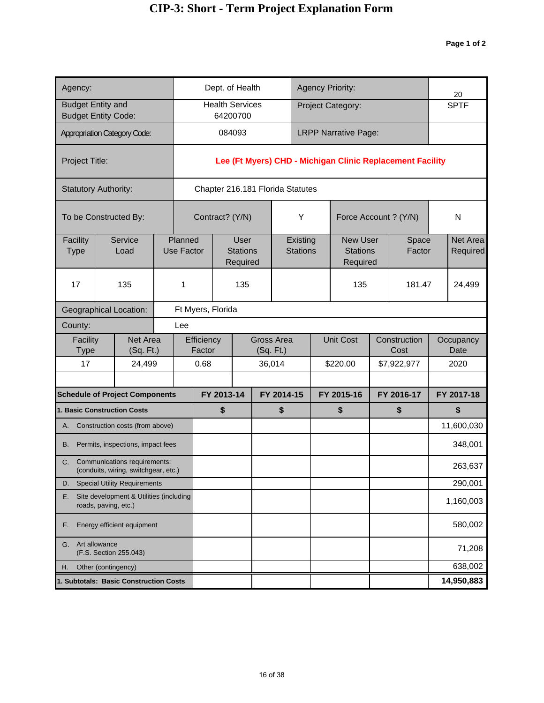| Agency:                                                               |                                                                         |  |                              |                      |                   | Dept. of Health                            |           |                                  |                             | <b>Agency Priority:</b>                        |                                                           | 20                   |
|-----------------------------------------------------------------------|-------------------------------------------------------------------------|--|------------------------------|----------------------|-------------------|--------------------------------------------|-----------|----------------------------------|-----------------------------|------------------------------------------------|-----------------------------------------------------------|----------------------|
|                                                                       | <b>Budget Entity and</b><br><b>Budget Entity Code:</b>                  |  |                              |                      | 64200700          | <b>Health Services</b>                     |           |                                  |                             | Project Category:                              |                                                           | <b>SPTF</b>          |
|                                                                       | <b>Appropriation Category Code:</b>                                     |  |                              |                      | 084093            |                                            |           |                                  |                             | <b>LRPP Narrative Page:</b>                    |                                                           |                      |
| Project Title:                                                        |                                                                         |  |                              |                      |                   |                                            |           |                                  |                             |                                                | Lee (Ft Myers) CHD - Michigan Clinic Replacement Facility |                      |
|                                                                       | <b>Statutory Authority:</b>                                             |  |                              |                      |                   |                                            |           | Chapter 216.181 Florida Statutes |                             |                                                |                                                           |                      |
|                                                                       | To be Constructed By:                                                   |  |                              |                      | Contract? (Y/N)   |                                            |           |                                  | Υ                           | Force Account ? (Y/N)                          |                                                           | N                    |
| Facility<br><b>Type</b>                                               | Service<br>Load                                                         |  | Planned<br><b>Use Factor</b> |                      |                   | <b>User</b><br><b>Stations</b><br>Required |           |                                  | Existing<br><b>Stations</b> | <b>New User</b><br><b>Stations</b><br>Required | Space<br>Factor                                           | Net Area<br>Required |
| 17                                                                    | 135                                                                     |  | 1                            |                      |                   | 135                                        |           |                                  |                             | 135                                            | 181.47                                                    | 24,499               |
|                                                                       | <b>Geographical Location:</b>                                           |  |                              |                      | Ft Myers, Florida |                                            |           |                                  |                             |                                                |                                                           |                      |
| County:                                                               |                                                                         |  | Lee                          |                      |                   |                                            |           |                                  |                             |                                                |                                                           |                      |
| Facility<br>Type                                                      | Net Area<br>(Sq. Ft.)                                                   |  |                              | Efficiency<br>Factor |                   |                                            | (Sq. Ft.) | Gross Area                       |                             | <b>Unit Cost</b>                               | Construction<br>Cost                                      | Occupancy<br>Date    |
| 17                                                                    | 24,499                                                                  |  | 0.68                         |                      |                   | 36,014                                     |           |                                  |                             | \$220.00                                       | \$7,922,977                                               | 2020                 |
|                                                                       | <b>Schedule of Project Components</b>                                   |  |                              |                      | FY 2013-14        |                                            |           | FY 2014-15                       |                             | FY 2015-16                                     | FY 2016-17                                                | FY 2017-18           |
|                                                                       | <b>1. Basic Construction Costs</b>                                      |  |                              |                      | \$                |                                            |           | \$                               |                             | \$                                             | \$                                                        | \$                   |
|                                                                       | A. Construction costs (from above)                                      |  |                              |                      |                   |                                            |           |                                  |                             |                                                |                                                           | 11,600,030           |
| В.                                                                    | Permits, inspections, impact fees                                       |  |                              |                      |                   |                                            |           |                                  |                             |                                                |                                                           | 348,001              |
|                                                                       | C. Communications requirements:<br>(conduits, wiring, switchgear, etc.) |  |                              |                      |                   |                                            |           |                                  |                             |                                                |                                                           | 263,637              |
| D.                                                                    | <b>Special Utility Requirements</b>                                     |  |                              |                      |                   |                                            |           |                                  |                             |                                                |                                                           | 290,001              |
| Site development & Utilities (including<br>Е.<br>roads, paving, etc.) |                                                                         |  |                              |                      |                   |                                            |           |                                  |                             |                                                |                                                           | 1,160,003            |
| Energy efficient equipment<br>F.                                      |                                                                         |  |                              |                      |                   |                                            |           |                                  |                             |                                                |                                                           | 580,002              |
| Art allowance<br>G.<br>(F.S. Section 255.043)                         |                                                                         |  |                              |                      |                   |                                            |           |                                  |                             | 71,208                                         |                                                           |                      |
| Other (contingency)<br>Η.                                             |                                                                         |  |                              |                      |                   |                                            |           |                                  |                             | 638,002                                        |                                                           |                      |
|                                                                       | 1. Subtotals: Basic Construction Costs                                  |  |                              |                      |                   |                                            |           |                                  |                             |                                                | 14,950,883                                                |                      |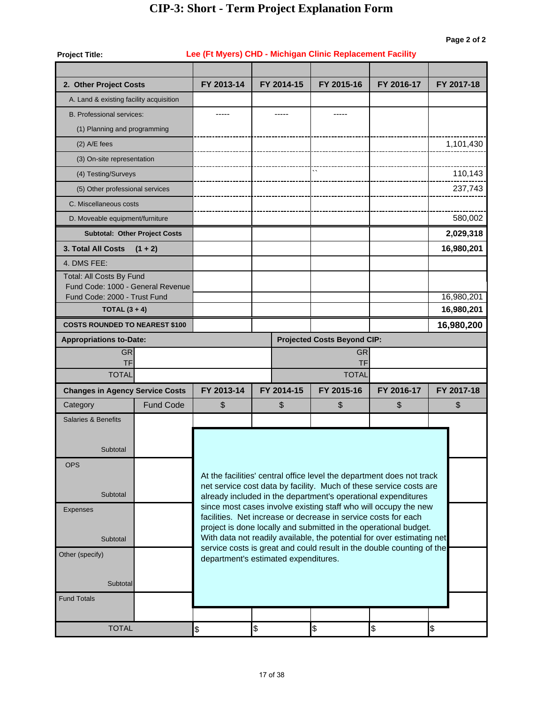| <b>Project Title:</b>                                             |                                                                |            |                                      | Lee (Ft Myers) CHD - Michigan Clinic Replacement Facility                                                                                       |            |            |
|-------------------------------------------------------------------|----------------------------------------------------------------|------------|--------------------------------------|-------------------------------------------------------------------------------------------------------------------------------------------------|------------|------------|
|                                                                   |                                                                |            |                                      |                                                                                                                                                 |            |            |
| 2. Other Project Costs                                            |                                                                | FY 2013-14 | FY 2014-15                           | FY 2015-16                                                                                                                                      | FY 2016-17 | FY 2017-18 |
| A. Land & existing facility acquisition                           |                                                                |            |                                      |                                                                                                                                                 |            |            |
| <b>B. Professional services:</b>                                  |                                                                |            |                                      |                                                                                                                                                 |            |            |
| (1) Planning and programming                                      |                                                                |            |                                      |                                                                                                                                                 |            |            |
| $(2)$ A/E fees                                                    |                                                                |            |                                      |                                                                                                                                                 |            | 1,101,430  |
| (3) On-site representation                                        |                                                                |            |                                      |                                                                                                                                                 |            |            |
| (4) Testing/Surveys                                               |                                                                |            |                                      | $\overline{\phantom{a}}$                                                                                                                        |            | 110,143    |
| (5) Other professional services                                   |                                                                |            |                                      |                                                                                                                                                 |            | 237,743    |
| C. Miscellaneous costs                                            |                                                                |            |                                      |                                                                                                                                                 |            |            |
| D. Moveable equipment/furniture                                   |                                                                |            |                                      |                                                                                                                                                 |            | 580,002    |
|                                                                   | <b>Subtotal: Other Project Costs</b>                           |            |                                      |                                                                                                                                                 |            | 2,029,318  |
| <b>3. Total All Costs</b>                                         | $(1 + 2)$                                                      |            |                                      |                                                                                                                                                 |            | 16,980,201 |
| 4. DMS FEE:                                                       |                                                                |            |                                      |                                                                                                                                                 |            |            |
| Total: All Costs By Fund                                          |                                                                |            |                                      |                                                                                                                                                 |            |            |
| Fund Code: 1000 - General Revenue<br>Fund Code: 2000 - Trust Fund |                                                                |            |                                      |                                                                                                                                                 |            | 16,980,201 |
| TOTAL $(3 + 4)$                                                   |                                                                |            |                                      |                                                                                                                                                 |            | 16,980,201 |
| <b>COSTS ROUNDED TO NEAREST \$100</b>                             |                                                                |            |                                      |                                                                                                                                                 |            | 16,980,200 |
| <b>Appropriations to-Date:</b>                                    |                                                                |            |                                      | <b>Projected Costs Beyond CIP:</b>                                                                                                              |            |            |
| <b>GR</b>                                                         |                                                                |            |                                      | <b>GR</b>                                                                                                                                       |            |            |
| <b>TF</b><br><b>TOTAL</b>                                         |                                                                |            |                                      | TF<br><b>TOTAL</b>                                                                                                                              |            |            |
| <b>Changes in Agency Service Costs</b>                            |                                                                | FY 2013-14 | FY 2014-15                           | FY 2015-16                                                                                                                                      | FY 2016-17 | FY 2017-18 |
| Category                                                          | <b>Fund Code</b>                                               | \$         | \$                                   | $\boldsymbol{\mathsf{S}}$                                                                                                                       | \$         | \$         |
| <b>Salaries &amp; Benefits</b>                                    |                                                                |            |                                      |                                                                                                                                                 |            |            |
|                                                                   |                                                                |            |                                      |                                                                                                                                                 |            |            |
| Subtotal                                                          |                                                                |            |                                      |                                                                                                                                                 |            |            |
|                                                                   |                                                                |            |                                      |                                                                                                                                                 |            |            |
| <b>OPS</b>                                                        |                                                                |            |                                      | At the facilities' central office level the department does not track                                                                           |            |            |
|                                                                   |                                                                |            |                                      | net service cost data by facility. Much of these service costs are                                                                              |            |            |
| Subtotal                                                          |                                                                |            |                                      | already included in the department's operational expenditures<br>since most cases involve existing staff who will occupy the new                |            |            |
| <b>Expenses</b>                                                   | facilities. Net increase or decrease in service costs for each |            |                                      |                                                                                                                                                 |            |            |
|                                                                   |                                                                |            |                                      | project is done locally and submitted in the operational budget.                                                                                |            |            |
| Subtotal                                                          |                                                                |            |                                      | With data not readily available, the potential for over estimating net<br>service costs is great and could result in the double counting of the |            |            |
| Other (specify)                                                   |                                                                |            | department's estimated expenditures. |                                                                                                                                                 |            |            |
|                                                                   |                                                                |            |                                      |                                                                                                                                                 |            |            |
| Subtotal                                                          |                                                                |            |                                      |                                                                                                                                                 |            |            |
| <b>Fund Totals</b>                                                |                                                                |            |                                      |                                                                                                                                                 |            |            |
|                                                                   |                                                                |            |                                      |                                                                                                                                                 |            |            |
| <b>TOTAL</b>                                                      |                                                                | \$         | \$                                   | $\frac{1}{2}$                                                                                                                                   | \$         | \$         |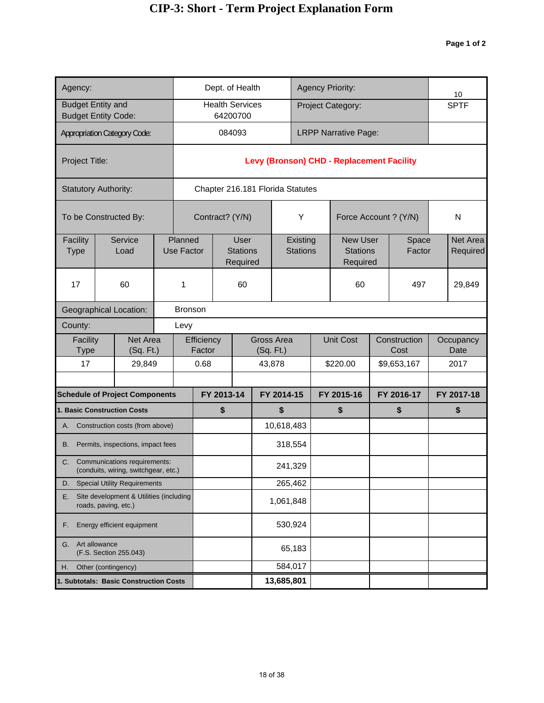| Agency:                                       |                                                                      |  |                              | Dept. of Health                  |                                            |            |            |                             |            | <b>Agency Priority:</b>                        |            |                      | 10                   |
|-----------------------------------------------|----------------------------------------------------------------------|--|------------------------------|----------------------------------|--------------------------------------------|------------|------------|-----------------------------|------------|------------------------------------------------|------------|----------------------|----------------------|
| <b>Budget Entity and</b>                      | <b>Budget Entity Code:</b>                                           |  |                              | <b>Health Services</b>           | 64200700                                   |            |            |                             |            | Project Category:                              |            |                      | <b>SPTF</b>          |
|                                               | <b>Appropriation Category Code:</b>                                  |  |                              |                                  | 084093                                     |            |            |                             |            | <b>LRPP Narrative Page:</b>                    |            |                      |                      |
| Project Title:                                |                                                                      |  |                              |                                  |                                            |            |            |                             |            | Levy (Bronson) CHD - Replacement Facility      |            |                      |                      |
|                                               | <b>Statutory Authority:</b>                                          |  |                              | Chapter 216.181 Florida Statutes |                                            |            |            |                             |            |                                                |            |                      |                      |
|                                               | To be Constructed By:                                                |  |                              | Contract? (Y/N)                  |                                            |            |            | Υ                           |            | Force Account ? (Y/N)                          |            |                      | N                    |
| Facility<br><b>Type</b>                       | Service<br>Load                                                      |  | Planned<br><b>Use Factor</b> |                                  | <b>User</b><br><b>Stations</b><br>Required |            |            | Existing<br><b>Stations</b> |            | <b>New User</b><br><b>Stations</b><br>Required |            | Space<br>Factor      | Net Area<br>Required |
| 17                                            | 60                                                                   |  | 1                            |                                  | 60                                         |            |            |                             |            | 60                                             |            | 497                  | 29,849               |
|                                               | <b>Geographical Location:</b>                                        |  | <b>Bronson</b>               |                                  |                                            |            |            |                             |            |                                                |            |                      |                      |
| County:                                       |                                                                      |  | Levy                         |                                  |                                            |            |            |                             |            |                                                |            |                      |                      |
| Facility<br>Type                              | Net Area<br>(Sq. Ft.)                                                |  |                              | Efficiency<br>Factor             |                                            | (Sq. Ft.)  | Gross Area |                             |            | <b>Unit Cost</b>                               |            | Construction<br>Cost | Occupancy<br>Date    |
| 17                                            | 29,849                                                               |  |                              | 0.68                             |                                            | 43,878     |            |                             |            | \$220.00                                       |            | \$9,653,167          | 2017                 |
|                                               | <b>Schedule of Project Components</b>                                |  |                              | FY 2013-14                       |                                            | FY 2014-15 |            |                             | FY 2015-16 |                                                | FY 2016-17 |                      | FY 2017-18           |
|                                               | <b>1. Basic Construction Costs</b>                                   |  |                              | \$                               |                                            |            | \$         |                             |            | \$                                             |            | \$                   | \$                   |
|                                               | A. Construction costs (from above)                                   |  |                              |                                  |                                            |            | 10,618,483 |                             |            |                                                |            |                      |                      |
| В.                                            | Permits, inspections, impact fees                                    |  |                              |                                  |                                            |            | 318,554    |                             |            |                                                |            |                      |                      |
| C.                                            | Communications requirements:<br>(conduits, wiring, switchgear, etc.) |  |                              |                                  |                                            |            | 241,329    |                             |            |                                                |            |                      |                      |
| D.                                            | <b>Special Utility Requirements</b>                                  |  |                              |                                  |                                            |            | 265,462    |                             |            |                                                |            |                      |                      |
| Е.                                            | Site development & Utilities (including<br>roads, paving, etc.)      |  |                              |                                  |                                            |            | 1,061,848  |                             |            |                                                |            |                      |                      |
| Energy efficient equipment<br>F.              |                                                                      |  |                              |                                  |                                            |            | 530,924    |                             |            |                                                |            |                      |                      |
| Art allowance<br>G.<br>(F.S. Section 255.043) |                                                                      |  |                              |                                  |                                            |            | 65,183     |                             |            |                                                |            |                      |                      |
| Other (contingency)<br>Η.                     |                                                                      |  |                              |                                  |                                            |            | 584,017    |                             |            |                                                |            |                      |                      |
| 1. Subtotals: Basic Construction Costs        |                                                                      |  |                              |                                  |                                            |            | 13,685,801 |                             |            |                                                |            |                      |                      |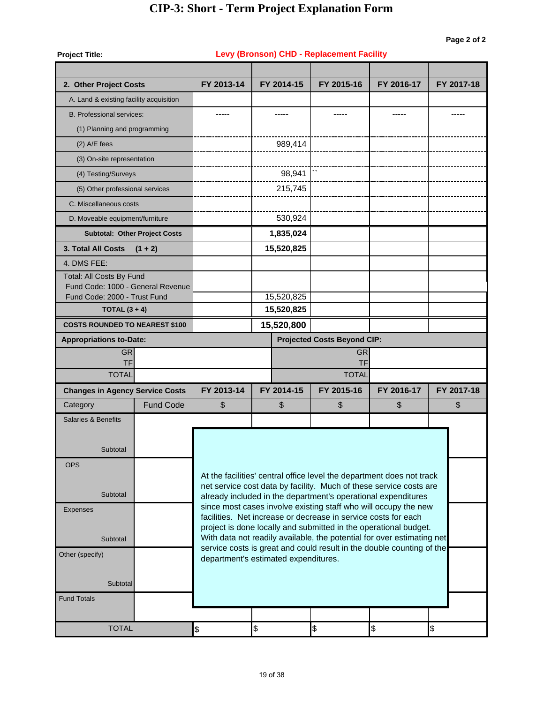| <b>Project Title:</b>                                             |                                      |                 |                                      | Levy (Bronson) CHD - Replacement Facility                                                                                           |               |            |  |  |  |
|-------------------------------------------------------------------|--------------------------------------|-----------------|--------------------------------------|-------------------------------------------------------------------------------------------------------------------------------------|---------------|------------|--|--|--|
| 2. Other Project Costs                                            |                                      | FY 2013-14      | FY 2014-15                           | FY 2015-16                                                                                                                          | FY 2016-17    | FY 2017-18 |  |  |  |
| A. Land & existing facility acquisition                           |                                      |                 |                                      |                                                                                                                                     |               |            |  |  |  |
| <b>B. Professional services:</b>                                  |                                      |                 |                                      |                                                                                                                                     |               |            |  |  |  |
| (1) Planning and programming                                      |                                      |                 |                                      |                                                                                                                                     |               |            |  |  |  |
| $(2)$ A/E fees                                                    |                                      |                 | 989,414                              |                                                                                                                                     |               |            |  |  |  |
| (3) On-site representation                                        |                                      |                 |                                      |                                                                                                                                     |               |            |  |  |  |
| (4) Testing/Surveys                                               |                                      |                 | 98,941                               |                                                                                                                                     |               |            |  |  |  |
| (5) Other professional services                                   |                                      |                 | 215,745                              |                                                                                                                                     |               |            |  |  |  |
| C. Miscellaneous costs                                            |                                      |                 |                                      |                                                                                                                                     |               |            |  |  |  |
| D. Moveable equipment/furniture                                   |                                      |                 | 530,924                              |                                                                                                                                     |               |            |  |  |  |
|                                                                   | <b>Subtotal: Other Project Costs</b> |                 | 1,835,024                            |                                                                                                                                     |               |            |  |  |  |
| <b>3. Total All Costs</b>                                         | $(1 + 2)$                            |                 | 15,520,825                           |                                                                                                                                     |               |            |  |  |  |
| 4. DMS FEE:                                                       |                                      |                 |                                      |                                                                                                                                     |               |            |  |  |  |
| Total: All Costs By Fund                                          |                                      |                 |                                      |                                                                                                                                     |               |            |  |  |  |
| Fund Code: 1000 - General Revenue<br>Fund Code: 2000 - Trust Fund |                                      |                 | 15,520,825                           |                                                                                                                                     |               |            |  |  |  |
| TOTAL $(3 + 4)$                                                   |                                      |                 | 15,520,825                           |                                                                                                                                     |               |            |  |  |  |
| <b>COSTS ROUNDED TO NEAREST \$100</b>                             |                                      |                 | 15,520,800                           |                                                                                                                                     |               |            |  |  |  |
| <b>Appropriations to-Date:</b>                                    |                                      |                 |                                      | <b>Projected Costs Beyond CIP:</b>                                                                                                  |               |            |  |  |  |
| <b>GR</b>                                                         |                                      | <b>GR</b><br>TF |                                      |                                                                                                                                     |               |            |  |  |  |
| <b>TF</b><br><b>TOTAL</b>                                         |                                      |                 |                                      | <b>TOTAL</b>                                                                                                                        |               |            |  |  |  |
| <b>Changes in Agency Service Costs</b>                            |                                      | FY 2013-14      | FY 2014-15                           | FY 2015-16                                                                                                                          | FY 2016-17    | FY 2017-18 |  |  |  |
| Category                                                          | <b>Fund Code</b>                     | \$              | \$                                   | \$                                                                                                                                  | \$            | \$         |  |  |  |
| <b>Salaries &amp; Benefits</b>                                    |                                      |                 |                                      |                                                                                                                                     |               |            |  |  |  |
|                                                                   |                                      |                 |                                      |                                                                                                                                     |               |            |  |  |  |
| Subtotal                                                          |                                      |                 |                                      |                                                                                                                                     |               |            |  |  |  |
| <b>OPS</b>                                                        |                                      |                 |                                      |                                                                                                                                     |               |            |  |  |  |
|                                                                   |                                      |                 |                                      | At the facilities' central office level the department does not track                                                               |               |            |  |  |  |
| Subtotal                                                          |                                      |                 |                                      | net service cost data by facility. Much of these service costs are<br>already included in the department's operational expenditures |               |            |  |  |  |
| <b>Expenses</b>                                                   |                                      |                 |                                      | since most cases involve existing staff who will occupy the new                                                                     |               |            |  |  |  |
|                                                                   |                                      |                 |                                      | facilities. Net increase or decrease in service costs for each<br>project is done locally and submitted in the operational budget.  |               |            |  |  |  |
| Subtotal                                                          |                                      |                 |                                      | With data not readily available, the potential for over estimating net                                                              |               |            |  |  |  |
| Other (specify)                                                   |                                      |                 |                                      | service costs is great and could result in the double counting of the                                                               |               |            |  |  |  |
|                                                                   |                                      |                 | department's estimated expenditures. |                                                                                                                                     |               |            |  |  |  |
| Subtotal                                                          |                                      |                 |                                      |                                                                                                                                     |               |            |  |  |  |
| <b>Fund Totals</b>                                                |                                      |                 |                                      |                                                                                                                                     |               |            |  |  |  |
|                                                                   |                                      |                 |                                      |                                                                                                                                     |               |            |  |  |  |
| <b>TOTAL</b>                                                      |                                      | \$              | \$                                   | \$                                                                                                                                  | $\frac{1}{2}$ | \$         |  |  |  |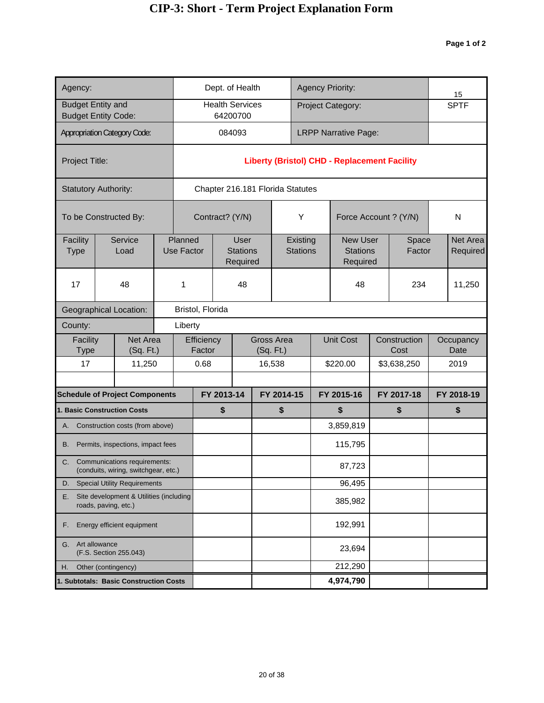| Agency:                                       |                                                                      |  |                              |                      |                 | Dept. of Health                            |           |                                  |                             | <b>Agency Priority:</b>                             |                      | 15                   |
|-----------------------------------------------|----------------------------------------------------------------------|--|------------------------------|----------------------|-----------------|--------------------------------------------|-----------|----------------------------------|-----------------------------|-----------------------------------------------------|----------------------|----------------------|
| <b>Budget Entity and</b>                      | <b>Budget Entity Code:</b>                                           |  |                              |                      | 64200700        | <b>Health Services</b>                     |           |                                  |                             | Project Category:                                   |                      | <b>SPTF</b>          |
|                                               | <b>Appropriation Category Code:</b>                                  |  |                              |                      | 084093          |                                            |           |                                  |                             | <b>LRPP Narrative Page:</b>                         |                      |                      |
| Project Title:                                |                                                                      |  |                              |                      |                 |                                            |           |                                  |                             | <b>Liberty (Bristol) CHD - Replacement Facility</b> |                      |                      |
|                                               | <b>Statutory Authority:</b>                                          |  |                              |                      |                 |                                            |           | Chapter 216.181 Florida Statutes |                             |                                                     |                      |                      |
|                                               | To be Constructed By:                                                |  |                              |                      | Contract? (Y/N) |                                            |           |                                  | Υ                           | Force Account ? (Y/N)                               |                      | N                    |
| Facility<br><b>Type</b>                       | Service<br>Load                                                      |  | Planned<br><b>Use Factor</b> |                      |                 | <b>User</b><br><b>Stations</b><br>Required |           |                                  | Existing<br><b>Stations</b> | <b>New User</b><br><b>Stations</b><br>Required      | Space<br>Factor      | Net Area<br>Required |
| 17                                            | 48                                                                   |  | 1                            |                      |                 | 48                                         |           |                                  |                             | 48                                                  | 234                  | 11,250               |
|                                               | <b>Geographical Location:</b>                                        |  |                              | Bristol, Florida     |                 |                                            |           |                                  |                             |                                                     |                      |                      |
| County:                                       |                                                                      |  | Liberty                      |                      |                 |                                            |           |                                  |                             |                                                     |                      |                      |
| Facility<br>Type                              | Net Area<br>(Sq. Ft.)                                                |  |                              | Efficiency<br>Factor |                 |                                            | (Sq. Ft.) | Gross Area                       |                             | <b>Unit Cost</b>                                    | Construction<br>Cost | Occupancy<br>Date    |
| 17                                            | 11,250                                                               |  |                              | 0.68                 |                 |                                            |           | 16,538                           |                             | \$220.00                                            | \$3,638,250          | 2019                 |
|                                               | <b>Schedule of Project Components</b>                                |  |                              |                      | FY 2013-14      |                                            |           | FY 2014-15                       |                             | FY 2015-16                                          | FY 2017-18           | FY 2018-19           |
|                                               | <b>1. Basic Construction Costs</b>                                   |  |                              |                      | \$              |                                            |           | \$                               |                             | \$                                                  | \$                   | \$                   |
|                                               | A. Construction costs (from above)                                   |  |                              |                      |                 |                                            |           |                                  |                             | 3,859,819                                           |                      |                      |
| В.                                            | Permits, inspections, impact fees                                    |  |                              |                      |                 |                                            |           |                                  |                             | 115,795                                             |                      |                      |
| C.                                            | Communications requirements:<br>(conduits, wiring, switchgear, etc.) |  |                              |                      |                 |                                            |           |                                  |                             | 87,723                                              |                      |                      |
| D.                                            | <b>Special Utility Requirements</b>                                  |  |                              |                      |                 |                                            |           |                                  |                             | 96,495                                              |                      |                      |
| Е.                                            | Site development & Utilities (including<br>roads, paving, etc.)      |  |                              |                      |                 |                                            |           |                                  |                             | 385,982                                             |                      |                      |
| Energy efficient equipment<br>F.              |                                                                      |  |                              |                      |                 |                                            |           |                                  |                             | 192,991                                             |                      |                      |
| Art allowance<br>G.<br>(F.S. Section 255.043) |                                                                      |  |                              |                      |                 |                                            |           |                                  |                             | 23,694                                              |                      |                      |
| Other (contingency)<br>Η.                     |                                                                      |  |                              |                      |                 |                                            |           |                                  |                             | 212,290                                             |                      |                      |
| 1. Subtotals: Basic Construction Costs        |                                                                      |  |                              |                      |                 |                                            |           |                                  | 4,974,790                   |                                                     |                      |                      |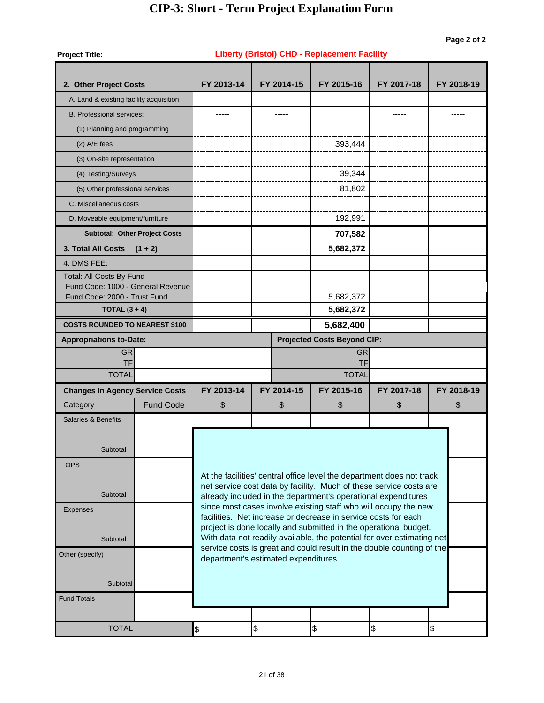| <b>Project Title:</b>                   |                                      |                                      |  |            | <b>Liberty (Bristol) CHD - Replacement Facility</b>            |                                                                                                                                                 |            |  |  |  |
|-----------------------------------------|--------------------------------------|--------------------------------------|--|------------|----------------------------------------------------------------|-------------------------------------------------------------------------------------------------------------------------------------------------|------------|--|--|--|
| 2. Other Project Costs                  |                                      | FY 2013-14                           |  | FY 2014-15 | FY 2015-16                                                     | FY 2017-18                                                                                                                                      | FY 2018-19 |  |  |  |
| A. Land & existing facility acquisition |                                      |                                      |  |            |                                                                |                                                                                                                                                 |            |  |  |  |
| <b>B. Professional services:</b>        |                                      |                                      |  |            |                                                                |                                                                                                                                                 |            |  |  |  |
| (1) Planning and programming            |                                      |                                      |  |            |                                                                |                                                                                                                                                 |            |  |  |  |
| $(2)$ A/E fees                          |                                      |                                      |  |            | 393,444                                                        |                                                                                                                                                 |            |  |  |  |
| (3) On-site representation              |                                      |                                      |  |            |                                                                |                                                                                                                                                 |            |  |  |  |
| (4) Testing/Surveys                     |                                      |                                      |  |            | 39,344                                                         |                                                                                                                                                 |            |  |  |  |
| (5) Other professional services         |                                      |                                      |  |            | 81,802                                                         |                                                                                                                                                 |            |  |  |  |
| C. Miscellaneous costs                  |                                      |                                      |  |            |                                                                |                                                                                                                                                 |            |  |  |  |
| D. Moveable equipment/furniture         |                                      |                                      |  |            | 192,991                                                        |                                                                                                                                                 |            |  |  |  |
|                                         | <b>Subtotal: Other Project Costs</b> |                                      |  |            | 707,582                                                        |                                                                                                                                                 |            |  |  |  |
| <b>3. Total All Costs</b>               | $(1 + 2)$                            |                                      |  |            | 5,682,372                                                      |                                                                                                                                                 |            |  |  |  |
| 4. DMS FEE:                             |                                      |                                      |  |            |                                                                |                                                                                                                                                 |            |  |  |  |
| Total: All Costs By Fund                |                                      |                                      |  |            |                                                                |                                                                                                                                                 |            |  |  |  |
| Fund Code: 1000 - General Revenue       |                                      |                                      |  |            |                                                                |                                                                                                                                                 |            |  |  |  |
| Fund Code: 2000 - Trust Fund            |                                      |                                      |  |            | 5,682,372                                                      |                                                                                                                                                 |            |  |  |  |
| TOTAL $(3 + 4)$                         |                                      |                                      |  |            | 5,682,372                                                      |                                                                                                                                                 |            |  |  |  |
| <b>COSTS ROUNDED TO NEAREST \$100</b>   |                                      |                                      |  |            | 5,682,400<br><b>Projected Costs Beyond CIP:</b>                |                                                                                                                                                 |            |  |  |  |
| <b>Appropriations to-Date:</b>          |                                      |                                      |  |            |                                                                |                                                                                                                                                 |            |  |  |  |
| <b>GR</b><br><b>TF</b>                  |                                      | <b>GR</b><br><b>TF</b>               |  |            |                                                                |                                                                                                                                                 |            |  |  |  |
| <b>TOTAL</b>                            |                                      |                                      |  |            |                                                                |                                                                                                                                                 |            |  |  |  |
| <b>Changes in Agency Service Costs</b>  |                                      | FY 2013-14                           |  | FY 2014-15 | FY 2015-16                                                     | FY 2017-18                                                                                                                                      | FY 2018-19 |  |  |  |
| Category                                | <b>Fund Code</b>                     | \$                                   |  | \$         | \$                                                             | \$                                                                                                                                              | \$         |  |  |  |
| <b>Salaries &amp; Benefits</b>          |                                      |                                      |  |            |                                                                |                                                                                                                                                 |            |  |  |  |
|                                         |                                      |                                      |  |            |                                                                |                                                                                                                                                 |            |  |  |  |
| Subtotal                                |                                      |                                      |  |            |                                                                |                                                                                                                                                 |            |  |  |  |
| <b>OPS</b>                              |                                      |                                      |  |            |                                                                |                                                                                                                                                 |            |  |  |  |
|                                         |                                      |                                      |  |            |                                                                | At the facilities' central office level the department does not track                                                                           |            |  |  |  |
| Subtotal                                |                                      |                                      |  |            |                                                                | net service cost data by facility. Much of these service costs are                                                                              |            |  |  |  |
|                                         |                                      |                                      |  |            |                                                                | already included in the department's operational expenditures<br>since most cases involve existing staff who will occupy the new                |            |  |  |  |
| <b>Expenses</b>                         |                                      |                                      |  |            | facilities. Net increase or decrease in service costs for each |                                                                                                                                                 |            |  |  |  |
|                                         |                                      |                                      |  |            |                                                                | project is done locally and submitted in the operational budget.                                                                                |            |  |  |  |
| Subtotal                                |                                      |                                      |  |            |                                                                | With data not readily available, the potential for over estimating net<br>service costs is great and could result in the double counting of the |            |  |  |  |
| Other (specify)                         |                                      | department's estimated expenditures. |  |            |                                                                |                                                                                                                                                 |            |  |  |  |
|                                         |                                      |                                      |  |            |                                                                |                                                                                                                                                 |            |  |  |  |
| Subtotal                                |                                      |                                      |  |            |                                                                |                                                                                                                                                 |            |  |  |  |
| <b>Fund Totals</b>                      |                                      |                                      |  |            |                                                                |                                                                                                                                                 |            |  |  |  |
|                                         |                                      |                                      |  |            |                                                                |                                                                                                                                                 |            |  |  |  |
| <b>TOTAL</b>                            | $\frac{1}{2}$                        | \$                                   |  | \$         | \$                                                             | \$                                                                                                                                              |            |  |  |  |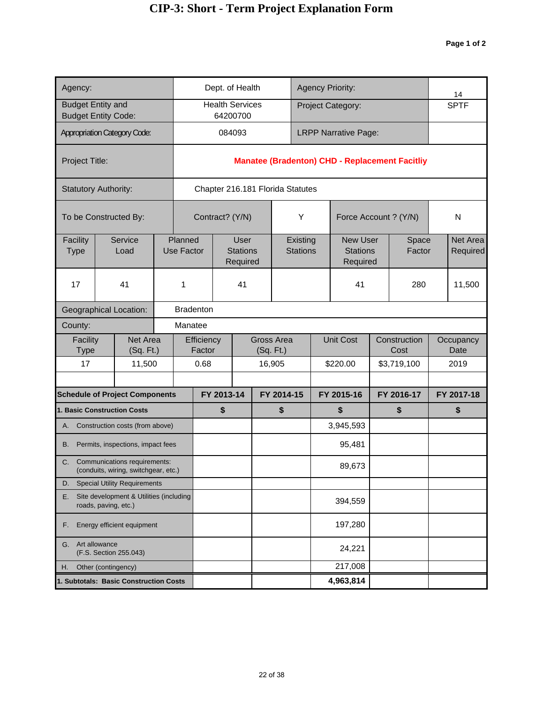| Agency:                                                               |                                                                         |                  |                              |                      |            | Dept. of Health                    |                                  |                             | <b>Agency Priority:</b>                               |                      | 14                |
|-----------------------------------------------------------------------|-------------------------------------------------------------------------|------------------|------------------------------|----------------------|------------|------------------------------------|----------------------------------|-----------------------------|-------------------------------------------------------|----------------------|-------------------|
| <b>Budget Entity and</b>                                              | <b>Budget Entity Code:</b>                                              |                  |                              |                      |            | <b>Health Services</b><br>64200700 |                                  |                             | Project Category:                                     |                      | <b>SPTF</b>       |
|                                                                       | <b>Appropriation Category Code:</b>                                     |                  |                              |                      |            | 084093                             |                                  |                             | <b>LRPP Narrative Page:</b>                           |                      |                   |
|                                                                       |                                                                         |                  |                              |                      |            |                                    |                                  |                             |                                                       |                      |                   |
| Project Title:                                                        |                                                                         |                  |                              |                      |            |                                    |                                  |                             | <b>Manatee (Bradenton) CHD - Replacement Facitliy</b> |                      |                   |
|                                                                       | <b>Statutory Authority:</b>                                             |                  |                              |                      |            |                                    | Chapter 216.181 Florida Statutes |                             |                                                       |                      |                   |
|                                                                       | To be Constructed By:                                                   |                  |                              |                      |            | Contract? (Y/N)                    |                                  | Υ                           | Force Account ? (Y/N)                                 |                      | N                 |
| Facility                                                              | Service<br>Load                                                         |                  | Planned<br><b>Use Factor</b> |                      |            | <b>User</b><br><b>Stations</b>     |                                  | Existing<br><b>Stations</b> | <b>New User</b><br><b>Stations</b>                    | Space<br>Factor      | Net Area          |
| <b>Type</b>                                                           |                                                                         |                  |                              |                      |            | Required                           |                                  |                             | Required                                              |                      | Required          |
| 17                                                                    | 41                                                                      |                  | 1                            |                      |            | 41                                 |                                  |                             | 41                                                    | 280                  | 11,500            |
|                                                                       | <b>Geographical Location:</b>                                           | <b>Bradenton</b> |                              |                      |            |                                    |                                  |                             |                                                       |                      |                   |
| County:                                                               |                                                                         |                  | Manatee                      |                      |            |                                    |                                  |                             |                                                       |                      |                   |
| Facility<br>Type                                                      | Net Area<br>(Sq. Ft.)                                                   |                  |                              | Efficiency<br>Factor |            |                                    | <b>Gross Area</b><br>(Sq. Ft.)   |                             | <b>Unit Cost</b>                                      | Construction<br>Cost | Occupancy<br>Date |
| 17                                                                    | 11,500                                                                  |                  |                              | 0.68                 |            |                                    | 16,905                           |                             | \$220.00                                              | \$3,719,100          | 2019              |
|                                                                       |                                                                         |                  |                              |                      |            |                                    |                                  |                             |                                                       |                      |                   |
|                                                                       | <b>Schedule of Project Components</b>                                   |                  |                              |                      | FY 2013-14 |                                    | FY 2014-15                       |                             | FY 2015-16                                            | FY 2016-17           | FY 2017-18        |
|                                                                       | 1. Basic Construction Costs                                             |                  |                              |                      | \$         |                                    | \$                               |                             | \$                                                    | \$                   | \$                |
|                                                                       | A. Construction costs (from above)                                      |                  |                              |                      |            |                                    |                                  |                             | 3,945,593                                             |                      |                   |
| B.                                                                    | Permits, inspections, impact fees                                       |                  |                              |                      |            |                                    |                                  |                             | 95,481                                                |                      |                   |
|                                                                       | C. Communications requirements:<br>(conduits, wiring, switchgear, etc.) |                  |                              |                      |            |                                    |                                  |                             | 89,673                                                |                      |                   |
| D.                                                                    | <b>Special Utility Requirements</b>                                     |                  |                              |                      |            |                                    |                                  |                             |                                                       |                      |                   |
| Site development & Utilities (including<br>Е.<br>roads, paving, etc.) |                                                                         |                  |                              |                      |            |                                    |                                  |                             | 394,559                                               |                      |                   |
| Energy efficient equipment<br>F.                                      |                                                                         |                  |                              |                      |            |                                    |                                  |                             | 197,280                                               |                      |                   |
| Art allowance<br>G.<br>(F.S. Section 255.043)                         |                                                                         |                  |                              |                      |            |                                    |                                  |                             | 24,221                                                |                      |                   |
| Other (contingency)<br>Η.                                             |                                                                         |                  |                              |                      |            |                                    | 217,008                          |                             |                                                       |                      |                   |
|                                                                       | 1. Subtotals: Basic Construction Costs                                  |                  |                              |                      |            |                                    |                                  | 4,963,814                   |                                                       |                      |                   |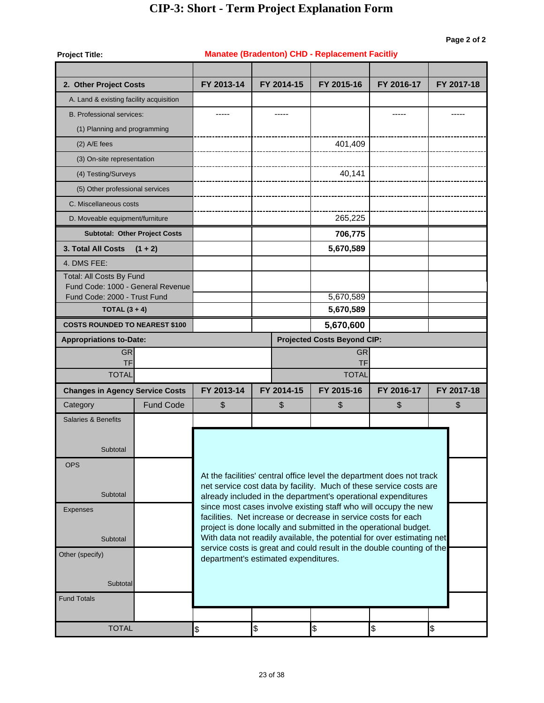| <b>Project Title:</b>                                             |                                      |                                                                                                                                  |                                      | <b>Manatee (Bradenton) CHD - Replacement Facitliy</b>                                                                              |            |            |  |  |  |  |
|-------------------------------------------------------------------|--------------------------------------|----------------------------------------------------------------------------------------------------------------------------------|--------------------------------------|------------------------------------------------------------------------------------------------------------------------------------|------------|------------|--|--|--|--|
| 2. Other Project Costs                                            |                                      | FY 2013-14                                                                                                                       | FY 2014-15                           | FY 2015-16                                                                                                                         | FY 2016-17 | FY 2017-18 |  |  |  |  |
| A. Land & existing facility acquisition                           |                                      |                                                                                                                                  |                                      |                                                                                                                                    |            |            |  |  |  |  |
| <b>B. Professional services:</b>                                  |                                      |                                                                                                                                  |                                      |                                                                                                                                    |            |            |  |  |  |  |
| (1) Planning and programming                                      |                                      |                                                                                                                                  |                                      |                                                                                                                                    |            |            |  |  |  |  |
| $(2)$ A/E fees                                                    |                                      |                                                                                                                                  |                                      | 401,409                                                                                                                            |            |            |  |  |  |  |
| (3) On-site representation                                        |                                      |                                                                                                                                  |                                      |                                                                                                                                    |            |            |  |  |  |  |
| (4) Testing/Surveys                                               |                                      |                                                                                                                                  |                                      | 40,141                                                                                                                             |            |            |  |  |  |  |
| (5) Other professional services                                   |                                      |                                                                                                                                  |                                      |                                                                                                                                    |            |            |  |  |  |  |
| C. Miscellaneous costs                                            |                                      |                                                                                                                                  |                                      |                                                                                                                                    |            |            |  |  |  |  |
| D. Moveable equipment/furniture                                   |                                      |                                                                                                                                  |                                      | 265,225                                                                                                                            |            |            |  |  |  |  |
|                                                                   | <b>Subtotal: Other Project Costs</b> |                                                                                                                                  |                                      | 706,775                                                                                                                            |            |            |  |  |  |  |
| 3. Total All Costs                                                | $(1 + 2)$                            |                                                                                                                                  |                                      | 5,670,589                                                                                                                          |            |            |  |  |  |  |
| 4. DMS FEE:                                                       |                                      |                                                                                                                                  |                                      |                                                                                                                                    |            |            |  |  |  |  |
| Total: All Costs By Fund                                          |                                      |                                                                                                                                  |                                      |                                                                                                                                    |            |            |  |  |  |  |
| Fund Code: 1000 - General Revenue<br>Fund Code: 2000 - Trust Fund |                                      |                                                                                                                                  |                                      | 5,670,589                                                                                                                          |            |            |  |  |  |  |
| TOTAL $(3 + 4)$                                                   |                                      |                                                                                                                                  |                                      | 5,670,589                                                                                                                          |            |            |  |  |  |  |
| <b>COSTS ROUNDED TO NEAREST \$100</b>                             |                                      |                                                                                                                                  |                                      |                                                                                                                                    |            |            |  |  |  |  |
| <b>Appropriations to-Date:</b>                                    |                                      |                                                                                                                                  | <b>Projected Costs Beyond CIP:</b>   |                                                                                                                                    |            |            |  |  |  |  |
| <b>GR</b><br><b>TF</b>                                            |                                      | <b>GR</b><br><b>TF</b>                                                                                                           |                                      |                                                                                                                                    |            |            |  |  |  |  |
| <b>TOTAL</b>                                                      |                                      |                                                                                                                                  |                                      | <b>TOTAL</b>                                                                                                                       |            |            |  |  |  |  |
| <b>Changes in Agency Service Costs</b>                            |                                      | FY 2013-14                                                                                                                       | FY 2014-15                           | FY 2015-16                                                                                                                         | FY 2016-17 | FY 2017-18 |  |  |  |  |
| Category                                                          | <b>Fund Code</b>                     | \$                                                                                                                               | \$                                   | \$                                                                                                                                 | \$         | \$         |  |  |  |  |
| <b>Salaries &amp; Benefits</b>                                    |                                      |                                                                                                                                  |                                      |                                                                                                                                    |            |            |  |  |  |  |
|                                                                   |                                      |                                                                                                                                  |                                      |                                                                                                                                    |            |            |  |  |  |  |
| Subtotal                                                          |                                      |                                                                                                                                  |                                      |                                                                                                                                    |            |            |  |  |  |  |
| <b>OPS</b>                                                        |                                      |                                                                                                                                  |                                      |                                                                                                                                    |            |            |  |  |  |  |
|                                                                   |                                      |                                                                                                                                  |                                      | At the facilities' central office level the department does not track                                                              |            |            |  |  |  |  |
| Subtotal                                                          |                                      |                                                                                                                                  |                                      | net service cost data by facility. Much of these service costs are                                                                 |            |            |  |  |  |  |
| <b>Expenses</b>                                                   |                                      | already included in the department's operational expenditures<br>since most cases involve existing staff who will occupy the new |                                      |                                                                                                                                    |            |            |  |  |  |  |
|                                                                   |                                      |                                                                                                                                  |                                      | facilities. Net increase or decrease in service costs for each<br>project is done locally and submitted in the operational budget. |            |            |  |  |  |  |
| Subtotal                                                          |                                      |                                                                                                                                  |                                      | With data not readily available, the potential for over estimating net                                                             |            |            |  |  |  |  |
| Other (specify)                                                   |                                      |                                                                                                                                  | department's estimated expenditures. | service costs is great and could result in the double counting of the                                                              |            |            |  |  |  |  |
|                                                                   |                                      |                                                                                                                                  |                                      |                                                                                                                                    |            |            |  |  |  |  |
| Subtotal                                                          |                                      |                                                                                                                                  |                                      |                                                                                                                                    |            |            |  |  |  |  |
| <b>Fund Totals</b>                                                |                                      |                                                                                                                                  |                                      |                                                                                                                                    |            |            |  |  |  |  |
|                                                                   |                                      |                                                                                                                                  |                                      |                                                                                                                                    |            |            |  |  |  |  |
| <b>TOTAL</b>                                                      |                                      | $\frac{1}{2}$                                                                                                                    | \$                                   | \$                                                                                                                                 | \$         | \$         |  |  |  |  |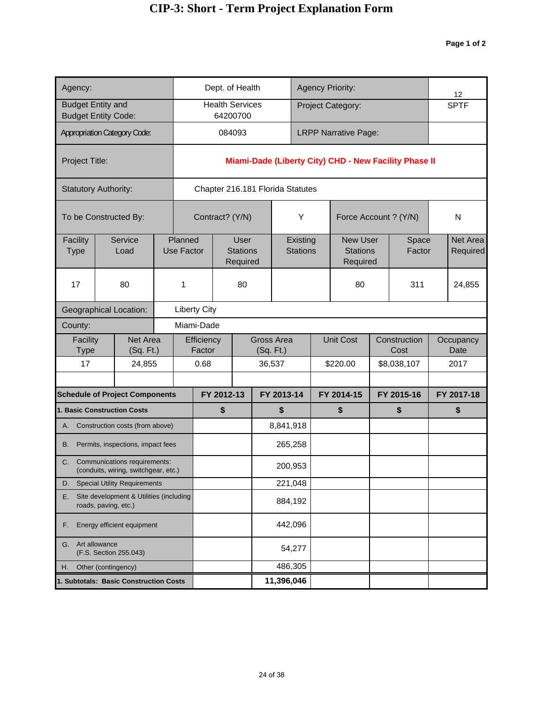| Agency:                                                               |                                                                             |  |                              |                      | Dept. of Health                     |            |                                  |                             | <b>Agency Priority:</b>                               |                      | 12                   |
|-----------------------------------------------------------------------|-----------------------------------------------------------------------------|--|------------------------------|----------------------|-------------------------------------|------------|----------------------------------|-----------------------------|-------------------------------------------------------|----------------------|----------------------|
|                                                                       | <b>Budget Entity and</b><br><b>Budget Entity Code:</b>                      |  |                              |                      | <b>Health Services</b><br>64200700  |            |                                  |                             | Project Category:                                     |                      | <b>SPTF</b>          |
|                                                                       | <b>Appropriation Category Code:</b>                                         |  |                              |                      | 084093                              |            |                                  |                             | <b>LRPP Narrative Page:</b>                           |                      |                      |
| Project Title:                                                        |                                                                             |  |                              |                      |                                     |            |                                  |                             | Miami-Dade (Liberty City) CHD - New Facility Phase II |                      |                      |
|                                                                       | <b>Statutory Authority:</b>                                                 |  |                              |                      |                                     |            | Chapter 216.181 Florida Statutes |                             |                                                       |                      |                      |
|                                                                       | To be Constructed By:                                                       |  |                              |                      | Contract? (Y/N)                     |            |                                  | Υ                           | Force Account ? (Y/N)                                 |                      | N                    |
| Facility<br><b>Type</b>                                               | Service<br>Load                                                             |  | Planned<br><b>Use Factor</b> |                      | User<br><b>Stations</b><br>Required |            |                                  | Existing<br><b>Stations</b> | <b>New User</b><br><b>Stations</b><br>Required        | Space<br>Factor      | Net Area<br>Required |
| 17                                                                    | 80                                                                          |  | 1                            |                      | 80                                  |            |                                  |                             | 80                                                    | 311                  | 24,855               |
|                                                                       | <b>Geographical Location:</b>                                               |  | <b>Liberty City</b>          |                      |                                     |            |                                  |                             |                                                       |                      |                      |
| County:                                                               |                                                                             |  | Miami-Dade                   |                      |                                     |            |                                  |                             |                                                       |                      |                      |
| Facility<br>Type                                                      | Net Area<br>(Sq. Ft.)                                                       |  |                              | Efficiency<br>Factor |                                     |            | Gross Area<br>(Sq. Ft.)          |                             | <b>Unit Cost</b>                                      | Construction<br>Cost | Occupancy<br>Date    |
| 17                                                                    | 24,855                                                                      |  |                              | 0.68                 |                                     |            | 36,537                           |                             | \$220.00                                              | \$8,038,107          | 2017                 |
|                                                                       |                                                                             |  |                              |                      |                                     |            | FY 2013-14                       |                             |                                                       |                      |                      |
|                                                                       | <b>Schedule of Project Components</b><br><b>1. Basic Construction Costs</b> |  |                              |                      | FY 2012-13<br>\$                    |            | \$                               |                             | FY 2014-15<br>\$                                      | FY 2015-16<br>\$     | FY 2017-18<br>\$     |
|                                                                       | A. Construction costs (from above)                                          |  |                              |                      |                                     |            | 8,841,918                        |                             |                                                       |                      |                      |
| В.                                                                    | Permits, inspections, impact fees                                           |  |                              |                      |                                     |            | 265,258                          |                             |                                                       |                      |                      |
| C.                                                                    | Communications requirements:<br>(conduits, wiring, switchgear, etc.)        |  |                              |                      |                                     |            | 200,953                          |                             |                                                       |                      |                      |
| D.                                                                    | <b>Special Utility Requirements</b>                                         |  |                              |                      |                                     |            | 221,048                          |                             |                                                       |                      |                      |
| Site development & Utilities (including<br>Е.<br>roads, paving, etc.) |                                                                             |  |                              |                      |                                     |            | 884,192                          |                             |                                                       |                      |                      |
| Energy efficient equipment<br>F.                                      |                                                                             |  |                              |                      |                                     |            | 442,096                          |                             |                                                       |                      |                      |
| Art allowance<br>G.<br>(F.S. Section 255.043)                         |                                                                             |  |                              |                      |                                     |            | 54,277                           |                             |                                                       |                      |                      |
| Other (contingency)<br>Η.                                             |                                                                             |  |                              |                      | 486,305                             |            |                                  |                             |                                                       |                      |                      |
|                                                                       | 1. Subtotals: Basic Construction Costs                                      |  |                              |                      |                                     | 11,396,046 |                                  |                             |                                                       |                      |                      |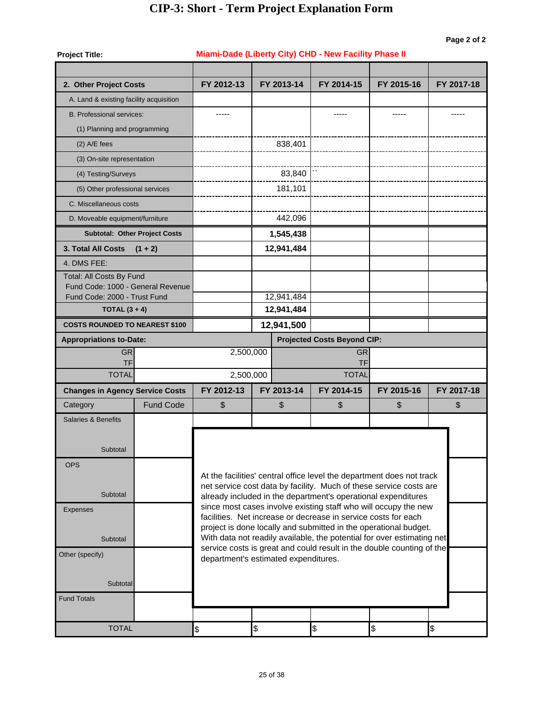#### **Project Title: 2. Other Project Costs** A. Land & existing facility acquisition B. Professional services: (1) Planning and programming (2) A/E fees (3) On-site representation (4) Testing/Surveys (5) Other professional services C. Miscellaneous costs D. Moveable equipment/furniture **3. Total All Costs (1 + 2)** 4. DMS FEE: Total: All Costs By Fund Fund Code: 1000 - General Revenue Fund Code: 2000 - Trust Fund **COSTS ROUNDED TO NEAREST \$100 Appropriations to-Date: Projected Costs Beyond CIP:** Projected Costs Beyond CIP: GR GR 2,500,000 TF TF **Changes in Agency Service Costs** \$ Fund Code **Subtotal: Other Project Costs TOTAL (3 + 4) 12,941,484 Category**  $\texttt{TOTAL} \hspace{1.5cm} \texttt{\$} \hspace{1.5cm} \texttt{\$} \hspace{1.5cm} \texttt{\$} \hspace{1.5cm} \texttt{\$} \hspace{1.5cm} \texttt{\$} \hspace{1.5cm} \texttt{\$} \hspace{1.5cm} \texttt{\$} \hspace{1.5cm} \texttt{\$} \hspace{1.5cm} \texttt{\$} \hspace{1.5cm} \texttt{\$} \hspace{1.5cm} \texttt{\$} \hspace{1.5cm} \texttt{\$} \hspace{1.5cm} \texttt{\$} \hspace{1.5cm} \texttt{\$} \hspace{$ **Subtotal**  Fund Totals **Subtotal**  Other (specify) At the facilities' central office level the department does not track net service cost data by facility. Much of these service costs are already included in the department's operational expenditures since most cases involve existing staff who will occupy the new facilities. Net increase or decrease in service costs for each project is done locally and submitted in the operational budget. With data not readily available, the potential for over estimating net service costs is great and could result in the double counting of the department's estimated expenditures. **Subtotal**  OPS **Subtotal** Expenses Salaries & Benefits \$ \$ **FY 2012-13 FY 2013-14 FY 2014-15** \$\\\ **FY 2015-16 FY 2017-18** TOTAL 70TAL 2.500.000 **12,941,500** 12,941,484 **12,941,484 1,545,438** 442,096 181,101 83,840 838,401 ----- ----- ----- ----- **FY 2012-13 FY 2013-14 FY 2014-15 FY 2015-16 FY 2017-18 Miami-Dade (Liberty City) CHD - New Facility Phase II**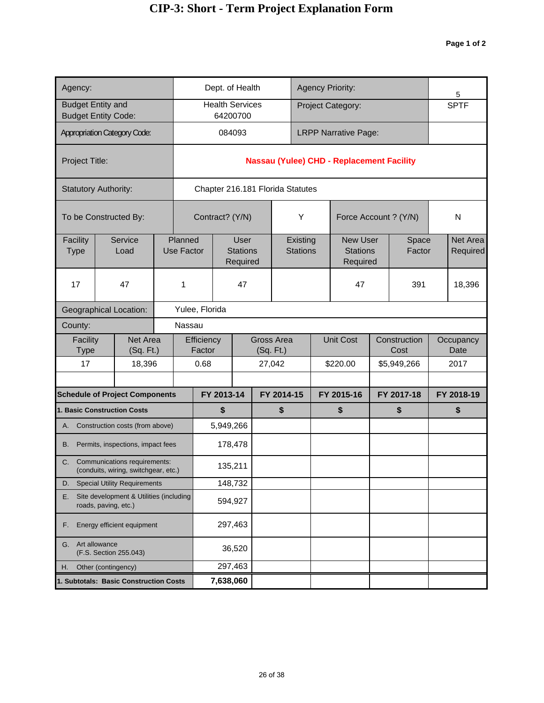| Agency:                                                 |                                                                            |  |                              | Dept. of Health                  |                                            |                                |                             | <b>Agency Priority:</b>                          |            |                      | 5                    |
|---------------------------------------------------------|----------------------------------------------------------------------------|--|------------------------------|----------------------------------|--------------------------------------------|--------------------------------|-----------------------------|--------------------------------------------------|------------|----------------------|----------------------|
| <b>Budget Entity and</b>                                | <b>Budget Entity Code:</b>                                                 |  |                              | <b>Health Services</b>           | 64200700                                   |                                |                             | Project Category:                                |            |                      | <b>SPTF</b>          |
|                                                         | <b>Appropriation Category Code:</b>                                        |  |                              |                                  | 084093                                     |                                |                             | <b>LRPP Narrative Page:</b>                      |            |                      |                      |
| Project Title:                                          |                                                                            |  |                              |                                  |                                            |                                |                             | <b>Nassau (Yulee) CHD - Replacement Facility</b> |            |                      |                      |
|                                                         | <b>Statutory Authority:</b>                                                |  |                              | Chapter 216.181 Florida Statutes |                                            |                                |                             |                                                  |            |                      |                      |
|                                                         | To be Constructed By:                                                      |  |                              | Contract? (Y/N)                  |                                            |                                | Υ                           | Force Account ? (Y/N)                            |            |                      | N                    |
| Facility<br><b>Type</b>                                 | Service<br>Load                                                            |  | Planned<br><b>Use Factor</b> |                                  | <b>User</b><br><b>Stations</b><br>Required |                                | Existing<br><b>Stations</b> | <b>New User</b><br><b>Stations</b><br>Required   |            | Space<br>Factor      | Net Area<br>Required |
| 17                                                      | 47                                                                         |  | 1                            |                                  | 47                                         |                                |                             | 47                                               |            | 391                  | 18,396               |
|                                                         | <b>Geographical Location:</b>                                              |  |                              | Yulee, Florida                   |                                            |                                |                             |                                                  |            |                      |                      |
| County:                                                 |                                                                            |  | Nassau                       |                                  |                                            |                                |                             |                                                  |            |                      |                      |
| Facility<br>Type                                        | Net Area<br>(Sq. Ft.)                                                      |  |                              | Efficiency<br>Factor             |                                            | <b>Gross Area</b><br>(Sq. Ft.) |                             | <b>Unit Cost</b>                                 |            | Construction<br>Cost | Occupancy<br>Date    |
| 17                                                      | 18,396                                                                     |  |                              | 0.68                             |                                            | 27,042                         |                             | \$220.00                                         |            | \$5,949,266          | 2017                 |
|                                                         | <b>Schedule of Project Components</b>                                      |  |                              | FY 2013-14                       |                                            |                                | FY 2014-15                  | FY 2015-16                                       | FY 2017-18 |                      | FY 2018-19           |
|                                                         | 1. Basic Construction Costs                                                |  |                              | \$                               |                                            |                                | \$                          | \$                                               |            | \$                   | \$                   |
|                                                         | A. Construction costs (from above)                                         |  |                              | 5,949,266                        |                                            |                                |                             |                                                  |            |                      |                      |
| В.                                                      | Permits, inspections, impact fees                                          |  |                              |                                  | 178,478                                    |                                |                             |                                                  |            |                      |                      |
|                                                         | C. Communications requirements:<br>(conduits, wiring, switchgear, etc.)    |  |                              |                                  | 135,211                                    |                                |                             |                                                  |            |                      |                      |
| D.                                                      | <b>Special Utility Requirements</b>                                        |  |                              |                                  | 148,732                                    |                                |                             |                                                  |            |                      |                      |
| Е.                                                      | Site development & Utilities (including<br>594,927<br>roads, paving, etc.) |  |                              |                                  |                                            |                                |                             |                                                  |            |                      |                      |
| 297,463<br>Energy efficient equipment<br>F.             |                                                                            |  |                              |                                  |                                            |                                |                             |                                                  |            |                      |                      |
| Art allowance<br>G.<br>36,520<br>(F.S. Section 255.043) |                                                                            |  |                              |                                  |                                            |                                |                             |                                                  |            |                      |                      |
| 297,463<br>Other (contingency)<br>Η.                    |                                                                            |  |                              |                                  |                                            |                                |                             |                                                  |            |                      |                      |
|                                                         | 1. Subtotals: Basic Construction Costs                                     |  |                              | 7,638,060                        |                                            |                                |                             |                                                  |            |                      |                      |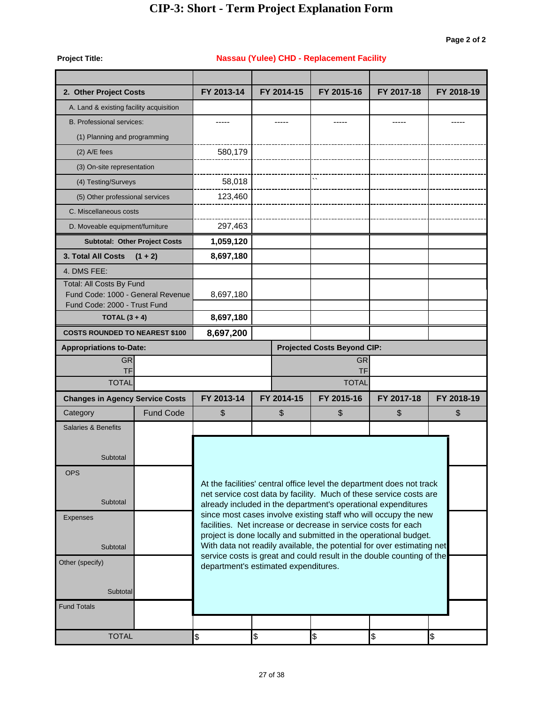**Nassau (Yulee) CHD - Replacement Facility**

**Project Title:**

| 2. Other Project Costs                                            |                  | FY 2013-14 | FY 2014-15                           | FY 2015-16                                                                                                                          | FY 2017-18 | FY 2018-19 |
|-------------------------------------------------------------------|------------------|------------|--------------------------------------|-------------------------------------------------------------------------------------------------------------------------------------|------------|------------|
| A. Land & existing facility acquisition                           |                  |            |                                      |                                                                                                                                     |            |            |
| <b>B. Professional services:</b>                                  |                  |            |                                      |                                                                                                                                     |            |            |
| (1) Planning and programming                                      |                  |            |                                      |                                                                                                                                     |            |            |
| $(2)$ A/E fees                                                    |                  | 580,179    |                                      |                                                                                                                                     |            |            |
| (3) On-site representation                                        |                  |            |                                      |                                                                                                                                     |            |            |
| (4) Testing/Surveys                                               |                  | 58,018     |                                      |                                                                                                                                     |            |            |
| (5) Other professional services                                   |                  | 123,460    |                                      |                                                                                                                                     |            |            |
| C. Miscellaneous costs                                            |                  |            |                                      |                                                                                                                                     |            |            |
| D. Moveable equipment/furniture                                   |                  | 297,463    |                                      |                                                                                                                                     |            |            |
| <b>Subtotal: Other Project Costs</b>                              |                  | 1,059,120  |                                      |                                                                                                                                     |            |            |
| <b>3. Total All Costs</b>                                         | $(1 + 2)$        | 8,697,180  |                                      |                                                                                                                                     |            |            |
| 4. DMS FEE:                                                       |                  |            |                                      |                                                                                                                                     |            |            |
| Total: All Costs By Fund                                          |                  |            |                                      |                                                                                                                                     |            |            |
| Fund Code: 1000 - General Revenue<br>Fund Code: 2000 - Trust Fund |                  | 8,697,180  |                                      |                                                                                                                                     |            |            |
| TOTAL $(3 + 4)$                                                   |                  | 8,697,180  |                                      |                                                                                                                                     |            |            |
| <b>COSTS ROUNDED TO NEAREST \$100</b>                             |                  | 8,697,200  |                                      |                                                                                                                                     |            |            |
| <b>Appropriations to-Date:</b>                                    |                  |            |                                      | <b>Projected Costs Beyond CIP:</b>                                                                                                  |            |            |
| <b>GR</b>                                                         |                  |            |                                      | <b>GR</b>                                                                                                                           |            |            |
| <b>TF</b><br><b>TOTAL</b>                                         |                  |            |                                      | <b>TF</b><br><b>TOTAL</b>                                                                                                           |            |            |
| <b>Changes in Agency Service Costs</b>                            |                  | FY 2013-14 | FY 2014-15                           | FY 2015-16                                                                                                                          | FY 2017-18 | FY 2018-19 |
| Category                                                          | <b>Fund Code</b> | \$         | \$                                   | \$                                                                                                                                  | \$         | \$         |
| Salaries & Benefits                                               |                  |            |                                      |                                                                                                                                     |            |            |
|                                                                   |                  |            |                                      |                                                                                                                                     |            |            |
| Subtotal                                                          |                  |            |                                      |                                                                                                                                     |            |            |
| <b>OPS</b>                                                        |                  |            |                                      |                                                                                                                                     |            |            |
|                                                                   |                  |            |                                      | At the facilities' central office level the department does not track                                                               |            |            |
| Subtotal                                                          |                  |            |                                      | net service cost data by facility. Much of these service costs are<br>already included in the department's operational expenditures |            |            |
| <b>Expenses</b>                                                   |                  |            |                                      | since most cases involve existing staff who will occupy the new                                                                     |            |            |
|                                                                   |                  |            |                                      | facilities. Net increase or decrease in service costs for each<br>project is done locally and submitted in the operational budget.  |            |            |
| Subtotal                                                          |                  |            |                                      | With data not readily available, the potential for over estimating net                                                              |            |            |
| Other (specify)                                                   |                  |            | department's estimated expenditures. | service costs is great and could result in the double counting of the                                                               |            |            |
|                                                                   |                  |            |                                      |                                                                                                                                     |            |            |
| Subtotal                                                          |                  |            |                                      |                                                                                                                                     |            |            |
| <b>Fund Totals</b>                                                |                  |            |                                      |                                                                                                                                     |            |            |
|                                                                   |                  |            |                                      |                                                                                                                                     |            |            |
| <b>TOTAL</b>                                                      |                  | \$         | $\frac{1}{2}$                        | \$                                                                                                                                  | \$         | \$         |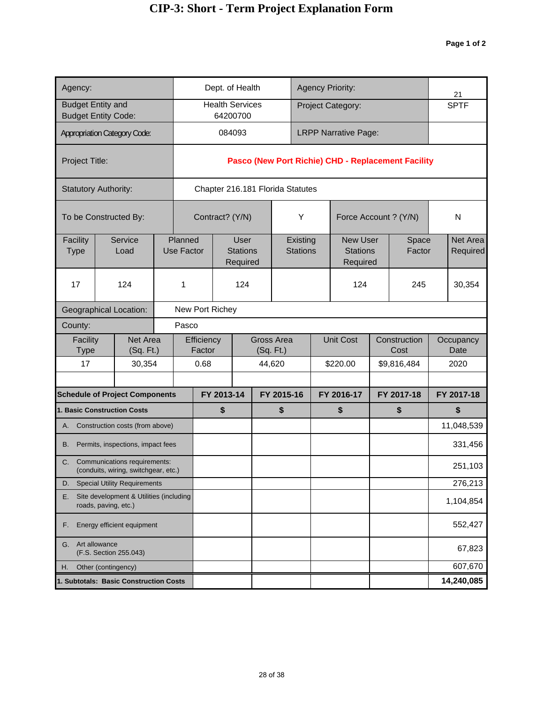| Agency:                                       |                                                                         |       |                              | Dept. of Health                  |                                            |  |                             | <b>Agency Priority:</b> |                                                |  |                                                    |  | 21                   |
|-----------------------------------------------|-------------------------------------------------------------------------|-------|------------------------------|----------------------------------|--------------------------------------------|--|-----------------------------|-------------------------|------------------------------------------------|--|----------------------------------------------------|--|----------------------|
| <b>Budget Entity and</b>                      | <b>Budget Entity Code:</b>                                              |       |                              | <b>Health Services</b>           | 64200700                                   |  |                             |                         | Project Category:                              |  |                                                    |  | <b>SPTF</b>          |
|                                               | <b>Appropriation Category Code:</b>                                     |       |                              |                                  | 084093                                     |  |                             |                         | <b>LRPP Narrative Page:</b>                    |  |                                                    |  |                      |
| Project Title:                                |                                                                         |       |                              |                                  |                                            |  |                             |                         |                                                |  | Pasco (New Port Richie) CHD - Replacement Facility |  |                      |
|                                               | <b>Statutory Authority:</b>                                             |       |                              | Chapter 216.181 Florida Statutes |                                            |  |                             |                         |                                                |  |                                                    |  |                      |
|                                               | To be Constructed By:                                                   |       |                              | Contract? (Y/N)                  |                                            |  | Υ                           |                         | Force Account ? (Y/N)                          |  |                                                    |  | N                    |
| Facility<br><b>Type</b>                       | Service<br>Load                                                         |       | Planned<br><b>Use Factor</b> |                                  | <b>User</b><br><b>Stations</b><br>Required |  | Existing<br><b>Stations</b> |                         | <b>New User</b><br><b>Stations</b><br>Required |  | Space<br>Factor                                    |  | Net Area<br>Required |
| 17                                            | 124                                                                     |       | 1                            |                                  | 124                                        |  |                             |                         | 124                                            |  | 245                                                |  | 30,354               |
|                                               | <b>Geographical Location:</b>                                           |       | New Port Richey              |                                  |                                            |  |                             |                         |                                                |  |                                                    |  |                      |
| County:                                       |                                                                         | Pasco |                              |                                  |                                            |  |                             |                         |                                                |  |                                                    |  |                      |
| Facility<br>Type                              | Net Area<br>(Sq. Ft.)                                                   |       |                              | Efficiency<br>Factor             |                                            |  | Gross Area<br>(Sq. Ft.)     |                         | <b>Unit Cost</b>                               |  | Construction<br>Cost                               |  | Occupancy<br>Date    |
| 17                                            | 30,354                                                                  |       |                              | 0.68                             |                                            |  | 44,620                      |                         | \$220.00                                       |  | \$9,816,484                                        |  | 2020                 |
|                                               | <b>Schedule of Project Components</b>                                   |       |                              | FY 2013-14                       |                                            |  | FY 2015-16                  |                         | FY 2016-17                                     |  | FY 2017-18                                         |  | FY 2017-18           |
|                                               | <b>1. Basic Construction Costs</b>                                      |       |                              | \$                               |                                            |  | \$                          |                         | \$                                             |  | \$                                                 |  | \$                   |
|                                               | A. Construction costs (from above)                                      |       |                              |                                  |                                            |  |                             |                         |                                                |  |                                                    |  | 11,048,539           |
| В.                                            | Permits, inspections, impact fees                                       |       |                              |                                  |                                            |  |                             |                         |                                                |  |                                                    |  | 331,456              |
|                                               | C. Communications requirements:<br>(conduits, wiring, switchgear, etc.) |       |                              |                                  |                                            |  |                             |                         |                                                |  |                                                    |  | 251,103              |
| D.                                            | <b>Special Utility Requirements</b>                                     |       |                              |                                  |                                            |  |                             |                         |                                                |  |                                                    |  | 276,213              |
| Е.                                            | Site development & Utilities (including<br>roads, paving, etc.)         |       |                              |                                  |                                            |  |                             |                         |                                                |  |                                                    |  | 1,104,854            |
| Energy efficient equipment<br>F.              |                                                                         |       |                              |                                  |                                            |  |                             |                         |                                                |  |                                                    |  | 552,427              |
| Art allowance<br>G.<br>(F.S. Section 255.043) |                                                                         |       |                              |                                  |                                            |  |                             |                         |                                                |  |                                                    |  | 67,823               |
| Other (contingency)<br>Η.                     |                                                                         |       |                              |                                  |                                            |  |                             |                         |                                                |  |                                                    |  | 607,670              |
|                                               | 1. Subtotals: Basic Construction Costs                                  |       |                              |                                  |                                            |  |                             |                         |                                                |  |                                                    |  | 14,240,085           |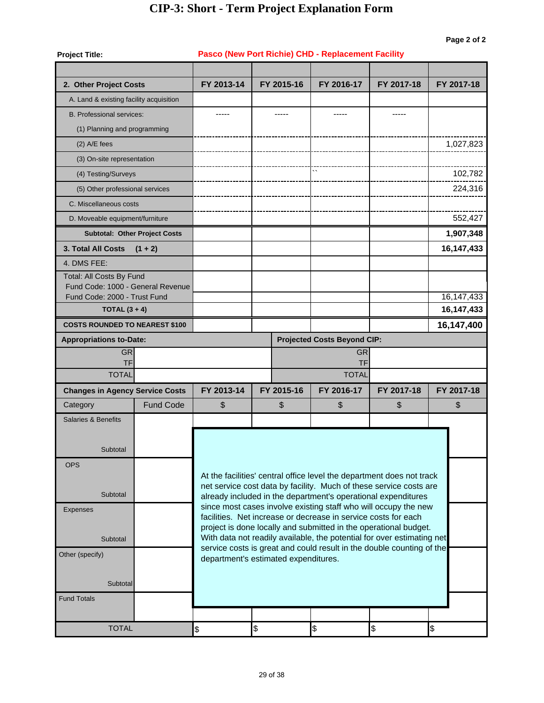| <b>Project Title:</b>                                             |                                      | Pasco (New Port Richie) CHD - Replacement Facility |  |             |                                    |           |                                                                                                                                                 |  |              |  |  |  |
|-------------------------------------------------------------------|--------------------------------------|----------------------------------------------------|--|-------------|------------------------------------|-----------|-------------------------------------------------------------------------------------------------------------------------------------------------|--|--------------|--|--|--|
|                                                                   |                                      |                                                    |  |             |                                    |           |                                                                                                                                                 |  |              |  |  |  |
| 2. Other Project Costs                                            |                                      | FY 2013-14                                         |  | FY 2015-16  | FY 2016-17                         |           | FY 2017-18                                                                                                                                      |  | FY 2017-18   |  |  |  |
| A. Land & existing facility acquisition                           |                                      |                                                    |  |             |                                    |           |                                                                                                                                                 |  |              |  |  |  |
| <b>B.</b> Professional services:                                  |                                      |                                                    |  |             |                                    |           |                                                                                                                                                 |  |              |  |  |  |
| (1) Planning and programming                                      |                                      |                                                    |  |             |                                    |           |                                                                                                                                                 |  |              |  |  |  |
| $(2)$ A/E fees                                                    |                                      |                                                    |  |             |                                    |           |                                                                                                                                                 |  | 1,027,823    |  |  |  |
| (3) On-site representation                                        |                                      |                                                    |  |             |                                    |           |                                                                                                                                                 |  |              |  |  |  |
| (4) Testing/Surveys                                               |                                      |                                                    |  |             | $\ddot{\phantom{0}}$               |           |                                                                                                                                                 |  | 102,782      |  |  |  |
| (5) Other professional services                                   |                                      |                                                    |  |             |                                    |           |                                                                                                                                                 |  | 224,316      |  |  |  |
| C. Miscellaneous costs                                            |                                      |                                                    |  |             |                                    |           |                                                                                                                                                 |  |              |  |  |  |
| D. Moveable equipment/furniture                                   |                                      |                                                    |  |             |                                    |           |                                                                                                                                                 |  | 552,427      |  |  |  |
|                                                                   | <b>Subtotal: Other Project Costs</b> |                                                    |  |             |                                    |           |                                                                                                                                                 |  | 1,907,348    |  |  |  |
| 3. Total All Costs                                                | $(1 + 2)$                            |                                                    |  |             |                                    |           |                                                                                                                                                 |  | 16, 147, 433 |  |  |  |
| 4. DMS FEE:                                                       |                                      |                                                    |  |             |                                    |           |                                                                                                                                                 |  |              |  |  |  |
| Total: All Costs By Fund                                          |                                      |                                                    |  |             |                                    |           |                                                                                                                                                 |  |              |  |  |  |
| Fund Code: 1000 - General Revenue<br>Fund Code: 2000 - Trust Fund |                                      |                                                    |  |             |                                    |           |                                                                                                                                                 |  | 16, 147, 433 |  |  |  |
| TOTAL $(3 + 4)$                                                   |                                      |                                                    |  |             |                                    |           |                                                                                                                                                 |  | 16,147,433   |  |  |  |
| <b>COSTS ROUNDED TO NEAREST \$100</b>                             |                                      |                                                    |  |             |                                    |           |                                                                                                                                                 |  | 16,147,400   |  |  |  |
| <b>Appropriations to-Date:</b>                                    |                                      |                                                    |  |             | <b>Projected Costs Beyond CIP:</b> |           |                                                                                                                                                 |  |              |  |  |  |
| <b>GR</b>                                                         |                                      |                                                    |  |             |                                    | <b>GR</b> |                                                                                                                                                 |  |              |  |  |  |
| TF<br><b>TOTAL</b>                                                |                                      | <b>TF</b><br><b>TOTAL</b>                          |  |             |                                    |           |                                                                                                                                                 |  |              |  |  |  |
|                                                                   |                                      | FY 2013-14                                         |  | FY 2015-16  | FY 2016-17                         |           | FY 2017-18                                                                                                                                      |  | FY 2017-18   |  |  |  |
| <b>Changes in Agency Service Costs</b><br>Category                | <b>Fund Code</b>                     | \$                                                 |  | \$          | \$                                 |           | \$                                                                                                                                              |  | \$           |  |  |  |
| <b>Salaries &amp; Benefits</b>                                    |                                      |                                                    |  |             |                                    |           |                                                                                                                                                 |  |              |  |  |  |
|                                                                   |                                      |                                                    |  |             |                                    |           |                                                                                                                                                 |  |              |  |  |  |
| Subtotal                                                          |                                      |                                                    |  |             |                                    |           |                                                                                                                                                 |  |              |  |  |  |
|                                                                   |                                      |                                                    |  |             |                                    |           |                                                                                                                                                 |  |              |  |  |  |
| <b>OPS</b>                                                        |                                      |                                                    |  |             |                                    |           | At the facilities' central office level the department does not track                                                                           |  |              |  |  |  |
|                                                                   |                                      |                                                    |  |             |                                    |           | net service cost data by facility. Much of these service costs are                                                                              |  |              |  |  |  |
| Subtotal                                                          |                                      |                                                    |  |             |                                    |           | already included in the department's operational expenditures                                                                                   |  |              |  |  |  |
| <b>Expenses</b>                                                   |                                      |                                                    |  |             |                                    |           | since most cases involve existing staff who will occupy the new<br>facilities. Net increase or decrease in service costs for each               |  |              |  |  |  |
|                                                                   |                                      |                                                    |  |             |                                    |           | project is done locally and submitted in the operational budget.                                                                                |  |              |  |  |  |
| Subtotal                                                          |                                      |                                                    |  |             |                                    |           | With data not readily available, the potential for over estimating net<br>service costs is great and could result in the double counting of the |  |              |  |  |  |
| Other (specify)                                                   |                                      | department's estimated expenditures.               |  |             |                                    |           |                                                                                                                                                 |  |              |  |  |  |
|                                                                   |                                      |                                                    |  |             |                                    |           |                                                                                                                                                 |  |              |  |  |  |
| Subtotal                                                          |                                      |                                                    |  |             |                                    |           |                                                                                                                                                 |  |              |  |  |  |
| <b>Fund Totals</b>                                                |                                      |                                                    |  |             |                                    |           |                                                                                                                                                 |  |              |  |  |  |
|                                                                   |                                      |                                                    |  |             |                                    |           |                                                                                                                                                 |  |              |  |  |  |
| <b>TOTAL</b>                                                      | $\frac{1}{2}$                        | $\frac{1}{2}$                                      |  | $\clubsuit$ |                                    | \$        | $\frac{1}{2}$                                                                                                                                   |  |              |  |  |  |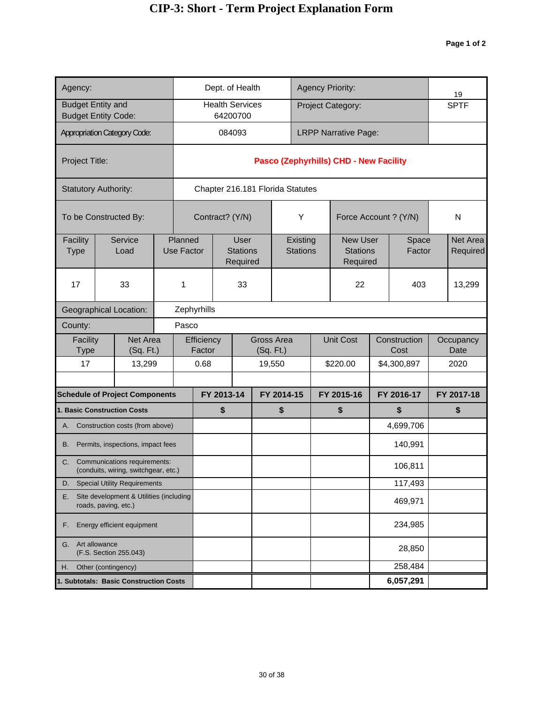| Agency:                                       | Dept. of Health                                                         |  |                              |                                            |            | <b>Agency Priority:</b>            |  |                                  |                             |  | 19                                             |    |                      |                      |
|-----------------------------------------------|-------------------------------------------------------------------------|--|------------------------------|--------------------------------------------|------------|------------------------------------|--|----------------------------------|-----------------------------|--|------------------------------------------------|----|----------------------|----------------------|
| <b>Budget Entity and</b>                      | <b>Budget Entity Code:</b>                                              |  |                              |                                            |            | <b>Health Services</b><br>64200700 |  |                                  |                             |  | Project Category:                              |    |                      | <b>SPTF</b>          |
|                                               | <b>Appropriation Category Code:</b>                                     |  |                              |                                            |            | 084093                             |  |                                  |                             |  | <b>LRPP Narrative Page:</b>                    |    |                      |                      |
| Project Title:                                |                                                                         |  |                              |                                            |            |                                    |  |                                  |                             |  | Pasco (Zephyrhills) CHD - New Facility         |    |                      |                      |
|                                               | <b>Statutory Authority:</b>                                             |  |                              |                                            |            |                                    |  | Chapter 216.181 Florida Statutes |                             |  |                                                |    |                      |                      |
|                                               | To be Constructed By:                                                   |  |                              |                                            |            | Contract? (Y/N)                    |  |                                  | Υ                           |  | Force Account ? (Y/N)                          |    |                      | N                    |
| Facility<br><b>Type</b>                       | Service<br>Load                                                         |  | Planned<br><b>Use Factor</b> | <b>User</b><br><b>Stations</b><br>Required |            |                                    |  |                                  | Existing<br><b>Stations</b> |  | <b>New User</b><br><b>Stations</b><br>Required |    | Space<br>Factor      | Net Area<br>Required |
| 17                                            | 33                                                                      |  | 1                            |                                            | 33         |                                    |  |                                  |                             |  | 22                                             |    | 403                  | 13,299               |
|                                               | <b>Geographical Location:</b>                                           |  | Zephyrhills                  |                                            |            |                                    |  |                                  |                             |  |                                                |    |                      |                      |
| County:                                       | Pasco                                                                   |  |                              |                                            |            |                                    |  |                                  |                             |  |                                                |    |                      |                      |
| Facility<br>Type                              | Net Area<br>(Sq. Ft.)                                                   |  | Efficiency<br>Factor         |                                            |            | <b>Gross Area</b><br>(Sq. Ft.)     |  |                                  |                             |  | <b>Unit Cost</b>                               |    | Construction<br>Cost | Occupancy<br>Date    |
| 17                                            | 13,299                                                                  |  |                              | 0.68                                       |            |                                    |  | 19,550                           |                             |  | \$220.00                                       |    | \$4,300,897          | 2020                 |
|                                               | <b>Schedule of Project Components</b>                                   |  |                              |                                            | FY 2013-14 |                                    |  | FY 2014-15                       |                             |  | FY 2015-16                                     |    | FY 2016-17           | FY 2017-18           |
|                                               | 1. Basic Construction Costs                                             |  |                              |                                            | \$         |                                    |  | \$                               | \$                          |  |                                                | \$ | \$                   |                      |
|                                               | A. Construction costs (from above)                                      |  |                              |                                            |            |                                    |  |                                  |                             |  |                                                |    | 4,699,706            |                      |
| В.                                            | Permits, inspections, impact fees                                       |  |                              |                                            |            |                                    |  |                                  |                             |  |                                                |    | 140,991              |                      |
|                                               | C. Communications requirements:<br>(conduits, wiring, switchgear, etc.) |  |                              |                                            |            |                                    |  |                                  |                             |  |                                                |    | 106,811              |                      |
| D.                                            | <b>Special Utility Requirements</b>                                     |  |                              |                                            |            |                                    |  |                                  |                             |  |                                                |    | 117,493              |                      |
| Е.                                            | Site development & Utilities (including<br>roads, paving, etc.)         |  |                              |                                            |            |                                    |  |                                  |                             |  |                                                |    | 469,971              |                      |
| Energy efficient equipment<br>F.              |                                                                         |  |                              |                                            |            |                                    |  |                                  |                             |  |                                                |    | 234,985              |                      |
| Art allowance<br>G.<br>(F.S. Section 255.043) |                                                                         |  |                              |                                            |            |                                    |  |                                  |                             |  |                                                |    | 28,850               |                      |
| Other (contingency)<br>Η.                     |                                                                         |  |                              |                                            |            |                                    |  |                                  |                             |  |                                                |    | 258,484              |                      |
|                                               | 1. Subtotals: Basic Construction Costs                                  |  |                              |                                            |            |                                    |  |                                  |                             |  |                                                |    | 6,057,291            |                      |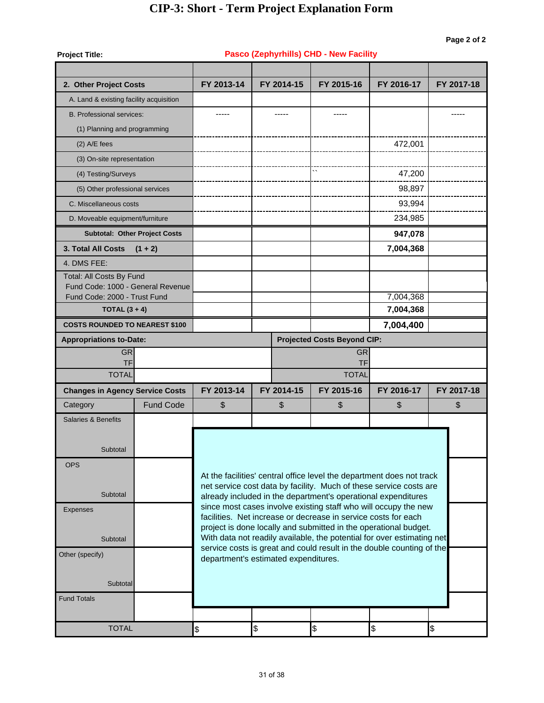| <b>Project Title:</b>                                             |                                      |                    |                                      | Pasco (Zephyrhills) CHD - New Facility                         |                                                                                                                                                 |            |  |  |  |  |
|-------------------------------------------------------------------|--------------------------------------|--------------------|--------------------------------------|----------------------------------------------------------------|-------------------------------------------------------------------------------------------------------------------------------------------------|------------|--|--|--|--|
|                                                                   |                                      |                    |                                      |                                                                |                                                                                                                                                 |            |  |  |  |  |
| 2. Other Project Costs                                            |                                      | FY 2013-14         | FY 2014-15                           | FY 2015-16                                                     | FY 2016-17                                                                                                                                      | FY 2017-18 |  |  |  |  |
| A. Land & existing facility acquisition                           |                                      |                    |                                      |                                                                |                                                                                                                                                 |            |  |  |  |  |
| <b>B. Professional services:</b>                                  |                                      | -----              | -----                                | -----                                                          |                                                                                                                                                 | -----      |  |  |  |  |
| (1) Planning and programming                                      |                                      |                    |                                      |                                                                |                                                                                                                                                 |            |  |  |  |  |
| $(2)$ A/E fees                                                    |                                      |                    |                                      |                                                                | 472,001                                                                                                                                         |            |  |  |  |  |
| (3) On-site representation                                        |                                      |                    |                                      |                                                                |                                                                                                                                                 |            |  |  |  |  |
| (4) Testing/Surveys                                               |                                      |                    |                                      |                                                                | 47,200                                                                                                                                          |            |  |  |  |  |
| (5) Other professional services                                   |                                      |                    |                                      |                                                                | 98,897                                                                                                                                          |            |  |  |  |  |
| C. Miscellaneous costs                                            |                                      |                    |                                      |                                                                | 93,994                                                                                                                                          |            |  |  |  |  |
| D. Moveable equipment/furniture                                   |                                      |                    |                                      |                                                                | 234,985                                                                                                                                         |            |  |  |  |  |
|                                                                   | <b>Subtotal: Other Project Costs</b> |                    |                                      |                                                                | 947,078                                                                                                                                         |            |  |  |  |  |
| 3. Total All Costs                                                | $(1 + 2)$                            |                    |                                      |                                                                | 7,004,368                                                                                                                                       |            |  |  |  |  |
| 4. DMS FEE:                                                       |                                      |                    |                                      |                                                                |                                                                                                                                                 |            |  |  |  |  |
| Total: All Costs By Fund                                          |                                      |                    |                                      |                                                                |                                                                                                                                                 |            |  |  |  |  |
| Fund Code: 1000 - General Revenue<br>Fund Code: 2000 - Trust Fund |                                      |                    |                                      |                                                                | 7,004,368                                                                                                                                       |            |  |  |  |  |
| TOTAL $(3 + 4)$                                                   |                                      |                    |                                      |                                                                | 7,004,368                                                                                                                                       |            |  |  |  |  |
| <b>COSTS ROUNDED TO NEAREST \$100</b>                             |                                      |                    |                                      |                                                                | 7,004,400                                                                                                                                       |            |  |  |  |  |
| <b>Appropriations to-Date:</b>                                    |                                      |                    |                                      | <b>Projected Costs Beyond CIP:</b>                             |                                                                                                                                                 |            |  |  |  |  |
| <b>GR</b>                                                         |                                      |                    |                                      | <b>GR</b>                                                      |                                                                                                                                                 |            |  |  |  |  |
| TF                                                                |                                      | TF<br><b>TOTAL</b> |                                      |                                                                |                                                                                                                                                 |            |  |  |  |  |
| <b>TOTAL</b>                                                      |                                      |                    |                                      |                                                                |                                                                                                                                                 |            |  |  |  |  |
| <b>Changes in Agency Service Costs</b>                            |                                      | FY 2013-14         | FY 2014-15                           | FY 2015-16                                                     | FY 2016-17                                                                                                                                      | FY 2017-18 |  |  |  |  |
| Category                                                          | <b>Fund Code</b>                     | \$                 | \$                                   | \$                                                             | \$                                                                                                                                              | \$         |  |  |  |  |
| <b>Salaries &amp; Benefits</b>                                    |                                      |                    |                                      |                                                                |                                                                                                                                                 |            |  |  |  |  |
|                                                                   |                                      |                    |                                      |                                                                |                                                                                                                                                 |            |  |  |  |  |
| Subtotal                                                          |                                      |                    |                                      |                                                                |                                                                                                                                                 |            |  |  |  |  |
| <b>OPS</b>                                                        |                                      |                    |                                      |                                                                | At the facilities' central office level the department does not track                                                                           |            |  |  |  |  |
|                                                                   |                                      |                    |                                      |                                                                | net service cost data by facility. Much of these service costs are                                                                              |            |  |  |  |  |
| Subtotal                                                          |                                      |                    |                                      |                                                                | already included in the department's operational expenditures                                                                                   |            |  |  |  |  |
| <b>Expenses</b>                                                   |                                      |                    |                                      | facilities. Net increase or decrease in service costs for each | since most cases involve existing staff who will occupy the new                                                                                 |            |  |  |  |  |
|                                                                   |                                      |                    |                                      |                                                                | project is done locally and submitted in the operational budget.                                                                                |            |  |  |  |  |
| Subtotal                                                          |                                      |                    |                                      |                                                                | With data not readily available, the potential for over estimating net<br>service costs is great and could result in the double counting of the |            |  |  |  |  |
| Other (specify)                                                   |                                      |                    | department's estimated expenditures. |                                                                |                                                                                                                                                 |            |  |  |  |  |
|                                                                   |                                      |                    |                                      |                                                                |                                                                                                                                                 |            |  |  |  |  |
| Subtotal                                                          |                                      |                    |                                      |                                                                |                                                                                                                                                 |            |  |  |  |  |
| <b>Fund Totals</b>                                                |                                      |                    |                                      |                                                                |                                                                                                                                                 |            |  |  |  |  |
|                                                                   |                                      |                    |                                      |                                                                |                                                                                                                                                 |            |  |  |  |  |
| <b>TOTAL</b>                                                      |                                      | \$                 | \$                                   | \$                                                             | \$                                                                                                                                              | \$         |  |  |  |  |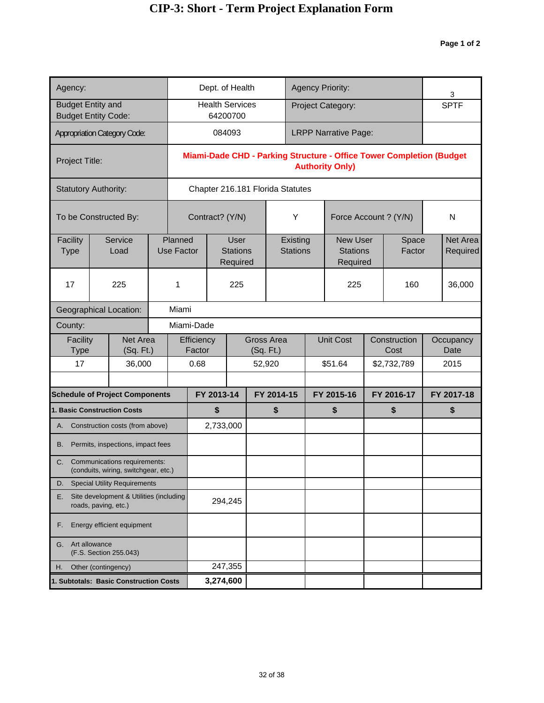| Agency:                                                               |                                                                      |  |                              |                      |                  | Dept. of Health                            |  |                                  |                             |            | <b>Agency Priority:</b>                        |            |                                                                      | 3                    |
|-----------------------------------------------------------------------|----------------------------------------------------------------------|--|------------------------------|----------------------|------------------|--------------------------------------------|--|----------------------------------|-----------------------------|------------|------------------------------------------------|------------|----------------------------------------------------------------------|----------------------|
| <b>Budget Entity and</b>                                              | <b>Budget Entity Code:</b>                                           |  |                              |                      |                  | <b>Health Services</b><br>64200700         |  |                                  |                             |            | Project Category:                              |            |                                                                      | <b>SPTF</b>          |
|                                                                       | <b>Appropriation Category Code:</b>                                  |  |                              |                      | 084093           |                                            |  |                                  |                             |            | <b>LRPP Narrative Page:</b>                    |            |                                                                      |                      |
| Project Title:                                                        |                                                                      |  |                              |                      |                  |                                            |  |                                  |                             |            | <b>Authority Only)</b>                         |            | Miami-Dade CHD - Parking Structure - Office Tower Completion (Budget |                      |
|                                                                       | <b>Statutory Authority:</b>                                          |  |                              |                      |                  |                                            |  | Chapter 216.181 Florida Statutes |                             |            |                                                |            |                                                                      |                      |
|                                                                       | To be Constructed By:                                                |  |                              | Contract? (Y/N)      |                  |                                            |  |                                  | Υ                           |            | Force Account ? (Y/N)                          |            |                                                                      | N                    |
| Facility<br><b>Type</b>                                               | Service<br>Load                                                      |  | Planned<br><b>Use Factor</b> |                      |                  | <b>User</b><br><b>Stations</b><br>Required |  |                                  | Existing<br><b>Stations</b> |            | <b>New User</b><br><b>Stations</b><br>Required |            | Space<br>Factor                                                      | Net Area<br>Required |
| 17                                                                    | 225                                                                  |  | 1                            |                      | 225              |                                            |  |                                  |                             | 225        |                                                | 160        | 36,000                                                               |                      |
|                                                                       | <b>Geographical Location:</b>                                        |  | Miami                        |                      |                  |                                            |  |                                  |                             |            |                                                |            |                                                                      |                      |
| County:                                                               | Miami-Dade                                                           |  |                              |                      |                  |                                            |  |                                  |                             |            |                                                |            |                                                                      |                      |
| Facility<br><b>Type</b>                                               | Net Area<br>(Sq. Ft.)                                                |  |                              | Efficiency<br>Factor |                  |                                            |  | <b>Gross Area</b><br>(Sq. Ft.)   |                             |            | <b>Unit Cost</b>                               |            | Construction<br>Cost                                                 | Occupancy<br>Date    |
| 17                                                                    | 36,000                                                               |  |                              | 0.68                 |                  |                                            |  | 52,920                           |                             |            | \$51.64                                        |            | \$2,732,789                                                          | 2015                 |
|                                                                       |                                                                      |  |                              |                      |                  |                                            |  |                                  |                             |            |                                                | FY 2016-17 |                                                                      |                      |
|                                                                       | <b>Schedule of Project Components</b><br>1. Basic Construction Costs |  |                              |                      | FY 2013-14<br>\$ |                                            |  | FY 2014-15<br>\$                 |                             | FY 2015-16 |                                                |            | \$                                                                   | FY 2017-18<br>\$     |
| А.                                                                    | Construction costs (from above)                                      |  |                              |                      | 2,733,000        |                                            |  |                                  |                             |            | \$                                             |            |                                                                      |                      |
| В.                                                                    | Permits, inspections, impact fees                                    |  |                              |                      |                  |                                            |  |                                  |                             |            |                                                |            |                                                                      |                      |
| C.                                                                    | Communications requirements:<br>(conduits, wiring, switchgear, etc.) |  |                              |                      |                  |                                            |  |                                  |                             |            |                                                |            |                                                                      |                      |
| D.                                                                    | <b>Special Utility Requirements</b>                                  |  |                              |                      |                  |                                            |  |                                  |                             |            |                                                |            |                                                                      |                      |
| Site development & Utilities (including<br>Е.<br>roads, paving, etc.) |                                                                      |  |                              |                      |                  | 294,245                                    |  |                                  |                             |            |                                                |            |                                                                      |                      |
| Energy efficient equipment<br>F.                                      |                                                                      |  |                              |                      |                  |                                            |  |                                  |                             |            |                                                |            |                                                                      |                      |
| Art allowance<br>G.<br>(F.S. Section 255.043)                         |                                                                      |  |                              |                      |                  |                                            |  |                                  |                             |            |                                                |            |                                                                      |                      |
| Other (contingency)<br>Н.                                             |                                                                      |  | 247,355                      |                      |                  |                                            |  |                                  |                             |            |                                                |            |                                                                      |                      |
| 1. Subtotals: Basic Construction Costs                                |                                                                      |  |                              |                      | 3,274,600        |                                            |  |                                  |                             |            |                                                |            |                                                                      |                      |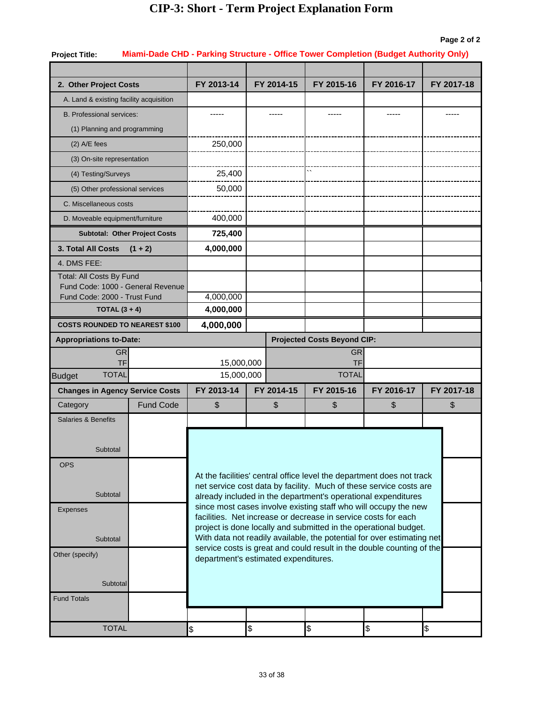#### **Page 2 of 2**

| <b>Project Title:</b>                                             |                  |                                                                                                                                                 |                                      | Miami-Dade CHD - Parking Structure - Office Tower Completion (Budget Authority Only)                                                        |            |            |  |  |  |  |  |
|-------------------------------------------------------------------|------------------|-------------------------------------------------------------------------------------------------------------------------------------------------|--------------------------------------|---------------------------------------------------------------------------------------------------------------------------------------------|------------|------------|--|--|--|--|--|
|                                                                   |                  |                                                                                                                                                 |                                      |                                                                                                                                             |            |            |  |  |  |  |  |
| 2. Other Project Costs                                            |                  | FY 2013-14                                                                                                                                      | FY 2014-15                           | FY 2015-16                                                                                                                                  | FY 2016-17 | FY 2017-18 |  |  |  |  |  |
| A. Land & existing facility acquisition                           |                  |                                                                                                                                                 |                                      |                                                                                                                                             |            |            |  |  |  |  |  |
| <b>B. Professional services:</b>                                  |                  |                                                                                                                                                 |                                      |                                                                                                                                             |            |            |  |  |  |  |  |
| (1) Planning and programming                                      |                  |                                                                                                                                                 |                                      |                                                                                                                                             |            |            |  |  |  |  |  |
| $(2)$ A/E fees                                                    |                  | 250,000                                                                                                                                         |                                      |                                                                                                                                             |            |            |  |  |  |  |  |
| (3) On-site representation                                        |                  |                                                                                                                                                 |                                      |                                                                                                                                             |            |            |  |  |  |  |  |
| (4) Testing/Surveys                                               |                  | 25,400                                                                                                                                          |                                      | $\ddot{\phantom{0}}$                                                                                                                        |            |            |  |  |  |  |  |
| (5) Other professional services                                   |                  | 50,000                                                                                                                                          |                                      |                                                                                                                                             |            |            |  |  |  |  |  |
| C. Miscellaneous costs                                            |                  |                                                                                                                                                 |                                      |                                                                                                                                             |            |            |  |  |  |  |  |
| D. Moveable equipment/furniture                                   |                  | 400,000                                                                                                                                         |                                      |                                                                                                                                             |            |            |  |  |  |  |  |
| <b>Subtotal: Other Project Costs</b>                              |                  | 725,400                                                                                                                                         |                                      |                                                                                                                                             |            |            |  |  |  |  |  |
| 3. Total All Costs                                                | $(1 + 2)$        |                                                                                                                                                 |                                      |                                                                                                                                             |            |            |  |  |  |  |  |
| 4. DMS FEE:                                                       |                  |                                                                                                                                                 |                                      |                                                                                                                                             |            |            |  |  |  |  |  |
| Total: All Costs By Fund                                          |                  |                                                                                                                                                 |                                      |                                                                                                                                             |            |            |  |  |  |  |  |
| Fund Code: 1000 - General Revenue<br>Fund Code: 2000 - Trust Fund |                  | 4,000,000                                                                                                                                       |                                      |                                                                                                                                             |            |            |  |  |  |  |  |
| TOTAL $(3 + 4)$                                                   |                  | 4,000,000                                                                                                                                       |                                      |                                                                                                                                             |            |            |  |  |  |  |  |
| <b>COSTS ROUNDED TO NEAREST \$100</b>                             |                  | 4,000,000                                                                                                                                       |                                      |                                                                                                                                             |            |            |  |  |  |  |  |
| <b>Appropriations to-Date:</b>                                    |                  |                                                                                                                                                 |                                      | <b>Projected Costs Beyond CIP:</b>                                                                                                          |            |            |  |  |  |  |  |
| <b>GR</b>                                                         |                  |                                                                                                                                                 |                                      | <b>GR</b>                                                                                                                                   |            |            |  |  |  |  |  |
| <b>TF</b>                                                         |                  | 15,000,000                                                                                                                                      |                                      | <b>TF</b>                                                                                                                                   |            |            |  |  |  |  |  |
| <b>TOTAL</b><br><b>Budget</b>                                     |                  | 15,000,000                                                                                                                                      |                                      | <b>TOTAL</b>                                                                                                                                |            |            |  |  |  |  |  |
| <b>Changes in Agency Service Costs</b>                            |                  | FY 2013-14                                                                                                                                      | FY 2014-15                           | FY 2015-16                                                                                                                                  | FY 2016-17 | FY 2017-18 |  |  |  |  |  |
| Category                                                          | <b>Fund Code</b> | \$                                                                                                                                              | \$                                   | \$                                                                                                                                          | \$         | \$         |  |  |  |  |  |
| <b>Salaries &amp; Benefits</b>                                    |                  |                                                                                                                                                 |                                      |                                                                                                                                             |            |            |  |  |  |  |  |
|                                                                   |                  |                                                                                                                                                 |                                      |                                                                                                                                             |            |            |  |  |  |  |  |
| Subtotal                                                          |                  |                                                                                                                                                 |                                      |                                                                                                                                             |            |            |  |  |  |  |  |
| <b>OPS</b>                                                        |                  |                                                                                                                                                 |                                      |                                                                                                                                             |            |            |  |  |  |  |  |
|                                                                   |                  |                                                                                                                                                 |                                      | At the facilities' central office level the department does not track<br>net service cost data by facility. Much of these service costs are |            |            |  |  |  |  |  |
| Subtotal                                                          |                  |                                                                                                                                                 |                                      | already included in the department's operational expenditures                                                                               |            |            |  |  |  |  |  |
| <b>Expenses</b>                                                   |                  |                                                                                                                                                 |                                      | since most cases involve existing staff who will occupy the new                                                                             |            |            |  |  |  |  |  |
|                                                                   |                  | facilities. Net increase or decrease in service costs for each<br>project is done locally and submitted in the operational budget.              |                                      |                                                                                                                                             |            |            |  |  |  |  |  |
| Subtotal                                                          |                  | With data not readily available, the potential for over estimating net<br>service costs is great and could result in the double counting of the |                                      |                                                                                                                                             |            |            |  |  |  |  |  |
| Other (specify)                                                   |                  |                                                                                                                                                 | department's estimated expenditures. |                                                                                                                                             |            |            |  |  |  |  |  |
|                                                                   |                  |                                                                                                                                                 |                                      |                                                                                                                                             |            |            |  |  |  |  |  |
| Subtotal                                                          |                  |                                                                                                                                                 |                                      |                                                                                                                                             |            |            |  |  |  |  |  |
| <b>Fund Totals</b>                                                |                  |                                                                                                                                                 |                                      |                                                                                                                                             |            |            |  |  |  |  |  |
|                                                                   |                  |                                                                                                                                                 |                                      |                                                                                                                                             |            |            |  |  |  |  |  |
| <b>TOTAL</b>                                                      |                  | \$                                                                                                                                              | \$                                   | \$                                                                                                                                          | \$         | \$         |  |  |  |  |  |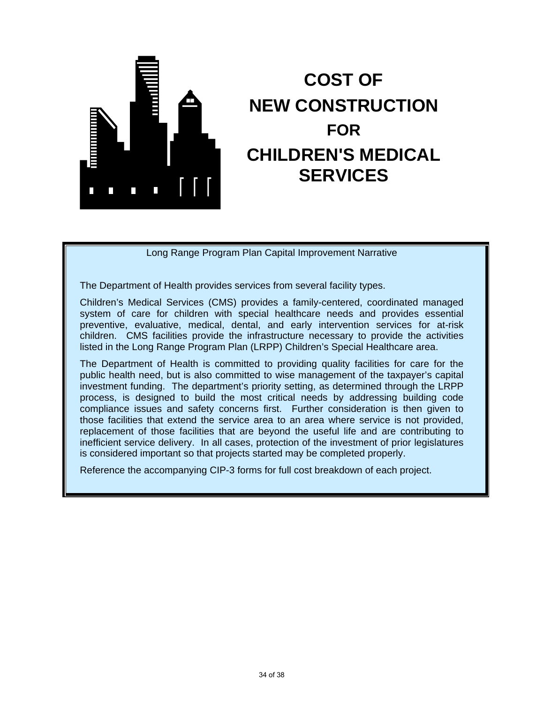

# **COST OF NEW CONSTRUCTION FOR CHILDREN'S MEDICAL SERVICES**

Long Range Program Plan Capital Improvement Narrative

The Department of Health provides services from several facility types.

Children's Medical Services (CMS) provides a family-centered, coordinated managed system of care for children with special healthcare needs and provides essential preventive, evaluative, medical, dental, and early intervention services for at-risk children. CMS facilities provide the infrastructure necessary to provide the activities listed in the Long Range Program Plan (LRPP) Children's Special Healthcare area.

The Department of Health is committed to providing quality facilities for care for the public health need, but is also committed to wise management of the taxpayer's capital investment funding. The department's priority setting, as determined through the LRPP process, is designed to build the most critical needs by addressing building code compliance issues and safety concerns first. Further consideration is then given to those facilities that extend the service area to an area where service is not provided, replacement of those facilities that are beyond the useful life and are contributing to inefficient service delivery. In all cases, protection of the investment of prior legislatures is considered important so that projects started may be completed properly.

Reference the accompanying CIP-3 forms for full cost breakdown of each project.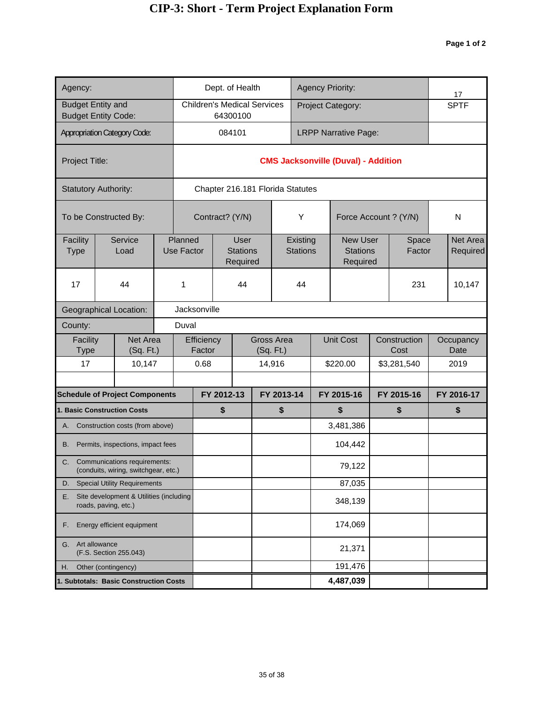| Agency:                                                               |                                                                         |                              |                              | Dept. of Health |                                     |                                |                                    |                                  | <b>Agency Priority:</b>     |                  |                                                |                      | 17              |                   |                      |
|-----------------------------------------------------------------------|-------------------------------------------------------------------------|------------------------------|------------------------------|-----------------|-------------------------------------|--------------------------------|------------------------------------|----------------------------------|-----------------------------|------------------|------------------------------------------------|----------------------|-----------------|-------------------|----------------------|
|                                                                       | <b>Budget Entity and</b><br><b>Budget Entity Code:</b>                  |                              |                              |                 |                                     | 64300100                       | <b>Children's Medical Services</b> |                                  |                             |                  | Project Category:                              |                      |                 |                   | <b>SPTF</b>          |
|                                                                       | <b>Appropriation Category Code:</b>                                     |                              |                              |                 | 084101                              |                                |                                    |                                  |                             |                  | <b>LRPP Narrative Page:</b>                    |                      |                 |                   |                      |
|                                                                       |                                                                         |                              |                              |                 |                                     |                                |                                    |                                  |                             |                  |                                                |                      |                 |                   |                      |
| Project Title:                                                        |                                                                         |                              |                              |                 |                                     |                                |                                    |                                  |                             |                  | <b>CMS Jacksonville (Duval) - Addition</b>     |                      |                 |                   |                      |
|                                                                       | <b>Statutory Authority:</b>                                             |                              |                              |                 |                                     |                                |                                    | Chapter 216.181 Florida Statutes |                             |                  |                                                |                      |                 |                   |                      |
|                                                                       | To be Constructed By:                                                   |                              |                              | Contract? (Y/N) |                                     |                                |                                    | Y                                |                             |                  | Force Account ? (Y/N)                          |                      |                 | N                 |                      |
| Facility<br><b>Type</b>                                               | Service<br>Load                                                         |                              | Planned<br><b>Use Factor</b> |                 | User<br><b>Stations</b><br>Required |                                |                                    |                                  | Existing<br><b>Stations</b> |                  | <b>New User</b><br><b>Stations</b><br>Required |                      | Space<br>Factor |                   | Net Area<br>Required |
| 17                                                                    | 44                                                                      |                              | 1                            |                 |                                     | 44                             |                                    |                                  | 44                          |                  |                                                |                      | 231             |                   | 10,147               |
|                                                                       | Geographical Location:                                                  | Jacksonville                 |                              |                 |                                     |                                |                                    |                                  |                             |                  |                                                |                      |                 |                   |                      |
| County:                                                               | Duval                                                                   |                              |                              |                 |                                     |                                |                                    |                                  |                             |                  |                                                |                      |                 |                   |                      |
| Facility<br>Type                                                      |                                                                         | <b>Net Area</b><br>(Sq. Ft.) | Efficiency<br>Factor         |                 |                                     | <b>Gross Area</b><br>(Sq. Ft.) |                                    |                                  |                             | <b>Unit Cost</b> |                                                | Construction<br>Cost |                 | Occupancy<br>Date |                      |
| 17                                                                    |                                                                         | 10,147                       |                              | 0.68            |                                     |                                | 14,916                             |                                  |                             |                  | \$220.00                                       |                      | \$3,281,540     |                   | 2019                 |
|                                                                       |                                                                         |                              |                              |                 |                                     | FY 2012-13                     |                                    |                                  |                             |                  |                                                |                      |                 |                   |                      |
|                                                                       | <b>Schedule of Project Components</b><br>1. Basic Construction Costs    |                              |                              |                 | \$                                  |                                | FY 2013-14<br>\$                   |                                  | FY 2015-16                  |                  | \$                                             | FY 2015-16<br>\$     |                 |                   | FY 2016-17<br>\$     |
| А.                                                                    | Construction costs (from above)                                         |                              |                              |                 |                                     |                                |                                    |                                  |                             |                  | 3,481,386                                      |                      |                 |                   |                      |
| В.                                                                    | Permits, inspections, impact fees                                       |                              |                              |                 |                                     |                                |                                    |                                  |                             |                  | 104,442                                        |                      |                 |                   |                      |
|                                                                       | C. Communications requirements:<br>(conduits, wiring, switchgear, etc.) |                              |                              |                 |                                     |                                |                                    |                                  |                             |                  | 79,122                                         |                      |                 |                   |                      |
| D.                                                                    | <b>Special Utility Requirements</b>                                     |                              |                              |                 |                                     |                                |                                    |                                  |                             |                  | 87,035                                         |                      |                 |                   |                      |
| Site development & Utilities (including<br>Е.<br>roads, paving, etc.) |                                                                         |                              |                              |                 |                                     |                                |                                    |                                  |                             |                  | 348,139                                        |                      |                 |                   |                      |
| Energy efficient equipment<br>F.                                      |                                                                         |                              |                              |                 |                                     |                                |                                    |                                  |                             |                  | 174,069                                        |                      |                 |                   |                      |
| Art allowance<br>G.<br>(F.S. Section 255.043)                         |                                                                         |                              |                              |                 |                                     |                                |                                    |                                  |                             |                  | 21,371                                         |                      |                 |                   |                      |
| Other (contingency)<br>Η.                                             |                                                                         |                              |                              |                 |                                     |                                |                                    |                                  |                             |                  | 191,476                                        |                      |                 |                   |                      |
| 1. Subtotals: Basic Construction Costs                                |                                                                         |                              |                              |                 |                                     |                                |                                    |                                  | 4,487,039                   |                  |                                                |                      |                 |                   |                      |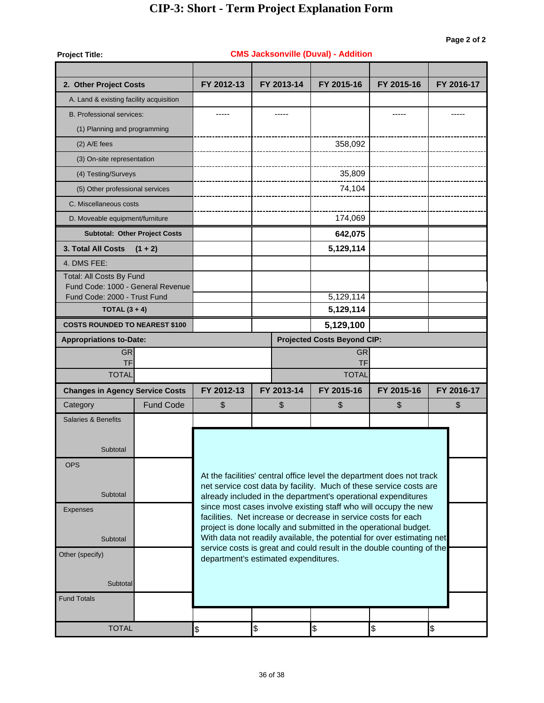| <b>Project Title:</b>                                             |                                      |                                                                                                                                                 |            |            | <b>CMS Jacksonville (Duval) - Addition</b>                            |            |               |  |  |  |  |
|-------------------------------------------------------------------|--------------------------------------|-------------------------------------------------------------------------------------------------------------------------------------------------|------------|------------|-----------------------------------------------------------------------|------------|---------------|--|--|--|--|
|                                                                   |                                      |                                                                                                                                                 |            |            |                                                                       |            |               |  |  |  |  |
| 2. Other Project Costs                                            |                                      | FY 2012-13                                                                                                                                      |            | FY 2013-14 | FY 2015-16                                                            | FY 2015-16 | FY 2016-17    |  |  |  |  |
| A. Land & existing facility acquisition                           |                                      |                                                                                                                                                 |            |            |                                                                       |            |               |  |  |  |  |
| <b>B. Professional services:</b>                                  |                                      |                                                                                                                                                 |            |            |                                                                       |            |               |  |  |  |  |
| (1) Planning and programming                                      |                                      |                                                                                                                                                 |            |            |                                                                       |            |               |  |  |  |  |
| $(2)$ A/E fees                                                    |                                      |                                                                                                                                                 |            |            | 358,092                                                               |            |               |  |  |  |  |
| (3) On-site representation                                        |                                      |                                                                                                                                                 |            |            |                                                                       |            |               |  |  |  |  |
| (4) Testing/Surveys                                               |                                      |                                                                                                                                                 |            |            | 35,809                                                                |            |               |  |  |  |  |
| (5) Other professional services                                   |                                      |                                                                                                                                                 |            |            | 74,104                                                                |            |               |  |  |  |  |
| C. Miscellaneous costs                                            |                                      |                                                                                                                                                 |            |            |                                                                       |            |               |  |  |  |  |
| D. Moveable equipment/furniture                                   |                                      |                                                                                                                                                 |            |            | 174,069                                                               |            |               |  |  |  |  |
|                                                                   | <b>Subtotal: Other Project Costs</b> |                                                                                                                                                 |            |            | 642,075                                                               |            |               |  |  |  |  |
| <b>3. Total All Costs</b>                                         | $(1 + 2)$                            |                                                                                                                                                 |            |            | 5,129,114                                                             |            |               |  |  |  |  |
| 4. DMS FEE:                                                       |                                      |                                                                                                                                                 |            |            |                                                                       |            |               |  |  |  |  |
| Total: All Costs By Fund                                          |                                      |                                                                                                                                                 |            |            |                                                                       |            |               |  |  |  |  |
| Fund Code: 1000 - General Revenue<br>Fund Code: 2000 - Trust Fund |                                      |                                                                                                                                                 |            |            | 5,129,114                                                             |            |               |  |  |  |  |
| TOTAL $(3 + 4)$                                                   |                                      |                                                                                                                                                 |            | 5,129,114  |                                                                       |            |               |  |  |  |  |
| <b>COSTS ROUNDED TO NEAREST \$100</b>                             |                                      |                                                                                                                                                 |            |            | 5,129,100                                                             |            |               |  |  |  |  |
| <b>Appropriations to-Date:</b>                                    |                                      |                                                                                                                                                 |            |            | <b>Projected Costs Beyond CIP:</b>                                    |            |               |  |  |  |  |
| <b>GR</b>                                                         |                                      |                                                                                                                                                 |            |            | <b>GR</b>                                                             |            |               |  |  |  |  |
| <b>TF</b><br><b>TOTAL</b>                                         |                                      | <b>TF</b><br><b>TOTAL</b>                                                                                                                       |            |            |                                                                       |            |               |  |  |  |  |
|                                                                   |                                      |                                                                                                                                                 |            |            |                                                                       |            |               |  |  |  |  |
| <b>Changes in Agency Service Costs</b>                            |                                      | FY 2012-13                                                                                                                                      |            | FY 2013-14 | FY 2015-16                                                            | FY 2015-16 | FY 2016-17    |  |  |  |  |
| Category                                                          | <b>Fund Code</b>                     | \$                                                                                                                                              |            | \$         | \$                                                                    | \$         | \$            |  |  |  |  |
| <b>Salaries &amp; Benefits</b>                                    |                                      |                                                                                                                                                 |            |            |                                                                       |            |               |  |  |  |  |
|                                                                   |                                      |                                                                                                                                                 |            |            |                                                                       |            |               |  |  |  |  |
| Subtotal                                                          |                                      |                                                                                                                                                 |            |            |                                                                       |            |               |  |  |  |  |
| <b>OPS</b>                                                        |                                      |                                                                                                                                                 |            |            | At the facilities' central office level the department does not track |            |               |  |  |  |  |
|                                                                   |                                      |                                                                                                                                                 |            |            | net service cost data by facility. Much of these service costs are    |            |               |  |  |  |  |
| Subtotal                                                          |                                      |                                                                                                                                                 |            |            | already included in the department's operational expenditures         |            |               |  |  |  |  |
| <b>Expenses</b>                                                   |                                      |                                                                                                                                                 |            |            | since most cases involve existing staff who will occupy the new       |            |               |  |  |  |  |
|                                                                   |                                      | facilities. Net increase or decrease in service costs for each<br>project is done locally and submitted in the operational budget.              |            |            |                                                                       |            |               |  |  |  |  |
| Subtotal                                                          |                                      | With data not readily available, the potential for over estimating net<br>service costs is great and could result in the double counting of the |            |            |                                                                       |            |               |  |  |  |  |
| Other (specify)                                                   |                                      | department's estimated expenditures.                                                                                                            |            |            |                                                                       |            |               |  |  |  |  |
|                                                                   |                                      |                                                                                                                                                 |            |            |                                                                       |            |               |  |  |  |  |
| Subtotal                                                          |                                      |                                                                                                                                                 |            |            |                                                                       |            |               |  |  |  |  |
| <b>Fund Totals</b>                                                |                                      |                                                                                                                                                 |            |            |                                                                       |            |               |  |  |  |  |
|                                                                   |                                      |                                                                                                                                                 |            |            |                                                                       |            |               |  |  |  |  |
| <b>TOTAL</b>                                                      |                                      | \$                                                                                                                                              | $\pmb{\$}$ |            | $\pmb{\mathfrak{P}}$                                                  | \$         | $\frac{1}{2}$ |  |  |  |  |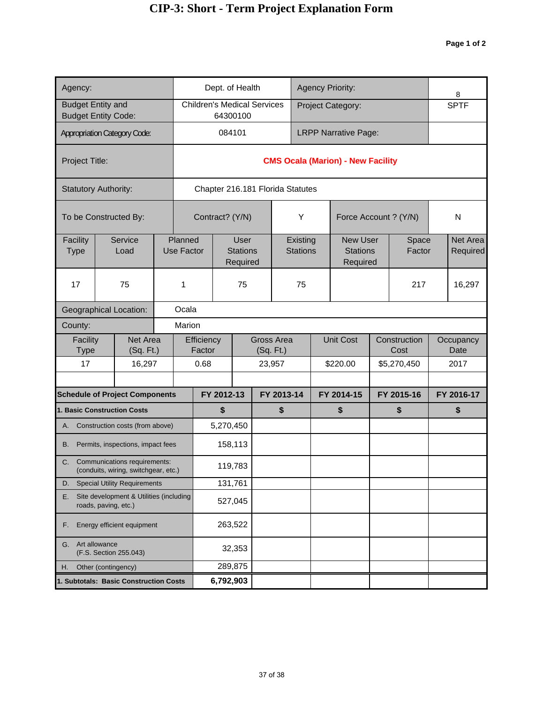| Agency:                                                               |                                                                      |  |                       |                      |            | Dept. of Health                            |                                    |                                  |                             |  | <b>Agency Priority:</b>                        |                 |                      | 8                    |
|-----------------------------------------------------------------------|----------------------------------------------------------------------|--|-----------------------|----------------------|------------|--------------------------------------------|------------------------------------|----------------------------------|-----------------------------|--|------------------------------------------------|-----------------|----------------------|----------------------|
| <b>Budget Entity and</b>                                              | <b>Budget Entity Code:</b>                                           |  |                       |                      |            | 64300100                                   | <b>Children's Medical Services</b> |                                  |                             |  | Project Category:                              |                 |                      | <b>SPTF</b>          |
|                                                                       | <b>Appropriation Category Code:</b>                                  |  |                       |                      | 084101     |                                            |                                    |                                  |                             |  | <b>LRPP Narrative Page:</b>                    |                 |                      |                      |
| Project Title:                                                        |                                                                      |  |                       |                      |            |                                            |                                    |                                  |                             |  | <b>CMS Ocala (Marion) - New Facility</b>       |                 |                      |                      |
|                                                                       | <b>Statutory Authority:</b>                                          |  |                       |                      |            |                                            |                                    | Chapter 216.181 Florida Statutes |                             |  |                                                |                 |                      |                      |
|                                                                       | To be Constructed By:                                                |  |                       | Contract? (Y/N)      |            |                                            |                                    |                                  | Υ                           |  | Force Account ? (Y/N)                          |                 |                      | N                    |
| Facility<br><b>Type</b>                                               | Service<br>Load                                                      |  | Planned<br>Use Factor |                      |            | <b>User</b><br><b>Stations</b><br>Required |                                    |                                  | Existing<br><b>Stations</b> |  | <b>New User</b><br><b>Stations</b><br>Required | Space<br>Factor |                      | Net Area<br>Required |
| 17                                                                    | 75                                                                   |  | 1                     |                      | 75         |                                            |                                    |                                  | 75                          |  |                                                | 217             | 16,297               |                      |
| <b>Geographical Location:</b>                                         | Ocala                                                                |  |                       |                      |            |                                            |                                    |                                  |                             |  |                                                |                 |                      |                      |
| County:                                                               | Marion                                                               |  |                       |                      |            |                                            |                                    |                                  |                             |  |                                                |                 |                      |                      |
| Facility<br>Type                                                      | Net Area<br>(Sq. Ft.)                                                |  |                       | Efficiency<br>Factor |            |                                            | (Sq. Ft.)                          | <b>Gross Area</b>                |                             |  | <b>Unit Cost</b>                               |                 | Construction<br>Cost | Occupancy<br>Date    |
| 17                                                                    | 16,297                                                               |  |                       | 0.68                 |            |                                            |                                    | 23,957                           |                             |  | \$220.00                                       |                 | \$5,270,450          | 2017                 |
|                                                                       | <b>Schedule of Project Components</b>                                |  |                       |                      | FY 2012-13 |                                            |                                    | FY 2013-14                       |                             |  | FY 2014-15                                     |                 | FY 2015-16           | FY 2016-17           |
|                                                                       | 1. Basic Construction Costs                                          |  |                       |                      | \$         |                                            |                                    | \$                               |                             |  | \$                                             |                 | \$                   | \$                   |
| А.                                                                    | Construction costs (from above)                                      |  |                       |                      | 5,270,450  |                                            |                                    |                                  |                             |  |                                                |                 |                      |                      |
| В.                                                                    | Permits, inspections, impact fees                                    |  |                       |                      |            | 158,113                                    |                                    |                                  |                             |  |                                                |                 |                      |                      |
| C.                                                                    | Communications requirements:<br>(conduits, wiring, switchgear, etc.) |  |                       |                      |            | 119,783                                    |                                    |                                  |                             |  |                                                |                 |                      |                      |
| D.                                                                    | <b>Special Utility Requirements</b>                                  |  |                       |                      | 131,761    |                                            |                                    |                                  |                             |  |                                                |                 |                      |                      |
| Site development & Utilities (including<br>Е.<br>roads, paving, etc.) |                                                                      |  |                       |                      |            | 527,045                                    |                                    |                                  |                             |  |                                                |                 |                      |                      |
| Energy efficient equipment<br>F.                                      |                                                                      |  |                       |                      |            | 263,522                                    |                                    |                                  |                             |  |                                                |                 |                      |                      |
| Art allowance<br>G.<br>(F.S. Section 255.043)                         |                                                                      |  |                       | 32,353               |            |                                            |                                    |                                  |                             |  |                                                |                 |                      |                      |
| Other (contingency)<br>Η.                                             |                                                                      |  |                       |                      |            | 289,875                                    |                                    |                                  |                             |  |                                                |                 |                      |                      |
| 1. Subtotals: Basic Construction Costs                                |                                                                      |  |                       |                      | 6,792,903  |                                            |                                    |                                  |                             |  |                                                |                 |                      |                      |